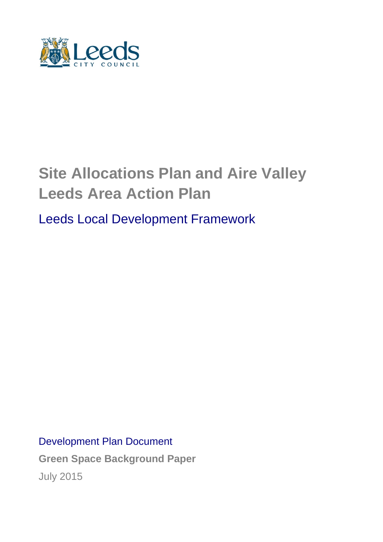

# **Site Allocations Plan and Aire Valley Leeds Area Action Plan**

Leeds Local Development Framework

Development Plan Document

**Green Space Background Paper** July 2015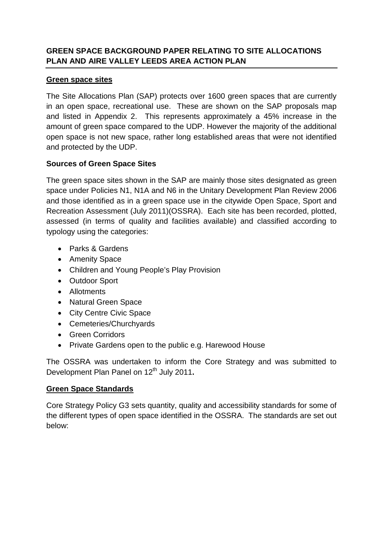# **GREEN SPACE BACKGROUND PAPER RELATING TO SITE ALLOCATIONS PLAN AND AIRE VALLEY LEEDS AREA ACTION PLAN**

#### **Green space sites**

The Site Allocations Plan (SAP) protects over 1600 green spaces that are currently in an open space, recreational use. These are shown on the SAP proposals map and listed in Appendix 2. This represents approximately a 45% increase in the amount of green space compared to the UDP. However the majority of the additional open space is not new space, rather long established areas that were not identified and protected by the UDP.

# **Sources of Green Space Sites**

The green space sites shown in the SAP are mainly those sites designated as green space under Policies N1, N1A and N6 in the Unitary Development Plan Review 2006 and those identified as in a green space use in the citywide Open Space, Sport and Recreation Assessment (July 2011)(OSSRA). Each site has been recorded, plotted, assessed (in terms of quality and facilities available) and classified according to typology using the categories:

- Parks & Gardens
- Amenity Space
- Children and Young People's Play Provision
- Outdoor Sport
- Allotments
- Natural Green Space
- City Centre Civic Space
- Cemeteries/Churchyards
- Green Corridors
- Private Gardens open to the public e.g. Harewood House

The OSSRA was undertaken to inform the Core Strategy and was submitted to Development Plan Panel on 12<sup>th</sup> July 2011.

# **Green Space Standards**

Core Strategy Policy G3 sets quantity, quality and accessibility standards for some of the different types of open space identified in the OSSRA. The standards are set out below: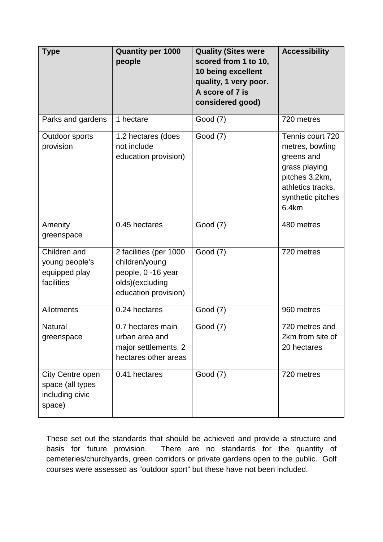| <b>Type</b>                                                       | <b>Quantity per 1000</b><br>people                                                                        | <b>Quality (Sites were</b><br>scored from 1 to 10,<br>10 being excellent<br>quality, 1 very poor.<br>A score of 7 is<br>considered good) | <b>Accessibility</b>                                                                                                                    |
|-------------------------------------------------------------------|-----------------------------------------------------------------------------------------------------------|------------------------------------------------------------------------------------------------------------------------------------------|-----------------------------------------------------------------------------------------------------------------------------------------|
| Parks and gardens                                                 | 1 hectare                                                                                                 | Good (7)                                                                                                                                 | 720 metres                                                                                                                              |
| Outdoor sports<br>provision                                       | 1.2 hectares (does<br>not include<br>education provision)                                                 | Good (7)                                                                                                                                 | Tennis court 720<br>metres, bowling<br>greens and<br>grass playing<br>pitches 3.2km,<br>athletics tracks,<br>synthetic pitches<br>6.4km |
| Amenity<br>greenspace                                             | 0.45 hectares                                                                                             | Good (7)                                                                                                                                 | 480 metres                                                                                                                              |
| Children and<br>young people's<br>equipped play<br>facilities     | 2 facilities (per 1000<br>children/young<br>people, 0 -16 year<br>olds)(excluding<br>education provision) | Good (7)                                                                                                                                 | 720 metres                                                                                                                              |
| <b>Allotments</b>                                                 | 0.24 hectares                                                                                             | Good (7)                                                                                                                                 | 960 metres                                                                                                                              |
| <b>Natural</b><br>greenspace                                      | 0.7 hectares main<br>urban area and<br>major settlements, 2<br>hectares other areas                       | Good (7)                                                                                                                                 | 720 metres and<br>2km from site of<br>20 hectares                                                                                       |
| City Centre open<br>space (all types<br>including civic<br>space) | 0.41 hectares                                                                                             | Good (7)                                                                                                                                 | 720 metres                                                                                                                              |

These set out the standards that should be achieved and provide a structure and basis for future provision. There are no standards for the quantity of cemeteries/churchyards, green corridors or private gardens open to the public. Golf courses were assessed as "outdoor sport" but these have not been included.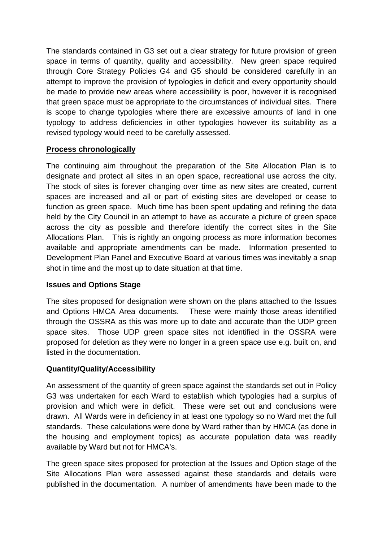The standards contained in G3 set out a clear strategy for future provision of green space in terms of quantity, quality and accessibility. New green space required through Core Strategy Policies G4 and G5 should be considered carefully in an attempt to improve the provision of typologies in deficit and every opportunity should be made to provide new areas where accessibility is poor, however it is recognised that green space must be appropriate to the circumstances of individual sites. There is scope to change typologies where there are excessive amounts of land in one typology to address deficiencies in other typologies however its suitability as a revised typology would need to be carefully assessed.

# **Process chronologically**

The continuing aim throughout the preparation of the Site Allocation Plan is to designate and protect all sites in an open space, recreational use across the city. The stock of sites is forever changing over time as new sites are created, current spaces are increased and all or part of existing sites are developed or cease to function as green space. Much time has been spent updating and refining the data held by the City Council in an attempt to have as accurate a picture of green space across the city as possible and therefore identify the correct sites in the Site Allocations Plan. This is rightly an ongoing process as more information becomes available and appropriate amendments can be made. Information presented to Development Plan Panel and Executive Board at various times was inevitably a snap shot in time and the most up to date situation at that time.

#### **Issues and Options Stage**

The sites proposed for designation were shown on the plans attached to the Issues and Options HMCA Area documents. These were mainly those areas identified through the OSSRA as this was more up to date and accurate than the UDP green space sites. Those UDP green space sites not identified in the OSSRA were proposed for deletion as they were no longer in a green space use e.g. built on, and listed in the documentation.

# **Quantity/Quality/Accessibility**

An assessment of the quantity of green space against the standards set out in Policy G3 was undertaken for each Ward to establish which typologies had a surplus of provision and which were in deficit. These were set out and conclusions were drawn. All Wards were in deficiency in at least one typology so no Ward met the full standards. These calculations were done by Ward rather than by HMCA (as done in the housing and employment topics) as accurate population data was readily available by Ward but not for HMCA's.

The green space sites proposed for protection at the Issues and Option stage of the Site Allocations Plan were assessed against these standards and details were published in the documentation. A number of amendments have been made to the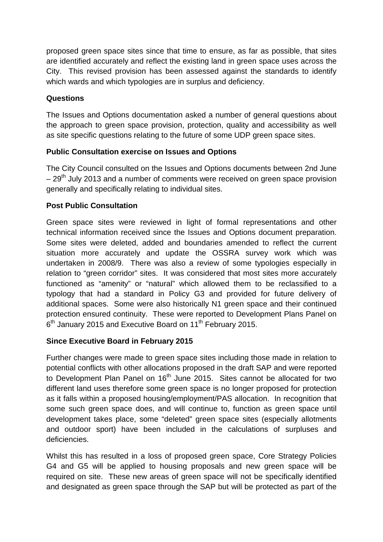proposed green space sites since that time to ensure, as far as possible, that sites are identified accurately and reflect the existing land in green space uses across the City. This revised provision has been assessed against the standards to identify which wards and which typologies are in surplus and deficiency.

# **Questions**

The Issues and Options documentation asked a number of general questions about the approach to green space provision, protection, quality and accessibility as well as site specific questions relating to the future of some UDP green space sites.

# **Public Consultation exercise on Issues and Options**

The City Council consulted on the Issues and Options documents between 2nd June  $-29<sup>th</sup>$  July 2013 and a number of comments were received on green space provision generally and specifically relating to individual sites.

# **Post Public Consultation**

Green space sites were reviewed in light of formal representations and other technical information received since the Issues and Options document preparation. Some sites were deleted, added and boundaries amended to reflect the current situation more accurately and update the OSSRA survey work which was undertaken in 2008/9. There was also a review of some typologies especially in relation to "green corridor" sites. It was considered that most sites more accurately functioned as "amenity" or "natural" which allowed them to be reclassified to a typology that had a standard in Policy G3 and provided for future delivery of additional spaces. Some were also historically N1 green space and their continued protection ensured continuity. These were reported to Development Plans Panel on 6<sup>th</sup> January 2015 and Executive Board on 11<sup>th</sup> February 2015.

# **Since Executive Board in February 2015**

Further changes were made to green space sites including those made in relation to potential conflicts with other allocations proposed in the draft SAP and were reported to Development Plan Panel on  $16<sup>th</sup>$  June 2015. Sites cannot be allocated for two different land uses therefore some green space is no longer proposed for protection as it falls within a proposed housing/employment/PAS allocation. In recognition that some such green space does, and will continue to, function as green space until development takes place, some "deleted" green space sites (especially allotments and outdoor sport) have been included in the calculations of surpluses and deficiencies.

Whilst this has resulted in a loss of proposed green space, Core Strategy Policies G4 and G5 will be applied to housing proposals and new green space will be required on site. These new areas of green space will not be specifically identified and designated as green space through the SAP but will be protected as part of the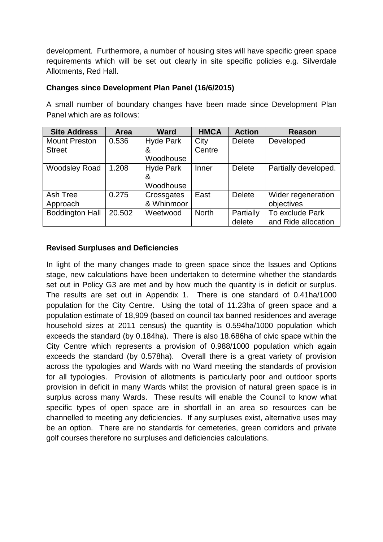development. Furthermore, a number of housing sites will have specific green space requirements which will be set out clearly in site specific policies e.g. Silverdale Allotments, Red Hall.

#### **Changes since Development Plan Panel (16/6/2015)**

A small number of boundary changes have been made since Development Plan Panel which are as follows:

| <b>Site Address</b>    | Area   | <b>Ward</b>      | <b>HMCA</b>  | <b>Action</b> | <b>Reason</b>        |
|------------------------|--------|------------------|--------------|---------------|----------------------|
| <b>Mount Preston</b>   | 0.536  | <b>Hyde Park</b> | City         | <b>Delete</b> | Developed            |
| <b>Street</b>          |        | &                | Centre       |               |                      |
|                        |        | Woodhouse        |              |               |                      |
| <b>Woodsley Road</b>   | 1.208  | <b>Hyde Park</b> | Inner        | <b>Delete</b> | Partially developed. |
|                        |        | &                |              |               |                      |
|                        |        | Woodhouse        |              |               |                      |
| Ash Tree               | 0.275  | Crossgates       | East         | <b>Delete</b> | Wider regeneration   |
| Approach               |        | & Whinmoor       |              |               | objectives           |
| <b>Boddington Hall</b> | 20.502 | Weetwood         | <b>North</b> | Partially     | To exclude Park      |
|                        |        |                  |              | delete        | and Ride allocation  |

# **Revised Surpluses and Deficiencies**

In light of the many changes made to green space since the Issues and Options stage, new calculations have been undertaken to determine whether the standards set out in Policy G3 are met and by how much the quantity is in deficit or surplus. The results are set out in Appendix 1. There is one standard of 0.41ha/1000 population for the City Centre. Using the total of 11.23ha of green space and a population estimate of 18,909 (based on council tax banned residences and average household sizes at 2011 census) the quantity is 0.594ha/1000 population which exceeds the standard (by 0.184ha). There is also 18.686ha of civic space within the City Centre which represents a provision of 0.988/1000 population which again exceeds the standard (by 0.578ha). Overall there is a great variety of provision across the typologies and Wards with no Ward meeting the standards of provision for all typologies. Provision of allotments is particularly poor and outdoor sports provision in deficit in many Wards whilst the provision of natural green space is in surplus across many Wards. These results will enable the Council to know what specific types of open space are in shortfall in an area so resources can be channelled to meeting any deficiencies. If any surpluses exist, alternative uses may be an option. There are no standards for cemeteries, green corridors and private golf courses therefore no surpluses and deficiencies calculations.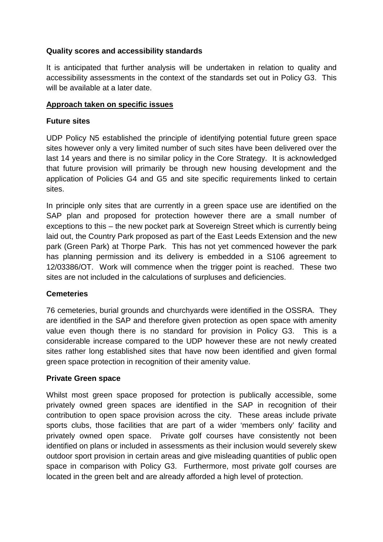#### **Quality scores and accessibility standards**

It is anticipated that further analysis will be undertaken in relation to quality and accessibility assessments in the context of the standards set out in Policy G3. This will be available at a later date.

#### **Approach taken on specific issues**

#### **Future sites**

UDP Policy N5 established the principle of identifying potential future green space sites however only a very limited number of such sites have been delivered over the last 14 years and there is no similar policy in the Core Strategy. It is acknowledged that future provision will primarily be through new housing development and the application of Policies G4 and G5 and site specific requirements linked to certain sites.

In principle only sites that are currently in a green space use are identified on the SAP plan and proposed for protection however there are a small number of exceptions to this – the new pocket park at Sovereign Street which is currently being laid out, the Country Park proposed as part of the East Leeds Extension and the new park (Green Park) at Thorpe Park. This has not yet commenced however the park has planning permission and its delivery is embedded in a S106 agreement to 12/03386/OT. Work will commence when the trigger point is reached. These two sites are not included in the calculations of surpluses and deficiencies.

# **Cemeteries**

76 cemeteries, burial grounds and churchyards were identified in the OSSRA. They are identified in the SAP and therefore given protection as open space with amenity value even though there is no standard for provision in Policy G3. This is a considerable increase compared to the UDP however these are not newly created sites rather long established sites that have now been identified and given formal green space protection in recognition of their amenity value.

#### **Private Green space**

Whilst most green space proposed for protection is publically accessible, some privately owned green spaces are identified in the SAP in recognition of their contribution to open space provision across the city. These areas include private sports clubs, those facilities that are part of a wider 'members only' facility and privately owned open space. Private golf courses have consistently not been identified on plans or included in assessments as their inclusion would severely skew outdoor sport provision in certain areas and give misleading quantities of public open space in comparison with Policy G3. Furthermore, most private golf courses are located in the green belt and are already afforded a high level of protection.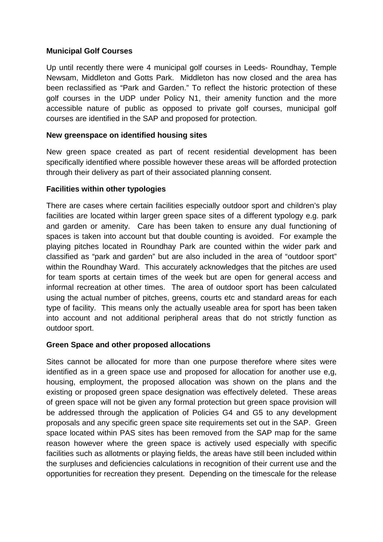#### **Municipal Golf Courses**

Up until recently there were 4 municipal golf courses in Leeds- Roundhay, Temple Newsam, Middleton and Gotts Park. Middleton has now closed and the area has been reclassified as "Park and Garden." To reflect the historic protection of these golf courses in the UDP under Policy N1, their amenity function and the more accessible nature of public as opposed to private golf courses, municipal golf courses are identified in the SAP and proposed for protection.

#### **New greenspace on identified housing sites**

New green space created as part of recent residential development has been specifically identified where possible however these areas will be afforded protection through their delivery as part of their associated planning consent.

#### **Facilities within other typologies**

There are cases where certain facilities especially outdoor sport and children's play facilities are located within larger green space sites of a different typology e.g. park and garden or amenity. Care has been taken to ensure any dual functioning of spaces is taken into account but that double counting is avoided. For example the playing pitches located in Roundhay Park are counted within the wider park and classified as "park and garden" but are also included in the area of "outdoor sport" within the Roundhay Ward. This accurately acknowledges that the pitches are used for team sports at certain times of the week but are open for general access and informal recreation at other times. The area of outdoor sport has been calculated using the actual number of pitches, greens, courts etc and standard areas for each type of facility. This means only the actually useable area for sport has been taken into account and not additional peripheral areas that do not strictly function as outdoor sport.

# **Green Space and other proposed allocations**

Sites cannot be allocated for more than one purpose therefore where sites were identified as in a green space use and proposed for allocation for another use e,g, housing, employment, the proposed allocation was shown on the plans and the existing or proposed green space designation was effectively deleted. These areas of green space will not be given any formal protection but green space provision will be addressed through the application of Policies G4 and G5 to any development proposals and any specific green space site requirements set out in the SAP. Green space located within PAS sites has been removed from the SAP map for the same reason however where the green space is actively used especially with specific facilities such as allotments or playing fields, the areas have still been included within the surpluses and deficiencies calculations in recognition of their current use and the opportunities for recreation they present. Depending on the timescale for the release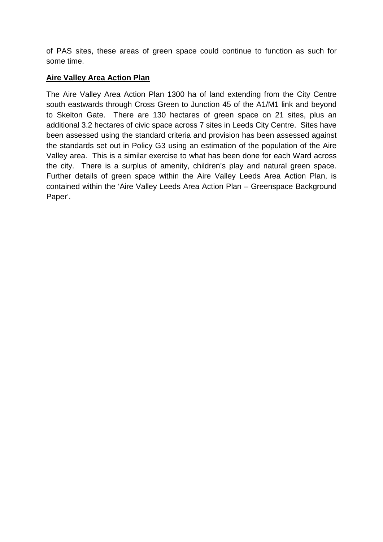of PAS sites, these areas of green space could continue to function as such for some time.

#### **Aire Valley Area Action Plan**

The Aire Valley Area Action Plan 1300 ha of land extending from the City Centre south eastwards through Cross Green to Junction 45 of the A1/M1 link and beyond to Skelton Gate. There are 130 hectares of green space on 21 sites, plus an additional 3.2 hectares of civic space across 7 sites in Leeds City Centre. Sites have been assessed using the standard criteria and provision has been assessed against the standards set out in Policy G3 using an estimation of the population of the Aire Valley area. This is a similar exercise to what has been done for each Ward across the city. There is a surplus of amenity, children's play and natural green space. Further details of green space within the Aire Valley Leeds Area Action Plan, is contained within the 'Aire Valley Leeds Area Action Plan – Greenspace Background Paper'.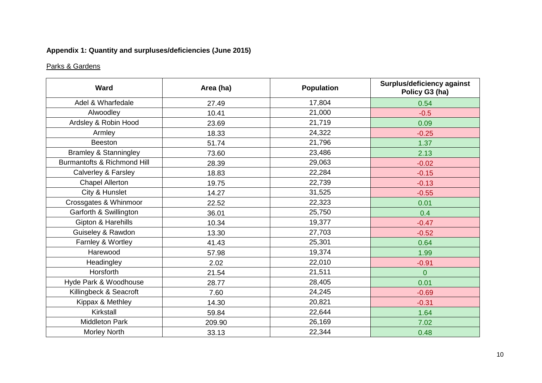# **Appendix 1: Quantity and surpluses/deficiencies (June 2015)**

# Parks & Gardens

| <b>Ward</b>                      | Area (ha) | <b>Population</b> | <b>Surplus/deficiency against</b><br>Policy G3 (ha) |
|----------------------------------|-----------|-------------------|-----------------------------------------------------|
| Adel & Wharfedale                | 27.49     | 17,804            | 0.54                                                |
| Alwoodley                        | 10.41     | 21,000            | $-0.5$                                              |
| Ardsley & Robin Hood             | 23.69     | 21,719            | 0.09                                                |
| Armley                           | 18.33     | 24,322            | $-0.25$                                             |
| <b>Beeston</b>                   | 51.74     | 21,796            | 1.37                                                |
| <b>Bramley &amp; Stanningley</b> | 73.60     | 23,486            | 2.13                                                |
| Burmantofts & Richmond Hill      | 28.39     | 29,063            | $-0.02$                                             |
| Calverley & Farsley              | 18.83     | 22,284            | $-0.15$                                             |
| <b>Chapel Allerton</b>           | 19.75     | 22,739            | $-0.13$                                             |
| City & Hunslet                   | 14.27     | 31,525            | $-0.55$                                             |
| Crossgates & Whinmoor            | 22.52     | 22,323            | 0.01                                                |
| Garforth & Swillington           | 36.01     | 25,750            | 0.4                                                 |
| Gipton & Harehills               | 10.34     | 19,377            | $-0.47$                                             |
| Guiseley & Rawdon                | 13.30     | 27,703            | $-0.52$                                             |
| Farnley & Wortley                | 41.43     | 25,301            | 0.64                                                |
| Harewood                         | 57.98     | 19,374            | 1.99                                                |
| Headingley                       | 2.02      | 22,010            | $-0.91$                                             |
| Horsforth                        | 21.54     | 21,511            | $\overline{0}$                                      |
| Hyde Park & Woodhouse            | 28.77     | 28,405            | 0.01                                                |
| Killingbeck & Seacroft           | 7.60      | 24,245            | $-0.69$                                             |
| Kippax & Methley                 | 14.30     | 20,821            | $-0.31$                                             |
| Kirkstall                        | 59.84     | 22,644            | 1.64                                                |
| <b>Middleton Park</b>            | 209.90    | 26,169            | 7.02                                                |
| <b>Morley North</b>              | 33.13     | 22,344            | 0.48                                                |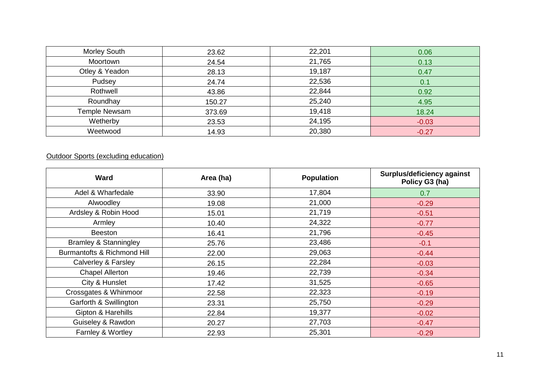| <b>Morley South</b> | 23.62  | 22,201 | 0.06    |
|---------------------|--------|--------|---------|
| Moortown            | 24.54  | 21,765 | 0.13    |
| Otley & Yeadon      | 28.13  | 19,187 | 0.47    |
| Pudsey              | 24.74  | 22,536 | 0.1     |
| Rothwell            | 43.86  | 22,844 | 0.92    |
| Roundhay            | 150.27 | 25,240 | 4.95    |
| Temple Newsam       | 373.69 | 19,418 | 18.24   |
| Wetherby            | 23.53  | 24,195 | $-0.03$ |
| Weetwood            | 14.93  | 20,380 | $-0.27$ |

#### **Outdoor Sports (excluding education)**

| <b>Ward</b>                      | Area (ha) | <b>Population</b> | <b>Surplus/deficiency against</b><br>Policy G3 (ha) |
|----------------------------------|-----------|-------------------|-----------------------------------------------------|
| Adel & Wharfedale                | 33.90     | 17,804            | 0.7                                                 |
| Alwoodley                        | 19.08     | 21,000            | $-0.29$                                             |
| Ardsley & Robin Hood             | 15.01     | 21,719            | $-0.51$                                             |
| Armley                           | 10.40     | 24,322            | $-0.77$                                             |
| <b>Beeston</b>                   | 16.41     | 21,796            | $-0.45$                                             |
| <b>Bramley &amp; Stanningley</b> | 25.76     | 23,486            | $-0.1$                                              |
| Burmantofts & Richmond Hill      | 22.00     | 29,063            | $-0.44$                                             |
| Calverley & Farsley              | 26.15     | 22,284            | $-0.03$                                             |
| <b>Chapel Allerton</b>           | 19.46     | 22,739            | $-0.34$                                             |
| City & Hunslet                   | 17.42     | 31,525            | $-0.65$                                             |
| Crossgates & Whinmoor            | 22.58     | 22,323            | $-0.19$                                             |
| Garforth & Swillington           | 23.31     | 25,750            | $-0.29$                                             |
| Gipton & Harehills               | 22.84     | 19,377            | $-0.02$                                             |
| Guiseley & Rawdon                | 20.27     | 27,703            | $-0.47$                                             |
| Farnley & Wortley                | 22.93     | 25,301            | $-0.29$                                             |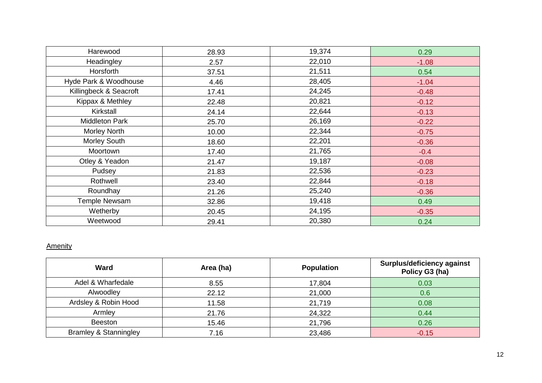| Harewood               | 28.93 | 19,374 | 0.29    |
|------------------------|-------|--------|---------|
| Headingley             | 2.57  | 22,010 | $-1.08$ |
| Horsforth              | 37.51 | 21,511 | 0.54    |
| Hyde Park & Woodhouse  | 4.46  | 28,405 | $-1.04$ |
| Killingbeck & Seacroft | 17.41 | 24,245 | $-0.48$ |
| Kippax & Methley       | 22.48 | 20,821 | $-0.12$ |
| Kirkstall              | 24.14 | 22,644 | $-0.13$ |
| <b>Middleton Park</b>  | 25.70 | 26,169 | $-0.22$ |
| Morley North           | 10.00 | 22,344 | $-0.75$ |
| Morley South           | 18.60 | 22,201 | $-0.36$ |
| Moortown               | 17.40 | 21,765 | $-0.4$  |
| Otley & Yeadon         | 21.47 | 19,187 | $-0.08$ |
| Pudsey                 | 21.83 | 22,536 | $-0.23$ |
| Rothwell               | 23.40 | 22,844 | $-0.18$ |
| Roundhay               | 21.26 | 25,240 | $-0.36$ |
| Temple Newsam          | 32.86 | 19,418 | 0.49    |
| Wetherby               | 20.45 | 24,195 | $-0.35$ |
| Weetwood               | 29.41 | 20,380 | 0.24    |

#### **Amenity**

| <b>Ward</b>                      | Area (ha) | <b>Population</b> | <b>Surplus/deficiency against</b><br>Policy G3 (ha) |
|----------------------------------|-----------|-------------------|-----------------------------------------------------|
| Adel & Wharfedale                | 8.55      | 17,804            | 0.03                                                |
| Alwoodley                        | 22.12     | 21,000            | 0.6                                                 |
| Ardsley & Robin Hood             | 11.58     | 21,719            | 0.08                                                |
| Armley                           | 21.76     | 24,322            | 0.44                                                |
| <b>Beeston</b>                   | 15.46     | 21,796            | 0.26                                                |
| <b>Bramley &amp; Stanningley</b> | 7.16      | 23,486            | $-0.15$                                             |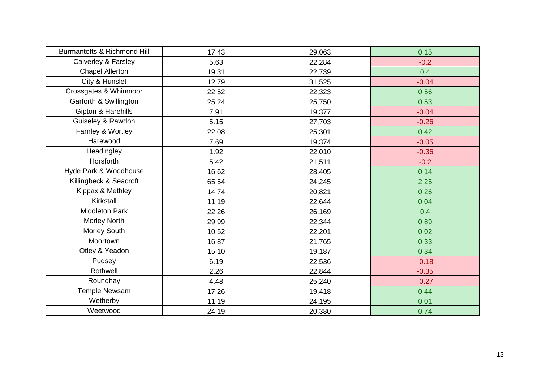| Burmantofts & Richmond Hill | 17.43 | 29,063 | 0.15    |
|-----------------------------|-------|--------|---------|
| Calverley & Farsley         | 5.63  | 22,284 | $-0.2$  |
| <b>Chapel Allerton</b>      | 19.31 | 22,739 | 0.4     |
| City & Hunslet              | 12.79 | 31,525 | $-0.04$ |
| Crossgates & Whinmoor       | 22.52 | 22,323 | 0.56    |
| Garforth & Swillington      | 25.24 | 25,750 | 0.53    |
| Gipton & Harehills          | 7.91  | 19,377 | $-0.04$ |
| Guiseley & Rawdon           | 5.15  | 27,703 | $-0.26$ |
| Farnley & Wortley           | 22.08 | 25,301 | 0.42    |
| Harewood                    | 7.69  | 19,374 | $-0.05$ |
| Headingley                  | 1.92  | 22,010 | $-0.36$ |
| Horsforth                   | 5.42  | 21,511 | $-0.2$  |
| Hyde Park & Woodhouse       | 16.62 | 28,405 | 0.14    |
| Killingbeck & Seacroft      | 65.54 | 24,245 | 2.25    |
| Kippax & Methley            | 14.74 | 20,821 | 0.26    |
| Kirkstall                   | 11.19 | 22,644 | 0.04    |
| <b>Middleton Park</b>       | 22.26 | 26,169 | 0.4     |
| Morley North                | 29.99 | 22,344 | 0.89    |
| Morley South                | 10.52 | 22,201 | 0.02    |
| Moortown                    | 16.87 | 21,765 | 0.33    |
| Otley & Yeadon              | 15.10 | 19,187 | 0.34    |
| Pudsey                      | 6.19  | 22,536 | $-0.18$ |
| Rothwell                    | 2.26  | 22,844 | $-0.35$ |
| Roundhay                    | 4.48  | 25,240 | $-0.27$ |
| Temple Newsam               | 17.26 | 19,418 | 0.44    |
| Wetherby                    | 11.19 | 24,195 | 0.01    |
| Weetwood                    | 24.19 | 20,380 | 0.74    |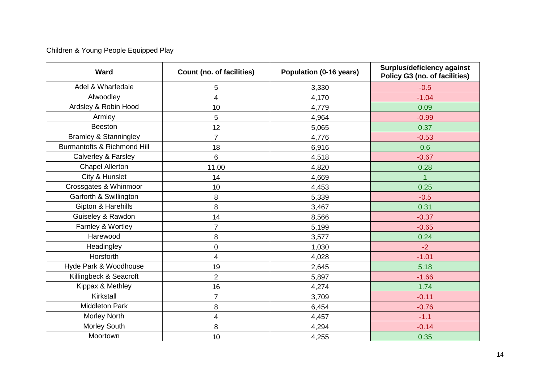# Children & Young People Equipped Play

| <b>Ward</b>                      | <b>Count (no. of facilities)</b> | Population (0-16 years) | <b>Surplus/deficiency against</b><br>Policy G3 (no. of facilities) |
|----------------------------------|----------------------------------|-------------------------|--------------------------------------------------------------------|
| Adel & Wharfedale                | 5                                | 3,330                   | $-0.5$                                                             |
| Alwoodley                        | 4                                | 4,170                   | $-1.04$                                                            |
| Ardsley & Robin Hood             | 10                               | 4,779                   | 0.09                                                               |
| Armley                           | 5                                | 4,964                   | $-0.99$                                                            |
| <b>Beeston</b>                   | 12                               | 5,065                   | 0.37                                                               |
| <b>Bramley &amp; Stanningley</b> | $\overline{7}$                   | 4,776                   | $-0.53$                                                            |
| Burmantofts & Richmond Hill      | 18                               | 6,916                   | 0.6                                                                |
| Calverley & Farsley              | $\,6\,$                          | 4,518                   | $-0.67$                                                            |
| <b>Chapel Allerton</b>           | 11.00                            | 4,820                   | 0.28                                                               |
| City & Hunslet                   | 14                               | 4,669                   | $\mathbf 1$                                                        |
| Crossgates & Whinmoor            | 10                               | 4,453                   | 0.25                                                               |
| Garforth & Swillington           | 8                                | 5,339                   | $-0.5$                                                             |
| Gipton & Harehills               | 8                                | 3,467                   | 0.31                                                               |
| Guiseley & Rawdon                | 14                               | 8,566                   | $-0.37$                                                            |
| Farnley & Wortley                | 7                                | 5,199                   | $-0.65$                                                            |
| Harewood                         | 8                                | 3,577                   | 0.24                                                               |
| Headingley                       | 0                                | 1,030                   | $-2$                                                               |
| Horsforth                        | $\overline{\mathbf{4}}$          | 4,028                   | $-1.01$                                                            |
| Hyde Park & Woodhouse            | 19                               | 2,645                   | 5.18                                                               |
| Killingbeck & Seacroft           | $\overline{2}$                   | 5,897                   | $-1.66$                                                            |
| Kippax & Methley                 | 16                               | 4,274                   | 1.74                                                               |
| Kirkstall                        | $\overline{7}$                   | 3,709                   | $-0.11$                                                            |
| <b>Middleton Park</b>            | 8                                | 6,454                   | $-0.76$                                                            |
| Morley North                     | 4                                | 4,457                   | $-1.1$                                                             |
| Morley South                     | 8                                | 4,294                   | $-0.14$                                                            |
| Moortown                         | 10                               | 4,255                   | 0.35                                                               |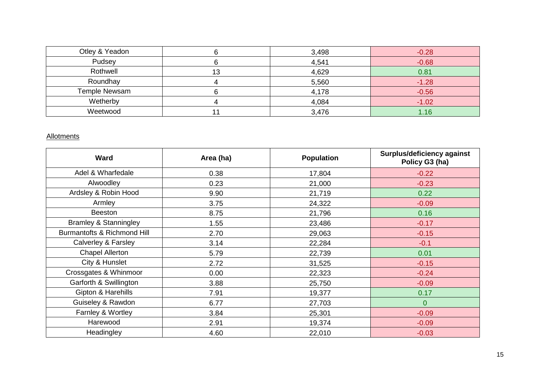| Otley & Yeadon |    | 3,498 | $-0.28$ |
|----------------|----|-------|---------|
| Pudsey         |    | 4,541 | $-0.68$ |
| Rothwell       | 13 | 4,629 | 0.81    |
| Roundhay       |    | 5,560 | $-1.28$ |
| Temple Newsam  |    | 4,178 | $-0.56$ |
| Wetherby       |    | 4,084 | $-1.02$ |
| Weetwood       |    | 3,476 | .16     |

#### **Allotments**

| <b>Ward</b>                      | Area (ha) | <b>Population</b> | Surplus/deficiency against<br>Policy G3 (ha) |
|----------------------------------|-----------|-------------------|----------------------------------------------|
| Adel & Wharfedale                | 0.38      | 17,804            | $-0.22$                                      |
| Alwoodley                        | 0.23      | 21,000            | $-0.23$                                      |
| Ardsley & Robin Hood             | 9.90      | 21,719            | 0.22                                         |
| Armley                           | 3.75      | 24,322            | $-0.09$                                      |
| <b>Beeston</b>                   | 8.75      | 21,796            | 0.16                                         |
| <b>Bramley &amp; Stanningley</b> | 1.55      | 23,486            | $-0.17$                                      |
| Burmantofts & Richmond Hill      | 2.70      | 29,063            | $-0.15$                                      |
| Calverley & Farsley              | 3.14      | 22,284            | $-0.1$                                       |
| <b>Chapel Allerton</b>           | 5.79      | 22,739            | 0.01                                         |
| City & Hunslet                   | 2.72      | 31,525            | $-0.15$                                      |
| Crossgates & Whinmoor            | 0.00      | 22,323            | $-0.24$                                      |
| Garforth & Swillington           | 3.88      | 25,750            | $-0.09$                                      |
| Gipton & Harehills               | 7.91      | 19,377            | 0.17                                         |
| Guiseley & Rawdon                | 6.77      | 27,703            | $\overline{0}$                               |
| Farnley & Wortley                | 3.84      | 25,301            | $-0.09$                                      |
| Harewood                         | 2.91      | 19,374            | $-0.09$                                      |
| Headingley                       | 4.60      | 22,010            | $-0.03$                                      |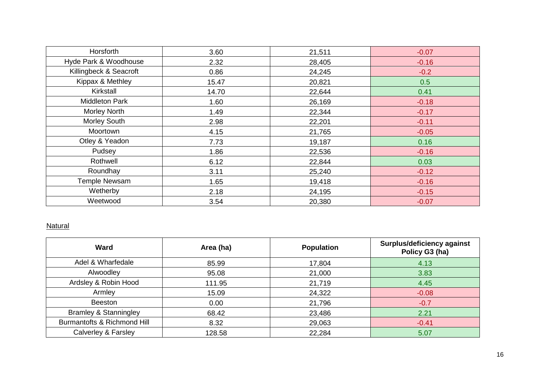| Horsforth              | 3.60  | 21,511 | $-0.07$ |
|------------------------|-------|--------|---------|
| Hyde Park & Woodhouse  | 2.32  | 28,405 | $-0.16$ |
| Killingbeck & Seacroft | 0.86  | 24,245 | $-0.2$  |
| Kippax & Methley       | 15.47 | 20,821 | 0.5     |
| Kirkstall              | 14.70 | 22,644 | 0.41    |
| <b>Middleton Park</b>  | 1.60  | 26,169 | $-0.18$ |
| Morley North           | 1.49  | 22,344 | $-0.17$ |
| Morley South           | 2.98  | 22,201 | $-0.11$ |
| Moortown               | 4.15  | 21,765 | $-0.05$ |
| Otley & Yeadon         | 7.73  | 19,187 | 0.16    |
| Pudsey                 | 1.86  | 22,536 | $-0.16$ |
| Rothwell               | 6.12  | 22,844 | 0.03    |
| Roundhay               | 3.11  | 25,240 | $-0.12$ |
| Temple Newsam          | 1.65  | 19,418 | $-0.16$ |
| Wetherby               | 2.18  | 24,195 | $-0.15$ |
| Weetwood               | 3.54  | 20,380 | $-0.07$ |

#### **Natural**

| <b>Ward</b>                      | Area (ha) | <b>Population</b> | <b>Surplus/deficiency against</b><br>Policy G3 (ha) |
|----------------------------------|-----------|-------------------|-----------------------------------------------------|
| Adel & Wharfedale                | 85.99     | 17,804            | 4.13                                                |
| Alwoodley                        | 95.08     | 21,000            | 3.83                                                |
| Ardsley & Robin Hood             | 111.95    | 21,719            | 4.45                                                |
| Armley                           | 15.09     | 24,322            | $-0.08$                                             |
| <b>Beeston</b>                   | 0.00      | 21,796            | $-0.7$                                              |
| <b>Bramley &amp; Stanningley</b> | 68.42     | 23,486            | 2.21                                                |
| Burmantofts & Richmond Hill      | 8.32      | 29,063            | $-0.41$                                             |
| Calverley & Farsley              | 128.58    | 22,284            | 5.07                                                |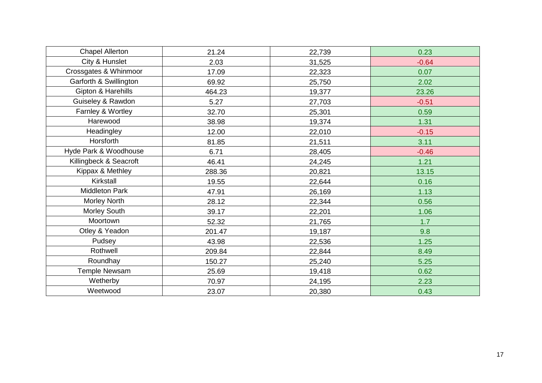| <b>Chapel Allerton</b> | 21.24  | 22,739 | 0.23    |
|------------------------|--------|--------|---------|
| City & Hunslet         | 2.03   | 31,525 | $-0.64$ |
| Crossgates & Whinmoor  | 17.09  | 22,323 | 0.07    |
| Garforth & Swillington | 69.92  | 25,750 | 2.02    |
| Gipton & Harehills     | 464.23 | 19,377 | 23.26   |
| Guiseley & Rawdon      | 5.27   | 27,703 | $-0.51$ |
| Farnley & Wortley      | 32.70  | 25,301 | 0.59    |
| Harewood               | 38.98  | 19,374 | 1.31    |
| Headingley             | 12.00  | 22,010 | $-0.15$ |
| Horsforth              | 81.85  | 21,511 | 3.11    |
| Hyde Park & Woodhouse  | 6.71   | 28,405 | $-0.46$ |
| Killingbeck & Seacroft | 46.41  | 24,245 | 1.21    |
| Kippax & Methley       | 288.36 | 20,821 | 13.15   |
| Kirkstall              | 19.55  | 22,644 | 0.16    |
| <b>Middleton Park</b>  | 47.91  | 26,169 | 1.13    |
| Morley North           | 28.12  | 22,344 | 0.56    |
| Morley South           | 39.17  | 22,201 | 1.06    |
| Moortown               | 52.32  | 21,765 | 1.7     |
| Otley & Yeadon         | 201.47 | 19,187 | 9.8     |
| Pudsey                 | 43.98  | 22,536 | 1.25    |
| Rothwell               | 209.84 | 22,844 | 8.49    |
| Roundhay               | 150.27 | 25,240 | 5.25    |
| Temple Newsam          | 25.69  | 19,418 | 0.62    |
| Wetherby               | 70.97  | 24,195 | 2.23    |
| Weetwood               | 23.07  | 20,380 | 0.43    |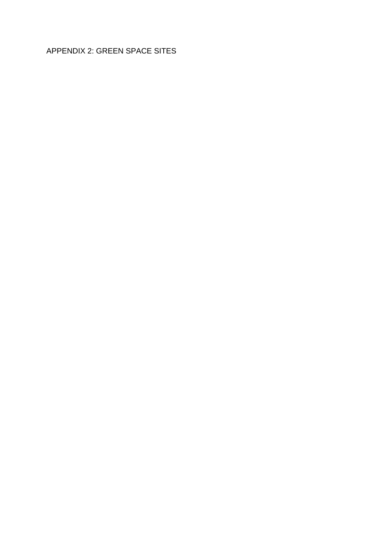# APPENDIX 2: GREEN SPACE SITES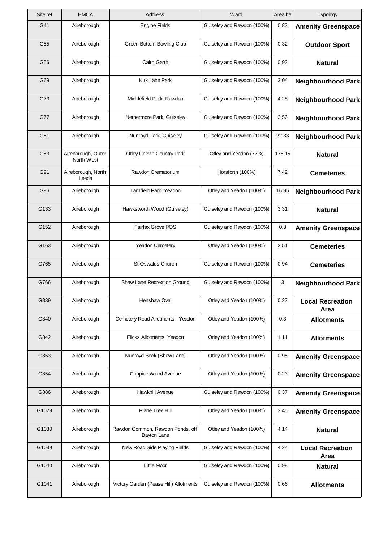| Site ref | <b>HMCA</b>                      | Address                                         | Ward                       | Area ha | Typology                        |
|----------|----------------------------------|-------------------------------------------------|----------------------------|---------|---------------------------------|
| G41      | Aireborough                      | <b>Engine Fields</b>                            | Guiseley and Rawdon (100%) | 0.83    | <b>Amenity Greenspace</b>       |
| G55      | Aireborough                      | Green Bottom Bowling Club                       | Guiseley and Rawdon (100%) | 0.32    | <b>Outdoor Sport</b>            |
| G56      | Aireborough                      | Cairn Garth                                     | Guiseley and Rawdon (100%) | 0.93    | <b>Natural</b>                  |
| G69      | Aireborough                      | Kirk Lane Park                                  | Guiseley and Rawdon (100%) | 3.04    | <b>Neighbourhood Park</b>       |
| G73      | Aireborough                      | Micklefield Park, Rawdon                        | Guiseley and Rawdon (100%) | 4.28    | <b>Neighbourhood Park</b>       |
| G77      | Aireborough                      | Nethermore Park, Guiseley                       | Guiseley and Rawdon (100%) | 3.56    | <b>Neighbourhood Park</b>       |
| G81      | Aireborough                      | Nunroyd Park, Guiseley                          | Guiseley and Rawdon (100%) | 22.33   | <b>Neighbourhood Park</b>       |
| G83      | Aireborough, Outer<br>North West | Otley Chevin Country Park                       | Otley and Yeadon (77%)     | 175.15  | <b>Natural</b>                  |
| G91      | Aireborough, North<br>Leeds      | Rawdon Crematorium                              | Horsforth (100%)           | 7.42    | <b>Cemeteries</b>               |
| G96      | Aireborough                      | Tarnfield Park, Yeadon                          | Otley and Yeadon (100%)    | 16.95   | <b>Neighbourhood Park</b>       |
| G133     | Aireborough                      | Hawksworth Wood (Guiseley)                      | Guiseley and Rawdon (100%) | 3.31    | <b>Natural</b>                  |
| G152     | Aireborough                      | Fairfax Grove POS                               | Guiseley and Rawdon (100%) | 0.3     | <b>Amenity Greenspace</b>       |
| G163     | Aireborough                      | Yeadon Cemetery                                 | Otley and Yeadon (100%)    | 2.51    | <b>Cemeteries</b>               |
| G765     | Aireborough                      | St Oswalds Church                               | Guiseley and Rawdon (100%) | 0.94    | <b>Cemeteries</b>               |
| G766     | Aireborough                      | Shaw Lane Recreation Ground                     | Guiseley and Rawdon (100%) | 3       | <b>Neighbourhood Park</b>       |
| G839     | Aireborough                      | Henshaw Oval                                    | Otley and Yeadon (100%)    | 0.27    | <b>Local Recreation</b><br>Area |
| G840     | Aireborough                      | Cemetery Road Allotments - Yeadon               | Otley and Yeadon (100%)    | 0.3     | <b>Allotments</b>               |
| G842     | Aireborough                      | Flicks Allotments, Yeadon                       | Otley and Yeadon (100%)    | 1.11    | <b>Allotments</b>               |
| G853     | Aireborough                      | Nunroyd Beck (Shaw Lane)                        | Otley and Yeadon (100%)    | 0.95    | <b>Amenity Greenspace</b>       |
| G854     | Aireborough                      | Coppice Wood Avenue                             | Otley and Yeadon (100%)    | 0.23    | <b>Amenity Greenspace</b>       |
| G886     | Aireborough                      | <b>Hawkhill Avenue</b>                          | Guiseley and Rawdon (100%) | 0.37    | <b>Amenity Greenspace</b>       |
| G1029    | Aireborough                      | Plane Tree Hill                                 | Otley and Yeadon (100%)    | 3.45    | <b>Amenity Greenspace</b>       |
| G1030    | Aireborough                      | Rawdon Common, Rawdon Ponds, off<br>Bayton Lane | Otley and Yeadon (100%)    | 4.14    | <b>Natural</b>                  |
| G1039    | Aireborough                      | New Road Side Playing Fields                    | Guiseley and Rawdon (100%) | 4.24    | <b>Local Recreation</b><br>Area |
| G1040    | Aireborough                      | <b>Little Moor</b>                              | Guiseley and Rawdon (100%) | 0.98    | <b>Natural</b>                  |
| G1041    | Aireborough                      | Victory Garden (Pease Hill) Allotments          | Guiseley and Rawdon (100%) | 0.66    | <b>Allotments</b>               |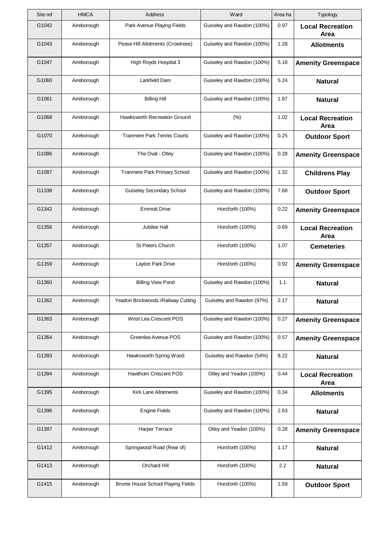| Site ref | <b>HMCA</b> | Address                             | Ward                       | Area ha | Typology                        |
|----------|-------------|-------------------------------------|----------------------------|---------|---------------------------------|
| G1042    | Aireborough | Park Avenue Playing Fields          | Guiseley and Rawdon (100%) | 0.97    | <b>Local Recreation</b><br>Area |
| G1043    | Aireborough | Pease Hill Allotments (Crowtrees)   | Guiseley and Rawdon (100%) | 1.28    | <b>Allotments</b>               |
| G1047    | Aireborough | High Royds Hospital 3               | Guiseley and Rawdon (100%) | 5.18    | <b>Amenity Greenspace</b>       |
| G1060    | Aireborough | Larkfield Dam                       | Guiseley and Rawdon (100%) | 5.24    | <b>Natural</b>                  |
| G1061    | Aireborough | <b>Billing Hill</b>                 | Guiseley and Rawdon (100%) | 1.87    | <b>Natural</b>                  |
| G1068    | Aireborough | Hawksworth Recreation Ground        | (% )                       | 1.02    | <b>Local Recreation</b><br>Area |
| G1070    | Aireborough | <b>Tranmere Park Tennis Courts</b>  | Guiseley and Rawdon (100%) | 0.25    | <b>Outdoor Sport</b>            |
| G1086    | Aireborough | The Oval - Otley                    | Guiseley and Rawdon (100%) | 0.28    | <b>Amenity Greenspace</b>       |
| G1087    | Aireborough | Tranmere Park Primary School        | Guiseley and Rawdon (100%) | 1.32    | <b>Childrens Play</b>           |
| G1338    | Aireborough | Guiseley Secondary School           | Guiseley and Rawdon (100%) | 7.68    | <b>Outdoor Sport</b>            |
| G1342    | Aireborough | <b>Emmott Drive</b>                 | Horsforth (100%)           | 0.22    | <b>Amenity Greenspace</b>       |
| G1356    | Aireborough | Jubilee Hall                        | Horsforth (100%)           | 0.69    | <b>Local Recreation</b><br>Area |
| G1357    | Aireborough | St Peters Church                    | Horsforth (100%)           | 1.07    | <b>Cemeteries</b>               |
| G1359    | Aireborough | Layton Park Drive                   | Horsforth (100%)           | 0.92    | <b>Amenity Greenspace</b>       |
| G1360    | Aireborough | <b>Billing View Pond</b>            | Guiseley and Rawdon (100%) | 1.1     | <b>Natural</b>                  |
| G1362    | Aireborough | Yeadon Brickwoods / Railway Cutting | Guiseley and Rawdon (97%)  | 2.17    | <b>Natural</b>                  |
| G1363    | Aireborough | West Lea Crescent POS               | Guiseley and Rawdon (100%) | 0.27    | <b>Amenity Greenspace</b>       |
| G1364    | Aireborough | Greenlea Avenue POS                 | Guiseley and Rawdon (100%) | 0.57    | <b>Amenity Greenspace</b>       |
| G1393    | Aireborough | Hawksworth Spring Wood              | Guiseley and Rawdon (54%)  | 8.22    | <b>Natural</b>                  |
| G1394    | Aireborough | Hawthorn Crescent POS               | Otley and Yeadon (100%)    | 0.44    | <b>Local Recreation</b><br>Area |
| G1395    | Aireborough | Kirk Lane Allotments                | Guiseley and Rawdon (100%) | 0.34    | <b>Allotments</b>               |
| G1396    | Aireborough | <b>Engine Fields</b>                | Guiseley and Rawdon (100%) | 2.63    | <b>Natural</b>                  |
| G1397    | Aireborough | Harper Terrace                      | Otley and Yeadon (100%)    | 0.28    | <b>Amenity Greenspace</b>       |
| G1412    | Aireborough | Springwood Road (Rear of)           | Horsforth (100%)           | 1.17    | <b>Natural</b>                  |
| G1413    | Aireborough | Orchard Hill                        | Horsforth (100%)           | 2.2     | <b>Natural</b>                  |
| G1415    | Aireborough | Bronte House School Playing Fields  | Horsforth (100%)           | 1.59    | <b>Outdoor Sport</b>            |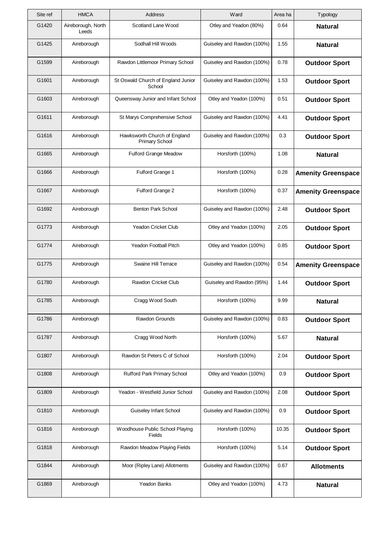| Site ref | <b>HMCA</b>                 | Address                                               | Ward                       | Area ha | Typology                  |
|----------|-----------------------------|-------------------------------------------------------|----------------------------|---------|---------------------------|
| G1420    | Aireborough, North<br>Leeds | Scotland Lane Wood                                    | Otley and Yeadon (80%)     | 0.64    | <b>Natural</b>            |
| G1425    | Aireborough                 | Sodhall Hill Woods                                    | Guiseley and Rawdon (100%) | 1.55    | <b>Natural</b>            |
| G1599    | Aireborough                 | Rawdon Littlemoor Primary School                      | Guiseley and Rawdon (100%) | 0.78    | <b>Outdoor Sport</b>      |
| G1601    | Aireborough                 | St Oswald Church of England Junior<br>School          | Guiseley and Rawdon (100%) | 1.53    | <b>Outdoor Sport</b>      |
| G1603    | Aireborough                 | Queensway Junior and Infant School                    | Otley and Yeadon (100%)    | 0.51    | <b>Outdoor Sport</b>      |
| G1611    | Aireborough                 | St Marys Comprehensive School                         | Guiseley and Rawdon (100%) | 4.41    | <b>Outdoor Sport</b>      |
| G1616    | Aireborough                 | Hawksworth Church of England<br><b>Primary School</b> | Guiseley and Rawdon (100%) | 0.3     | <b>Outdoor Sport</b>      |
| G1665    | Aireborough                 | <b>Fulford Grange Meadow</b>                          | Horsforth (100%)           | 1.08    | <b>Natural</b>            |
| G1666    | Aireborough                 | Fulford Grange 1                                      | Horsforth (100%)           | 0.28    | <b>Amenity Greenspace</b> |
| G1667    | Aireborough                 | Fulford Grange 2                                      | Horsforth (100%)           | 0.37    | <b>Amenity Greenspace</b> |
| G1692    | Aireborough                 | <b>Benton Park School</b>                             | Guiseley and Rawdon (100%) | 2.48    | <b>Outdoor Sport</b>      |
| G1773    | Aireborough                 | <b>Yeadon Cricket Club</b>                            | Otley and Yeadon (100%)    | 2.05    | <b>Outdoor Sport</b>      |
| G1774    | Aireborough                 | <b>Yeadon Football Pitch</b>                          | Otley and Yeadon (100%)    | 0.85    | <b>Outdoor Sport</b>      |
| G1775    | Aireborough                 | Swaine Hill Terrace                                   | Guiseley and Rawdon (100%) | 0.54    | <b>Amenity Greenspace</b> |
| G1780    | Aireborough                 | Rawdon Cricket Club                                   | Guiseley and Rawdon (95%)  | 1.44    | <b>Outdoor Sport</b>      |
| G1785    | Aireborough                 | Cragg Wood South                                      | Horsforth (100%)           | 9.99    | <b>Natural</b>            |
| G1786    | Aireborough                 | <b>Rawdon Grounds</b>                                 | Guiseley and Rawdon (100%) | 0.83    | <b>Outdoor Sport</b>      |
| G1787    | Aireborough                 | Cragg Wood North                                      | Horsforth (100%)           | 5.67    | <b>Natural</b>            |
| G1807    | Aireborough                 | Rawdon St Peters C of School                          | Horsforth (100%)           | 2.04    | <b>Outdoor Sport</b>      |
| G1808    | Aireborough                 | Rufford Park Primary School                           | Otley and Yeadon (100%)    | 0.9     | <b>Outdoor Sport</b>      |
| G1809    | Aireborough                 | Yeadon - Westfield Junior School                      | Guiseley and Rawdon (100%) | 2.08    | <b>Outdoor Sport</b>      |
| G1810    | Aireborough                 | Guiseley Infant School                                | Guiseley and Rawdon (100%) | 0.9     | <b>Outdoor Sport</b>      |
| G1816    | Aireborough                 | Woodhouse Public School Playing<br>Fields             | Horsforth (100%)           | 10.35   | <b>Outdoor Sport</b>      |
| G1818    | Aireborough                 | Rawdon Meadow Playing Fields                          | Horsforth (100%)           | 5.14    | <b>Outdoor Sport</b>      |
| G1844    | Aireborough                 | Moor (Ripley Lane) Allotments                         | Guiseley and Rawdon (100%) | 0.67    | <b>Allotments</b>         |
| G1869    | Aireborough                 | Yeadon Banks                                          | Otley and Yeadon (100%)    | 4.73    | <b>Natural</b>            |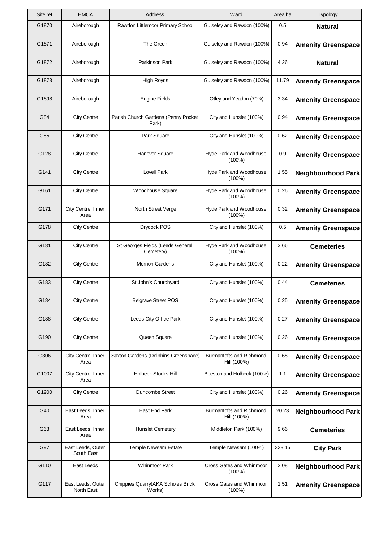| Site ref | <b>HMCA</b>                     | Address                                       | Ward                                    | Area ha | Typology                  |
|----------|---------------------------------|-----------------------------------------------|-----------------------------------------|---------|---------------------------|
| G1870    | Aireborough                     | Rawdon Littlemoor Primary School              | Guiseley and Rawdon (100%)              | 0.5     | <b>Natural</b>            |
| G1871    | Aireborough                     | The Green                                     | Guiseley and Rawdon (100%)              | 0.94    | <b>Amenity Greenspace</b> |
| G1872    | Aireborough                     | Parkinson Park                                | Guiseley and Rawdon (100%)              | 4.26    | <b>Natural</b>            |
| G1873    | Aireborough                     | <b>High Royds</b>                             | Guiseley and Rawdon (100%)              | 11.79   | <b>Amenity Greenspace</b> |
| G1898    | Aireborough                     | <b>Engine Fields</b>                          | Otley and Yeadon (70%)                  | 3.34    | <b>Amenity Greenspace</b> |
| G84      | <b>City Centre</b>              | Parish Church Gardens (Penny Pocket<br>Park)  | City and Hunslet (100%)                 | 0.94    | <b>Amenity Greenspace</b> |
| G85      | <b>City Centre</b>              | Park Square                                   | City and Hunslet (100%)                 | 0.62    | <b>Amenity Greenspace</b> |
| G128     | <b>City Centre</b>              | Hanover Square                                | Hyde Park and Woodhouse<br>$(100\%)$    | 0.9     | <b>Amenity Greenspace</b> |
| G141     | <b>City Centre</b>              | Lovell Park                                   | Hyde Park and Woodhouse<br>$(100\%)$    | 1.55    | <b>Neighbourhood Park</b> |
| G161     | <b>City Centre</b>              | Woodhouse Square                              | Hyde Park and Woodhouse<br>$(100\%)$    | 0.26    | <b>Amenity Greenspace</b> |
| G171     | City Centre, Inner<br>Area      | North Street Verge                            | Hyde Park and Woodhouse<br>$(100\%)$    | 0.32    | <b>Amenity Greenspace</b> |
| G178     | <b>City Centre</b>              | Drydock POS                                   | City and Hunslet (100%)                 | 0.5     | <b>Amenity Greenspace</b> |
| G181     | <b>City Centre</b>              | St Georges Fields (Leeds General<br>Cemetery) | Hyde Park and Woodhouse<br>$(100\%)$    | 3.66    | <b>Cemeteries</b>         |
| G182     | <b>City Centre</b>              | <b>Merrion Gardens</b>                        | City and Hunslet (100%)                 | 0.22    | <b>Amenity Greenspace</b> |
| G183     | <b>City Centre</b>              | St John's Churchyard                          | City and Hunslet (100%)                 | 0.44    | <b>Cemeteries</b>         |
| G184     | <b>City Centre</b>              | <b>Belgrave Street POS</b>                    | City and Hunslet (100%)                 | 0.25    | <b>Amenity Greenspace</b> |
| G188     | <b>City Centre</b>              | Leeds City Office Park                        | City and Hunslet (100%)                 | 0.27    | <b>Amenity Greenspace</b> |
| G190     | <b>City Centre</b>              | Queen Square                                  | City and Hunslet (100%)                 | 0.26    | <b>Amenity Greenspace</b> |
| G306     | City Centre, Inner<br>Area      | Saxton Gardens (Dolphins Greenspace)          | Burmantofts and Richmond<br>Hill (100%) | 0.68    | <b>Amenity Greenspace</b> |
| G1007    | City Centre, Inner<br>Area      | <b>Holbeck Stocks Hill</b>                    | Beeston and Holbeck (100%)              | 1.1     | <b>Amenity Greenspace</b> |
| G1900    | <b>City Centre</b>              | Duncombe Street                               | City and Hunslet (100%)                 | 0.26    | <b>Amenity Greenspace</b> |
| G40      | East Leeds, Inner<br>Area       | East End Park                                 | Burmantofts and Richmond<br>Hill (100%) | 20.23   | <b>Neighbourhood Park</b> |
| G63      | East Leeds, Inner<br>Area       | <b>Hunslet Cemetery</b>                       | Middleton Park (100%)                   | 9.66    | <b>Cemeteries</b>         |
| G97      | East Leeds, Outer<br>South East | <b>Temple Newsam Estate</b>                   | Temple Newsam (100%)                    | 338.15  | <b>City Park</b>          |
| G110     | East Leeds                      | <b>Whinmoor Park</b>                          | Cross Gates and Whinmoor<br>$(100\%)$   | 2.08    | <b>Neighbourhood Park</b> |
| G117     | East Leeds, Outer<br>North East | Chippies Quarry(AKA Scholes Brick<br>Works)   | Cross Gates and Whinmoor<br>$(100\%)$   | 1.51    | <b>Amenity Greenspace</b> |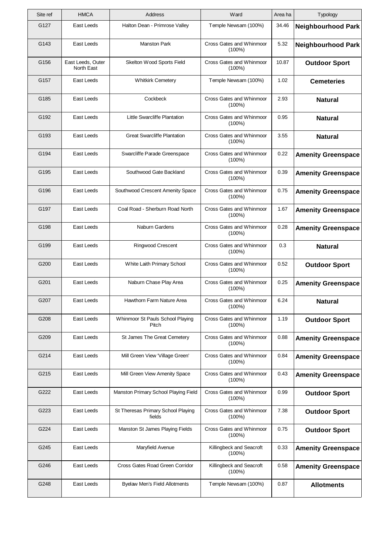| Site ref | <b>HMCA</b>                     | <b>Address</b>                               | Ward                                  | Area ha | Typology                  |
|----------|---------------------------------|----------------------------------------------|---------------------------------------|---------|---------------------------|
| G127     | East Leeds                      | Halton Dean - Primrose Valley                | Temple Newsam (100%)                  | 34.46   | <b>Neighbourhood Park</b> |
| G143     | East Leeds                      | <b>Manston Park</b>                          | Cross Gates and Whinmoor<br>$(100\%)$ | 5.32    | <b>Neighbourhood Park</b> |
| G156     | East Leeds, Outer<br>North East | Skelton Wood Sports Field                    | Cross Gates and Whinmoor<br>$(100\%)$ | 10.87   | <b>Outdoor Sport</b>      |
| G157     | East Leeds                      | <b>Whitkirk Cemetery</b>                     | Temple Newsam (100%)                  | 1.02    | <b>Cemeteries</b>         |
| G185     | East Leeds                      | Cockbeck                                     | Cross Gates and Whinmoor<br>$(100\%)$ | 2.93    | <b>Natural</b>            |
| G192     | East Leeds                      | Little Swarcliffe Plantation                 | Cross Gates and Whinmoor<br>$(100\%)$ | 0.95    | <b>Natural</b>            |
| G193     | East Leeds                      | <b>Great Swarcliffe Plantation</b>           | Cross Gates and Whinmoor<br>$(100\%)$ | 3.55    | <b>Natural</b>            |
| G194     | East Leeds                      | Swarcliffe Parade Greenspace                 | Cross Gates and Whinmoor<br>$(100\%)$ | 0.22    | <b>Amenity Greenspace</b> |
| G195     | East Leeds                      | Southwood Gate Backland                      | Cross Gates and Whinmoor<br>$(100\%)$ | 0.39    | <b>Amenity Greenspace</b> |
| G196     | East Leeds                      | Southwood Crescent Amenity Space             | Cross Gates and Whinmoor<br>$(100\%)$ | 0.75    | <b>Amenity Greenspace</b> |
| G197     | East Leeds                      | Coal Road - Sherburn Road North              | Cross Gates and Whinmoor<br>$(100\%)$ | 1.67    | <b>Amenity Greenspace</b> |
| G198     | East Leeds                      | Naburn Gardens                               | Cross Gates and Whinmoor<br>$(100\%)$ | 0.28    | <b>Amenity Greenspace</b> |
| G199     | East Leeds                      | <b>Ringwood Crescent</b>                     | Cross Gates and Whinmoor<br>$(100\%)$ | 0.3     | <b>Natural</b>            |
| G200     | East Leeds                      | White Laith Primary School                   | Cross Gates and Whinmoor<br>$(100\%)$ | 0.52    | <b>Outdoor Sport</b>      |
| G201     | East Leeds                      | Naburn Chase Play Area                       | Cross Gates and Whinmoor<br>$(100\%)$ | 0.25    | <b>Amenity Greenspace</b> |
| G207     | East Leeds                      | Hawthorn Farm Nature Area                    | Cross Gates and Whinmoor<br>$(100\%)$ | 6.24    | <b>Natural</b>            |
| G208     | East Leeds                      | Whinmoor St Pauls School Playing<br>Pitch    | Cross Gates and Whinmoor<br>$(100\%)$ | 1.19    | <b>Outdoor Sport</b>      |
| G209     | East Leeds                      | St James The Great Cemetery                  | Cross Gates and Whinmoor<br>$(100\%)$ | 0.88    | <b>Amenity Greenspace</b> |
| G214     | East Leeds                      | Mill Green View 'Village Green'              | Cross Gates and Whinmoor<br>$(100\%)$ | 0.84    | <b>Amenity Greenspace</b> |
| G215     | East Leeds                      | Mill Green View Amenity Space                | Cross Gates and Whinmoor<br>$(100\%)$ | 0.43    | <b>Amenity Greenspace</b> |
| G222     | East Leeds                      | Manston Primary School Playing Field         | Cross Gates and Whinmoor<br>$(100\%)$ | 0.99    | <b>Outdoor Sport</b>      |
| G223     | East Leeds                      | St Theresas Primary School Playing<br>fields | Cross Gates and Whinmoor<br>$(100\%)$ | 7.38    | <b>Outdoor Sport</b>      |
| G224     | East Leeds                      | Manston St James Playing Fields              | Cross Gates and Whinmoor<br>$(100\%)$ | 0.75    | <b>Outdoor Sport</b>      |
| G245     | East Leeds                      | Maryfield Avenue                             | Killingbeck and Seacroft<br>(100%)    | 0.33    | <b>Amenity Greenspace</b> |
| G246     | East Leeds                      | Cross Gates Road Green Corridor              | Killingbeck and Seacroft<br>$(100\%)$ | 0.58    | <b>Amenity Greenspace</b> |
| G248     | East Leeds                      | Byelaw Men's Field Allotments                | Temple Newsam (100%)                  | 0.87    | <b>Allotments</b>         |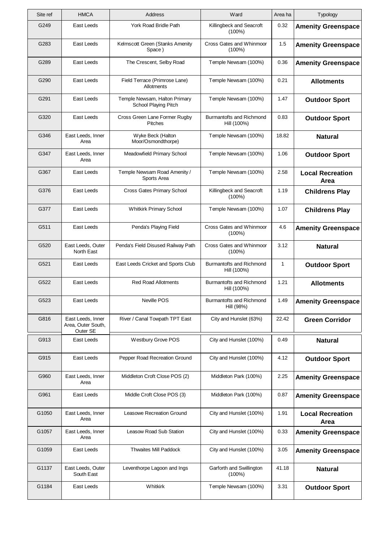| Site ref | <b>HMCA</b>                                         | Address                                               | Ward                                           | Area ha | Typology                        |
|----------|-----------------------------------------------------|-------------------------------------------------------|------------------------------------------------|---------|---------------------------------|
| G249     | East Leeds                                          | York Road Bridle Path                                 | Killingbeck and Seacroft<br>(100%)             | 0.32    | <b>Amenity Greenspace</b>       |
| G283     | East Leeds                                          | Kelmscott Green (Stanks Amenity<br>Space)             | Cross Gates and Whinmoor<br>$(100\%)$          | 1.5     | <b>Amenity Greenspace</b>       |
| G289     | East Leeds                                          | The Crescent, Selby Road                              | Temple Newsam (100%)                           | 0.36    | <b>Amenity Greenspace</b>       |
| G290     | East Leeds                                          | Field Terrace (Primrose Lane)<br>Allotments           | Temple Newsam (100%)                           | 0.21    | <b>Allotments</b>               |
| G291     | East Leeds                                          | Temple Newsam, Halton Primary<br>School Playing Pitch | Temple Newsam (100%)                           | 1.47    | <b>Outdoor Sport</b>            |
| G320     | East Leeds                                          | Cross Green Lane Former Rugby<br><b>Pitches</b>       | Burmantofts and Richmond<br>Hill (100%)        | 0.83    | <b>Outdoor Sport</b>            |
| G346     | East Leeds, Inner<br>Area                           | Wyke Beck (Halton<br>Moor/Osmondthorpe)               | Temple Newsam (100%)                           | 18.82   | <b>Natural</b>                  |
| G347     | East Leeds, Inner<br>Area                           | Meadowfield Primary School                            | Temple Newsam (100%)                           | 1.06    | <b>Outdoor Sport</b>            |
| G367     | East Leeds                                          | Temple Newsam Road Amenity /<br>Sports Area           | Temple Newsam (100%)                           | 2.58    | <b>Local Recreation</b><br>Area |
| G376     | East Leeds                                          | <b>Cross Gates Primary School</b>                     | Killingbeck and Seacroft<br>$(100\%)$          | 1.19    | <b>Childrens Play</b>           |
| G377     | East Leeds                                          | <b>Whitkirk Primary School</b>                        | Temple Newsam (100%)                           | 1.07    | <b>Childrens Play</b>           |
| G511     | East Leeds                                          | Penda's Playing Field                                 | Cross Gates and Whinmoor<br>(100%)             | 4.6     | <b>Amenity Greenspace</b>       |
| G520     | East Leeds, Outer<br>North East                     | Penda's Field Disused Railway Path                    | Cross Gates and Whinmoor<br>$(100\%)$          | 3.12    | <b>Natural</b>                  |
| G521     | East Leeds                                          | East Leeds Cricket and Sports Club                    | Burmantofts and Richmond<br>Hill (100%)        | 1       | <b>Outdoor Sport</b>            |
| G522     | East Leeds                                          | <b>Red Road Allotments</b>                            | <b>Burmantofts and Richmond</b><br>Hill (100%) | 1.21    | <b>Allotments</b>               |
| G523     | East Leeds                                          | Neville POS                                           | Burmantofts and Richmond<br>Hill (98%)         | 1.49    | <b>Amenity Greenspace</b>       |
| G816     | East Leeds, Inner<br>Area, Outer South,<br>Outer SE | River / Canal Towpath TPT East                        | City and Hunslet (63%)                         | 22.42   | <b>Green Corridor</b>           |
| G913     | East Leeds                                          | Westbury Grove POS                                    | City and Hunslet (100%)                        | 0.49    | <b>Natural</b>                  |
| G915     | East Leeds                                          | Pepper Road Recreation Ground                         | City and Hunslet (100%)                        | 4.12    | <b>Outdoor Sport</b>            |
| G960     | East Leeds, Inner<br>Area                           | Middleton Croft Close POS (2)                         | Middleton Park (100%)                          | 2.25    | <b>Amenity Greenspace</b>       |
| G961     | East Leeds                                          | Middle Croft Close POS (3)                            | Middleton Park (100%)                          | 0.87    | <b>Amenity Greenspace</b>       |
| G1050    | East Leeds, Inner<br>Area                           | Leasowe Recreation Ground                             | City and Hunslet (100%)                        | 1.91    | <b>Local Recreation</b><br>Area |
| G1057    | East Leeds, Inner<br>Area                           | <b>Leasow Road Sub Station</b>                        | City and Hunslet (100%)                        | 0.33    | <b>Amenity Greenspace</b>       |
| G1059    | East Leeds                                          | <b>Thwaites Mill Paddock</b>                          | City and Hunslet (100%)                        | 3.05    | <b>Amenity Greenspace</b>       |
| G1137    | East Leeds, Outer<br>South East                     | Leventhorpe Lagoon and Ings                           | Garforth and Swillington<br>$(100\%)$          | 41.18   | <b>Natural</b>                  |
| G1184    | East Leeds                                          | Whitkirk                                              | Temple Newsam (100%)                           | 3.31    | <b>Outdoor Sport</b>            |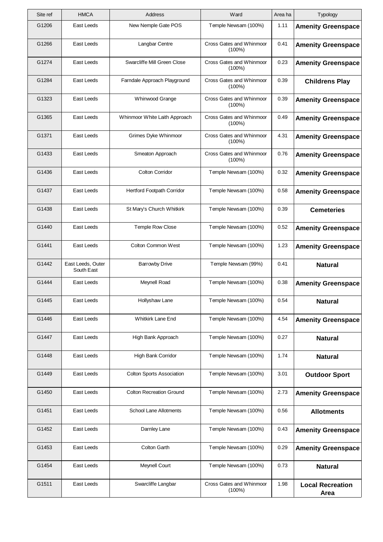| Site ref | <b>HMCA</b>                     | Address                          | Ward                                  | Area ha | Typology                        |
|----------|---------------------------------|----------------------------------|---------------------------------------|---------|---------------------------------|
| G1206    | East Leeds                      | New Nemple Gate POS              | Temple Newsam (100%)                  | 1.11    | <b>Amenity Greenspace</b>       |
| G1266    | East Leeds                      | Langbar Centre                   | Cross Gates and Whinmoor<br>$(100\%)$ | 0.41    | <b>Amenity Greenspace</b>       |
| G1274    | East Leeds                      | Swarcliffe Mill Green Close      | Cross Gates and Whinmoor<br>$(100\%)$ | 0.23    | <b>Amenity Greenspace</b>       |
| G1284    | East Leeds                      | Farndale Approach Playground     | Cross Gates and Whinmoor<br>$(100\%)$ | 0.39    | <b>Childrens Play</b>           |
| G1323    | East Leeds                      | Whinwood Grange                  | Cross Gates and Whinmoor<br>$(100\%)$ | 0.39    | <b>Amenity Greenspace</b>       |
| G1365    | East Leeds                      | Whinmoor White Laith Approach    | Cross Gates and Whinmoor<br>$(100\%)$ | 0.49    | <b>Amenity Greenspace</b>       |
| G1371    | East Leeds                      | Grimes Dyke Whinmoor             | Cross Gates and Whinmoor<br>$(100\%)$ | 4.31    | <b>Amenity Greenspace</b>       |
| G1433    | East Leeds                      | Smeaton Approach                 | Cross Gates and Whinmoor<br>$(100\%)$ | 0.76    | <b>Amenity Greenspace</b>       |
| G1436    | East Leeds                      | <b>Colton Corridor</b>           | Temple Newsam (100%)                  | 0.32    | <b>Amenity Greenspace</b>       |
| G1437    | East Leeds                      | Hertford Footpath Corridor       | Temple Newsam (100%)                  | 0.58    | <b>Amenity Greenspace</b>       |
| G1438    | East Leeds                      | St Mary's Church Whitkirk        | Temple Newsam (100%)                  | 0.39    | <b>Cemeteries</b>               |
| G1440    | East Leeds                      | <b>Temple Row Close</b>          | Temple Newsam (100%)                  | 0.52    | <b>Amenity Greenspace</b>       |
| G1441    | East Leeds                      | Colton Common West               | Temple Newsam (100%)                  | 1.23    | <b>Amenity Greenspace</b>       |
| G1442    | East Leeds, Outer<br>South East | <b>Barrowby Drive</b>            | Temple Newsam (99%)                   | 0.41    | <b>Natural</b>                  |
| G1444    | East Leeds                      | Meynell Road                     | Temple Newsam (100%)                  | 0.38    | <b>Amenity Greenspace</b>       |
| G1445    | East Leeds                      | Hollyshaw Lane                   | Temple Newsam (100%)                  | 0.54    | <b>Natural</b>                  |
| G1446    | East Leeds                      | <b>Whitkirk Lane End</b>         | Temple Newsam (100%)                  | 4.54    | <b>Amenity Greenspace</b>       |
| G1447    | East Leeds                      | High Bank Approach               | Temple Newsam (100%)                  | 0.27    | <b>Natural</b>                  |
| G1448    | East Leeds                      | High Bank Corridor               | Temple Newsam (100%)                  | 1.74    | <b>Natural</b>                  |
| G1449    | East Leeds                      | <b>Colton Sports Association</b> | Temple Newsam (100%)                  | 3.01    | <b>Outdoor Sport</b>            |
| G1450    | East Leeds                      | <b>Colton Recreation Ground</b>  | Temple Newsam (100%)                  | 2.73    | <b>Amenity Greenspace</b>       |
| G1451    | East Leeds                      | School Lane Allotments           | Temple Newsam (100%)                  | 0.56    | <b>Allotments</b>               |
| G1452    | East Leeds                      | Darnley Lane                     | Temple Newsam (100%)                  | 0.43    | <b>Amenity Greenspace</b>       |
| G1453    | East Leeds                      | <b>Colton Garth</b>              | Temple Newsam (100%)                  | 0.29    | <b>Amenity Greenspace</b>       |
| G1454    | East Leeds                      | Meynell Court                    | Temple Newsam (100%)                  | 0.73    | <b>Natural</b>                  |
| G1511    | East Leeds                      | Swarcliffe Langbar               | Cross Gates and Whinmoor<br>(100%)    | 1.98    | <b>Local Recreation</b><br>Area |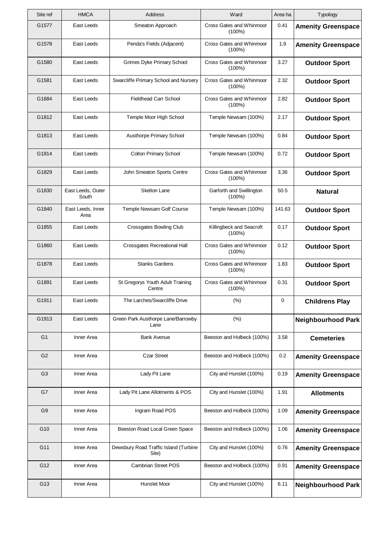| Typology                  | Area ha | Ward                                  | Address                                        | <b>HMCA</b>                | Site ref       |
|---------------------------|---------|---------------------------------------|------------------------------------------------|----------------------------|----------------|
| <b>Amenity Greenspace</b> | 0.41    | Cross Gates and Whinmoor<br>$(100\%)$ | Smeaton Approach                               | East Leeds                 | G1577          |
| <b>Amenity Greenspace</b> | 1.9     | Cross Gates and Whinmoor<br>$(100\%)$ | Penda's Fields (Adjacent)                      | East Leeds                 | G1578          |
| <b>Outdoor Sport</b>      | 3.27    | Cross Gates and Whinmoor<br>$(100\%)$ | Grimes Dyke Primary School                     | East Leeds                 | G1580          |
| <b>Outdoor Sport</b>      | 2.32    | Cross Gates and Whinmoor<br>$(100\%)$ | Swarcliffe Primary School and Nursery          | East Leeds                 | G1581          |
| <b>Outdoor Sport</b>      | 2.82    | Cross Gates and Whinmoor<br>$(100\%)$ | <b>Fieldhead Carr School</b>                   | East Leeds                 | G1684          |
| <b>Outdoor Sport</b>      | 2.17    | Temple Newsam (100%)                  | Temple Moor High School                        | East Leeds                 | G1812          |
| <b>Outdoor Sport</b>      | 0.84    | Temple Newsam (100%)                  | Austhorpe Primary School                       | East Leeds                 | G1813          |
| <b>Outdoor Sport</b>      | 0.72    | Temple Newsam (100%)                  | <b>Colton Primary School</b>                   | East Leeds                 | G1814          |
| <b>Outdoor Sport</b>      | 3.36    | Cross Gates and Whinmoor<br>$(100\%)$ | John Smeaton Sports Centre                     | East Leeds                 | G1829          |
| <b>Natural</b>            | 50.5    | Garforth and Swillington<br>$(100\%)$ | <b>Skelton Lane</b>                            | East Leeds, Outer<br>South | G1830          |
| <b>Outdoor Sport</b>      | 141.63  | Temple Newsam (100%)                  | Temple Newsam Golf Course                      | East Leeds, Inner<br>Area  | G1840          |
| <b>Outdoor Sport</b>      | 0.17    | Killingbeck and Seacroft<br>$(100\%)$ | <b>Crossgates Bowling Club</b>                 | East Leeds                 | G1855          |
| <b>Outdoor Sport</b>      | 0.12    | Cross Gates and Whinmoor<br>$(100\%)$ | Crossgates Recreational Hall                   | East Leeds                 | G1860          |
| <b>Outdoor Sport</b>      | 1.83    | Cross Gates and Whinmoor<br>$(100\%)$ | <b>Stanks Gardens</b>                          | East Leeds                 | G1878          |
| <b>Outdoor Sport</b>      | 0.31    | Cross Gates and Whinmoor<br>$(100\%)$ | St Gregorys Youth Adult Training<br>Centre     | East Leeds                 | G1891          |
| <b>Childrens Play</b>     | 0       | (%)                                   | The Larches/Swarcliffe Drive                   | East Leeds                 | G1911          |
| <b>Neighbourhood Park</b> |         | (%)                                   | Green Park Austhorpe Lane/Barrowby<br>Lane     | East Leeds                 | G1913          |
| <b>Cemeteries</b>         | 3.58    | Beeston and Holbeck (100%)            | <b>Bank Avenue</b>                             | Inner Area                 | G <sub>1</sub> |
| <b>Amenity Greenspace</b> | 0.2     | Beeston and Holbeck (100%)            | <b>Czar Street</b>                             | Inner Area                 | G <sub>2</sub> |
| <b>Amenity Greenspace</b> | 0.19    | City and Hunslet (100%)               | Lady Pit Lane                                  | Inner Area                 | G <sub>3</sub> |
| <b>Allotments</b>         | 1.91    | City and Hunslet (100%)               | Lady Pit Lane Allotments & POS                 | Inner Area                 | G7             |
| <b>Amenity Greenspace</b> | 1.09    | Beeston and Holbeck (100%)            | Ingram Road POS                                | Inner Area                 | G9             |
| <b>Amenity Greenspace</b> | 1.06    | Beeston and Holbeck (100%)            | Beeston Road Local Green Space                 | Inner Area                 | G10            |
| <b>Amenity Greenspace</b> | 0.76    | City and Hunslet (100%)               | Dewsbury Road Traffic Island (Turbine<br>Site) | Inner Area                 | G11            |
| <b>Amenity Greenspace</b> | 0.91    | Beeston and Holbeck (100%)            | <b>Cambrian Street POS</b>                     | Inner Area                 | G12            |
| <b>Neighbourhood Park</b> | 6.11    | City and Hunslet (100%)               | Hunslet Moor                                   | Inner Area                 | G13            |
|                           |         |                                       |                                                |                            |                |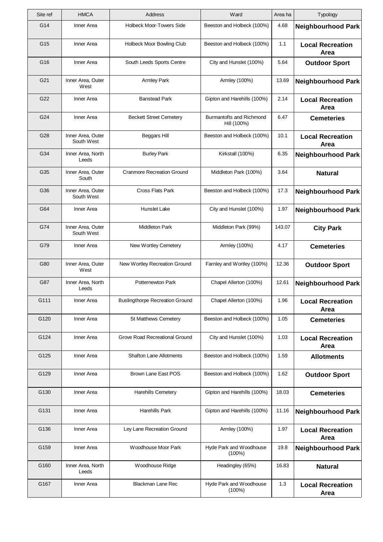| Site ref | <b>HMCA</b>                     | Address                                | Ward                                    | Area ha | Typology                               |
|----------|---------------------------------|----------------------------------------|-----------------------------------------|---------|----------------------------------------|
| G14      | Inner Area                      | <b>Holbeck Moor-Towers Side</b>        | Beeston and Holbeck (100%)              | 4.68    | <b>Neighbourhood Park</b>              |
| G15      | Inner Area                      | Holbeck Moor Bowling Club              | Beeston and Holbeck (100%)              | 1.1     | <b>Local Recreation</b><br>Area        |
| G16      | Inner Area                      | South Leeds Sports Centre              | City and Hunslet (100%)                 | 5.64    | <b>Outdoor Sport</b>                   |
| G21      | Inner Area, Outer<br>West       | <b>Armley Park</b>                     | Armley (100%)                           | 13.69   | <b>Neighbourhood Park</b>              |
| G22      | Inner Area                      | <b>Banstead Park</b>                   | Gipton and Harehills (100%)             | 2.14    | <b>Local Recreation</b><br>Area        |
| G24      | Inner Area                      | <b>Beckett Street Cemetery</b>         | Burmantofts and Richmond<br>Hill (100%) | 6.47    | <b>Cemeteries</b>                      |
| G28      | Inner Area, Outer<br>South West | <b>Beggars Hill</b>                    | Beeston and Holbeck (100%)              | 10.1    | <b>Local Recreation</b><br>Area        |
| G34      | Inner Area, North<br>Leeds      | <b>Burley Park</b>                     | Kirkstall (100%)                        | 6.35    | <b>Neighbourhood Park</b>              |
| G35      | Inner Area, Outer<br>South      | <b>Cranmore Recreation Ground</b>      | Middleton Park (100%)                   | 3.64    | <b>Natural</b>                         |
| G36      | Inner Area, Outer<br>South West | Cross Flats Park                       | Beeston and Holbeck (100%)              | 17.3    | <b>Neighbourhood Park</b>              |
| G64      | Inner Area                      | Hunslet Lake                           | City and Hunslet (100%)                 | 1.97    | <b>Neighbourhood Park</b>              |
| G74      | Inner Area, Outer<br>South West | <b>Middleton Park</b>                  | Middleton Park (99%)                    | 143.07  | <b>City Park</b>                       |
| G79      | Inner Area                      | New Wortley Cemetery                   | Armley (100%)                           | 4.17    | <b>Cemeteries</b>                      |
| G80      | Inner Area, Outer<br>West       | New Wortley Recreation Ground          | Farnley and Wortley (100%)              | 12.36   | <b>Outdoor Sport</b>                   |
| G87      | Inner Area, North<br>Leeds      | Potternewton Park                      | Chapel Allerton (100%)                  | 12.61   | <b>Neighbourhood Park</b>              |
| G111     | Inner Area                      | <b>Buslingthorpe Recreation Ground</b> | Chapel Allerton (100%)                  | 1.96    | <b>Local Recreation</b><br><b>Area</b> |
| G120     | Inner Area                      | <b>St Matthews Cemetery</b>            | Beeston and Holbeck (100%)              | 1.05    | <b>Cemeteries</b>                      |
| G124     | Inner Area                      | Grove Road Recreational Ground         | City and Hunslet (100%)                 | 1.03    | <b>Local Recreation</b><br>Area        |
| G125     | Inner Area                      | <b>Shafton Lane Allotments</b>         | Beeston and Holbeck (100%)              | 1.59    | <b>Allotments</b>                      |
| G129     | Inner Area                      | Brown Lane East POS                    | Beeston and Holbeck (100%)              | 1.62    | <b>Outdoor Sport</b>                   |
| G130     | Inner Area                      | <b>Harehills Cemetery</b>              | Gipton and Harehills (100%)             | 18.03   | <b>Cemeteries</b>                      |
| G131     | Inner Area                      | Harehills Park                         | Gipton and Harehills (100%)             | 11.16   | <b>Neighbourhood Park</b>              |
| G136     | Inner Area                      | Ley Lane Recreation Ground             | Armley (100%)                           | 1.97    | <b>Local Recreation</b><br>Area        |
| G159     | Inner Area                      | Woodhouse Moor Park                    | Hyde Park and Woodhouse<br>$(100\%)$    | 19.8    | <b>Neighbourhood Park</b>              |
| G160     | Inner Area, North<br>Leeds      | Woodhouse Ridge                        | Headingley (65%)                        | 16.83   | <b>Natural</b>                         |
| G167     | Inner Area                      | <b>Blackman Lane Rec</b>               | Hyde Park and Woodhouse<br>$(100\%)$    | 1.3     | <b>Local Recreation</b><br>Area        |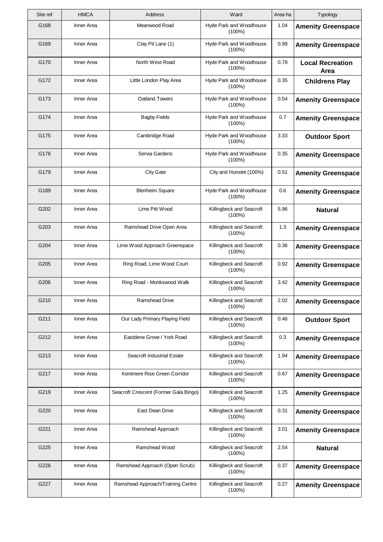| Site ref | <b>HMCA</b> | Address                               | Ward                                  | Area ha | Typology                        |
|----------|-------------|---------------------------------------|---------------------------------------|---------|---------------------------------|
| G168     | Inner Area  | Meanwood Road                         | Hyde Park and Woodhouse<br>(100%)     | 1.04    | <b>Amenity Greenspace</b>       |
| G169     | Inner Area  | Clay Pit Lane (1)                     | Hyde Park and Woodhouse<br>(100%)     | 0.99    | <b>Amenity Greenspace</b>       |
| G170     | Inner Area  | North West Road                       | Hyde Park and Woodhouse<br>$(100\%)$  | 0.78    | <b>Local Recreation</b><br>Area |
| G172     | Inner Area  | Little London Play Area               | Hyde Park and Woodhouse<br>(100%)     | 0.35    | <b>Childrens Play</b>           |
| G173     | Inner Area  | <b>Oatland Towers</b>                 | Hyde Park and Woodhouse<br>$(100\%)$  | 0.54    | <b>Amenity Greenspace</b>       |
| G174     | Inner Area  | <b>Bagby Fields</b>                   | Hyde Park and Woodhouse<br>$(100\%)$  | 0.7     | <b>Amenity Greenspace</b>       |
| G175     | Inner Area  | Cambridge Road                        | Hyde Park and Woodhouse<br>(100%)     | 3.33    | <b>Outdoor Sport</b>            |
| G176     | Inner Area  | Servia Gardens                        | Hyde Park and Woodhouse<br>(100%)     | 0.35    | <b>Amenity Greenspace</b>       |
| G179     | Inner Area  | <b>City Gate</b>                      | City and Hunslet (100%)               | 0.51    | <b>Amenity Greenspace</b>       |
| G189     | Inner Area  | <b>Blenheim Square</b>                | Hyde Park and Woodhouse<br>(100%)     | 0.6     | <b>Amenity Greenspace</b>       |
| G202     | Inner Area  | Lime Pitt Wood                        | Killingbeck and Seacroft<br>$(100\%)$ | 5.96    | <b>Natural</b>                  |
| G203     | Inner Area  | Ramshead Drive Open Area              | Killingbeck and Seacroft<br>$(100\%)$ | 1.3     | <b>Amenity Greenspace</b>       |
| G204     | Inner Area  | Lime Wood Approach Greenspace         | Killingbeck and Seacroft<br>$(100\%)$ | 0.36    | <b>Amenity Greenspace</b>       |
| G205     | Inner Area  | Ring Road, Lime Wood Court            | Killingbeck and Seacroft<br>(100%)    | 0.92    | <b>Amenity Greenspace</b>       |
| G206     | Inner Area  | Ring Road - Monkswood Walk            | Killingbeck and Seacroft<br>$(100\%)$ | 3.42    | <b>Amenity Greenspace</b>       |
| G210     | Inner Area  | Ramshead Drive                        | Killingbeck and Seacroft<br>$(100\%)$ | 2.02    | <b>Amenity Greenspace</b>       |
| G211     | Inner Area  | Our Lady Primary Playing Field        | Killingbeck and Seacroft<br>$(100\%)$ | 0.46    | <b>Outdoor Sport</b>            |
| G212     | Inner Area  | Eastdene Grove / York Road            | Killingbeck and Seacroft<br>$(100\%)$ | 0.3     | <b>Amenity Greenspace</b>       |
| G213     | Inner Area  | Seacroft Industrial Estate            | Killingbeck and Seacroft<br>$(100\%)$ | 1.94    | <b>Amenity Greenspace</b>       |
| G217     | Inner Area  | Kentmere Rise Green Corridor          | Killingbeck and Seacroft<br>$(100\%)$ | 0.67    | <b>Amenity Greenspace</b>       |
| G219     | Inner Area  | Seacroft Crescent (Former Gala Bingo) | Killingbeck and Seacroft<br>$(100\%)$ | 1.25    | <b>Amenity Greenspace</b>       |
| G220     | Inner Area  | East Dean Drive                       | Killingbeck and Seacroft<br>$(100\%)$ | 0.31    | <b>Amenity Greenspace</b>       |
| G221     | Inner Area  | Ramshead Approach                     | Killingbeck and Seacroft<br>$(100\%)$ | 3.01    | <b>Amenity Greenspace</b>       |
| G225     | Inner Area  | Ramshead Wood                         | Killingbeck and Seacroft<br>(100%)    | 2.54    | <b>Natural</b>                  |
| G226     | Inner Area  | Ramshead Approach (Open Scrub)        | Killingbeck and Seacroft<br>$(100\%)$ | 0.37    | <b>Amenity Greenspace</b>       |
| G227     | Inner Area  | Ramshead Approach/Training Centre     | Killingbeck and Seacroft<br>$(100\%)$ | 0.27    | <b>Amenity Greenspace</b>       |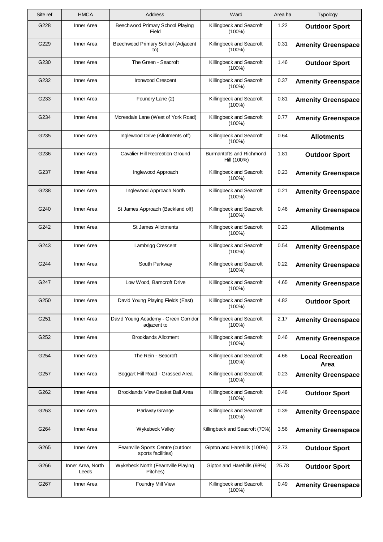| Site ref | <b>HMCA</b>                | Address                                                 | Ward                                    | Area ha | Typology                        |
|----------|----------------------------|---------------------------------------------------------|-----------------------------------------|---------|---------------------------------|
| G228     | Inner Area                 | Beechwood Primary School Playing<br>Field               | Killingbeck and Seacroft<br>$(100\%)$   | 1.22    | <b>Outdoor Sport</b>            |
| G229     | Inner Area                 | Beechwood Primary School (Adjacent<br>to)               | Killingbeck and Seacroft<br>$(100\%)$   | 0.31    | <b>Amenity Greenspace</b>       |
| G230     | Inner Area                 | The Green - Seacroft                                    | Killingbeck and Seacroft<br>$(100\%)$   | 1.46    | <b>Outdoor Sport</b>            |
| G232     | Inner Area                 | <b>Ironwood Crescent</b>                                | Killingbeck and Seacroft<br>$(100\%)$   | 0.37    | <b>Amenity Greenspace</b>       |
| G233     | Inner Area                 | Foundry Lane (2)                                        | Killingbeck and Seacroft<br>$(100\%)$   | 0.81    | <b>Amenity Greenspace</b>       |
| G234     | Inner Area                 | Moresdale Lane (West of York Road)                      | Killingbeck and Seacroft<br>$(100\%)$   | 0.77    | <b>Amenity Greenspace</b>       |
| G235     | Inner Area                 | Inglewood Drive (Allotments off)                        | Killingbeck and Seacroft<br>$(100\%)$   | 0.64    | <b>Allotments</b>               |
| G236     | Inner Area                 | <b>Cavalier Hill Recreation Ground</b>                  | Burmantofts and Richmond<br>Hill (100%) | 1.81    | <b>Outdoor Sport</b>            |
| G237     | Inner Area                 | Inglewood Approach                                      | Killingbeck and Seacroft<br>$(100\%)$   | 0.23    | <b>Amenity Greenspace</b>       |
| G238     | Inner Area                 | Inglewood Approach North                                | Killingbeck and Seacroft<br>$(100\%)$   | 0.21    | <b>Amenity Greenspace</b>       |
| G240     | Inner Area                 | St James Approach (Backland off)                        | Killingbeck and Seacroft<br>$(100\%)$   | 0.46    | <b>Amenity Greenspace</b>       |
| G242     | Inner Area                 | <b>St James Allotments</b>                              | Killingbeck and Seacroft<br>$(100\%)$   | 0.23    | <b>Allotments</b>               |
| G243     | Inner Area                 | Lambrigg Crescent                                       | Killingbeck and Seacroft<br>$(100\%)$   | 0.54    | <b>Amenity Greenspace</b>       |
| G244     | Inner Area                 | South Parkway                                           | Killingbeck and Seacroft<br>$(100\%)$   | 0.22    | <b>Amenity Greenspace</b>       |
| G247     | Inner Area                 | Low Wood, Barncroft Drive                               | Killingbeck and Seacroft<br>$(100\%)$   | 4.65    | <b>Amenity Greenspace</b>       |
| G250     | Inner Area                 | David Young Playing Fields (East)                       | Killingbeck and Seacroft<br>(100%)      | 4.82    | <b>Outdoor Sport</b>            |
| G251     | Inner Area                 | David Young Academy - Green Corridor<br>adjacent to     | Killingbeck and Seacroft<br>$(100\%)$   | 2.17    | <b>Amenity Greenspace</b>       |
| G252     | Inner Area                 | <b>Brooklands Allotment</b>                             | Killingbeck and Seacroft<br>$(100\%)$   | 0.46    | <b>Amenity Greenspace</b>       |
| G254     | Inner Area                 | The Rein - Seacroft                                     | Killingbeck and Seacroft<br>$(100\%)$   | 4.66    | <b>Local Recreation</b><br>Area |
| G257     | Inner Area                 | Boggart Hill Road - Grassed Area                        | Killingbeck and Seacroft<br>$(100\%)$   | 0.23    | <b>Amenity Greenspace</b>       |
| G262     | Inner Area                 | Brooklands View Basket Ball Area                        | Killingbeck and Seacroft<br>$(100\%)$   | 0.48    | <b>Outdoor Sport</b>            |
| G263     | Inner Area                 | Parkway Grange                                          | Killingbeck and Seacroft<br>$(100\%)$   | 0.39    | <b>Amenity Greenspace</b>       |
| G264     | Inner Area                 | Wykebeck Valley                                         | Killingbeck and Seacroft (70%)          | 3.56    | <b>Amenity Greenspace</b>       |
| G265     | Inner Area                 | Fearnville Sports Centre (outdoor<br>sports facilities) | Gipton and Harehills (100%)             | 2.73    | <b>Outdoor Sport</b>            |
| G266     | Inner Area, North<br>Leeds | Wykebeck North (Fearnville Playing<br>Pitches)          | Gipton and Harehills (98%)              | 25.78   | <b>Outdoor Sport</b>            |
| G267     | Inner Area                 | Foundry Mill View                                       | Killingbeck and Seacroft<br>$(100\%)$   | 0.49    | <b>Amenity Greenspace</b>       |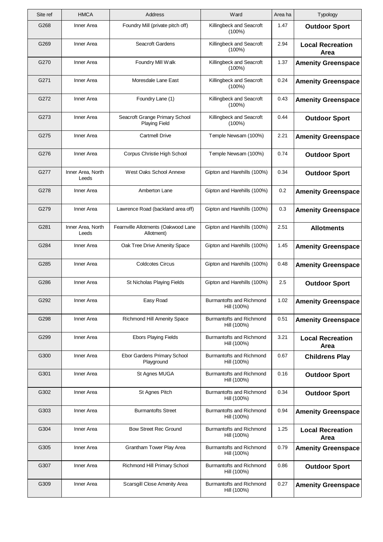| Site ref | <b>HMCA</b>                | <b>Address</b>                                         | Ward                                           | Area ha | Typology                        |
|----------|----------------------------|--------------------------------------------------------|------------------------------------------------|---------|---------------------------------|
| G268     | Inner Area                 | Foundry Mill (private pitch off)                       | Killingbeck and Seacroft<br>$(100\%)$          | 1.47    | <b>Outdoor Sport</b>            |
| G269     | Inner Area                 | <b>Seacroft Gardens</b>                                | Killingbeck and Seacroft<br>$(100\%)$          | 2.94    | <b>Local Recreation</b><br>Area |
| G270     | Inner Area                 | Foundry Mill Walk                                      | Killingbeck and Seacroft<br>$(100\%)$          | 1.37    | <b>Amenity Greenspace</b>       |
| G271     | Inner Area                 | Moresdale Lane East                                    | Killingbeck and Seacroft<br>$(100\%)$          | 0.24    | <b>Amenity Greenspace</b>       |
| G272     | Inner Area                 | Foundry Lane (1)                                       | Killingbeck and Seacroft<br>$(100\%)$          | 0.43    | <b>Amenity Greenspace</b>       |
| G273     | Inner Area                 | Seacroft Grange Primary School<br><b>Playing Field</b> | Killingbeck and Seacroft<br>$(100\%)$          | 0.44    | <b>Outdoor Sport</b>            |
| G275     | Inner Area                 | <b>Cartmell Drive</b>                                  | Temple Newsam (100%)                           | 2.21    | <b>Amenity Greenspace</b>       |
| G276     | Inner Area                 | Corpus Christie High School                            | Temple Newsam (100%)                           | 0.74    | <b>Outdoor Sport</b>            |
| G277     | Inner Area, North<br>Leeds | West Oaks School Annexe                                | Gipton and Harehills (100%)                    | 0.34    | <b>Outdoor Sport</b>            |
| G278     | Inner Area                 | Amberton Lane                                          | Gipton and Harehills (100%)                    | 0.2     | <b>Amenity Greenspace</b>       |
| G279     | Inner Area                 | Lawrence Road (backland area off)                      | Gipton and Harehills (100%)                    | 0.3     | <b>Amenity Greenspace</b>       |
| G281     | Inner Area, North<br>Leeds | Fearnville Allotments (Oakwood Lane<br>Allotment)      | Gipton and Harehills (100%)                    | 2.51    | <b>Allotments</b>               |
| G284     | Inner Area                 | Oak Tree Drive Amenity Space                           | Gipton and Harehills (100%)                    | 1.45    | <b>Amenity Greenspace</b>       |
| G285     | Inner Area                 | <b>Coldcotes Circus</b>                                | Gipton and Harehills (100%)                    | 0.48    | <b>Amenity Greenspace</b>       |
| G286     | Inner Area                 | St Nicholas Playing Fields                             | Gipton and Harehills (100%)                    | 2.5     | <b>Outdoor Sport</b>            |
| G292     | Inner Area                 | Easy Road                                              | Burmantofts and Richmond<br>Hill (100%)        | 1.02    | <b>Amenity Greenspace</b>       |
| G298     | Inner Area                 | <b>Richmond Hill Amenity Space</b>                     | Burmantofts and Richmond<br>Hill (100%)        | 0.51    | <b>Amenity Greenspace</b>       |
| G299     | Inner Area                 | <b>Ebors Playing Fields</b>                            | Burmantofts and Richmond<br>Hill (100%)        | 3.21    | <b>Local Recreation</b><br>Area |
| G300     | Inner Area                 | Ebor Gardens Primary School<br>Playground              | Burmantofts and Richmond<br>Hill (100%)        | 0.67    | <b>Childrens Play</b>           |
| G301     | Inner Area                 | St Agnes MUGA                                          | <b>Burmantofts and Richmond</b><br>Hill (100%) | 0.16    | <b>Outdoor Sport</b>            |
| G302     | Inner Area                 | St Agnes Pitch                                         | Burmantofts and Richmond<br>Hill (100%)        | 0.34    | <b>Outdoor Sport</b>            |
| G303     | Inner Area                 | <b>Burmantofts Street</b>                              | Burmantofts and Richmond<br>Hill (100%)        | 0.94    | <b>Amenity Greenspace</b>       |
| G304     | Inner Area                 | <b>Bow Street Rec Ground</b>                           | Burmantofts and Richmond<br>Hill (100%)        | 1.25    | <b>Local Recreation</b><br>Area |
| G305     | Inner Area                 | Grantham Tower Play Area                               | Burmantofts and Richmond<br>Hill (100%)        | 0.79    | <b>Amenity Greenspace</b>       |
| G307     | Inner Area                 | Richmond Hill Primary School                           | Burmantofts and Richmond<br>Hill (100%)        | 0.86    | <b>Outdoor Sport</b>            |
| G309     | Inner Area                 | Scarsgill Close Amenity Area                           | Burmantofts and Richmond<br>Hill (100%)        | 0.27    | <b>Amenity Greenspace</b>       |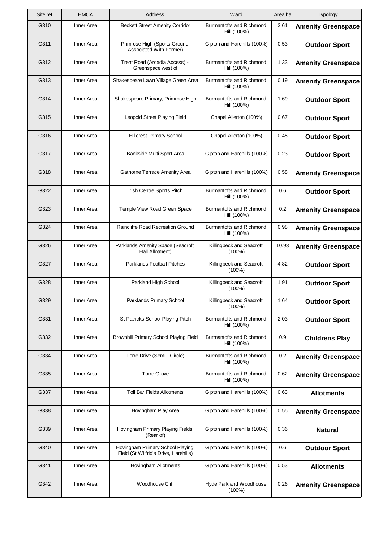| Site ref | <b>HMCA</b> | Address                                                                   | Ward                                    | Area ha | Typology                  |
|----------|-------------|---------------------------------------------------------------------------|-----------------------------------------|---------|---------------------------|
| G310     | Inner Area  | <b>Beckett Street Amenity Corridor</b>                                    | Burmantofts and Richmond<br>Hill (100%) | 3.61    | <b>Amenity Greenspace</b> |
| G311     | Inner Area  | Primrose High (Sports Ground<br>Associated With Former)                   | Gipton and Harehills (100%)             | 0.53    | <b>Outdoor Sport</b>      |
| G312     | Inner Area  | Trent Road (Arcadia Access) -<br>Greenspace west of                       | Burmantofts and Richmond<br>Hill (100%) | 1.33    | <b>Amenity Greenspace</b> |
| G313     | Inner Area  | Shakespeare Lawn Village Green Area                                       | Burmantofts and Richmond<br>Hill (100%) | 0.19    | <b>Amenity Greenspace</b> |
| G314     | Inner Area  | Shakespeare Primary, Primrose High                                        | Burmantofts and Richmond<br>Hill (100%) | 1.69    | <b>Outdoor Sport</b>      |
| G315     | Inner Area  | Leopold Street Playing Field                                              | Chapel Allerton (100%)                  | 0.67    | <b>Outdoor Sport</b>      |
| G316     | Inner Area  | <b>Hillcrest Primary School</b>                                           | Chapel Allerton (100%)                  | 0.45    | <b>Outdoor Sport</b>      |
| G317     | Inner Area  | Bankside Multi Sport Area                                                 | Gipton and Harehills (100%)             | 0.23    | <b>Outdoor Sport</b>      |
| G318     | Inner Area  | Gathorne Terrace Amenity Area                                             | Gipton and Harehills (100%)             | 0.58    | <b>Amenity Greenspace</b> |
| G322     | Inner Area  | Irish Centre Sports Pitch                                                 | Burmantofts and Richmond<br>Hill (100%) | 0.6     | <b>Outdoor Sport</b>      |
| G323     | Inner Area  | Temple View Road Green Space                                              | Burmantofts and Richmond<br>Hill (100%) | 0.2     | <b>Amenity Greenspace</b> |
| G324     | Inner Area  | Raincliffe Road Recreation Ground                                         | Burmantofts and Richmond<br>Hill (100%) | 0.98    | <b>Amenity Greenspace</b> |
| G326     | Inner Area  | Parklands Amenity Space (Seacroft<br>Hall Allotment)                      | Killingbeck and Seacroft<br>$(100\%)$   | 10.93   | <b>Amenity Greenspace</b> |
| G327     | Inner Area  | <b>Parklands Football Pitches</b>                                         | Killingbeck and Seacroft<br>$(100\%)$   | 4.82    | <b>Outdoor Sport</b>      |
| G328     | Inner Area  | Parkland High School                                                      | Killingbeck and Seacroft<br>$(100\%)$   | 1.91    | <b>Outdoor Sport</b>      |
| G329     | Inner Area  | Parklands Primary School                                                  | Killingbeck and Seacroft<br>(100%)      | 1.64    | <b>Outdoor Sport</b>      |
| G331     | Inner Area  | St Patricks School Playing Pitch                                          | Burmantofts and Richmond<br>Hill (100%) | 2.03    | <b>Outdoor Sport</b>      |
| G332     | Inner Area  | Brownhill Primary School Playing Field                                    | Burmantofts and Richmond<br>Hill (100%) | 0.9     | <b>Childrens Play</b>     |
| G334     | Inner Area  | Torre Drive (Semi - Circle)                                               | Burmantofts and Richmond<br>Hill (100%) | 0.2     | <b>Amenity Greenspace</b> |
| G335     | Inner Area  | <b>Torre Grove</b>                                                        | Burmantofts and Richmond<br>Hill (100%) | 0.62    | <b>Amenity Greenspace</b> |
| G337     | Inner Area  | <b>Toll Bar Fields Allotments</b>                                         | Gipton and Harehills (100%)             | 0.63    | <b>Allotments</b>         |
| G338     | Inner Area  | Hovingham Play Area                                                       | Gipton and Harehills (100%)             | 0.55    | <b>Amenity Greenspace</b> |
| G339     | Inner Area  | Hovingham Primary Playing Fields<br>(Rear of)                             | Gipton and Harehills (100%)             | 0.36    | <b>Natural</b>            |
| G340     | Inner Area  | Hovingham Primary School Playing<br>Field (St Wilfrid's Drive, Harehills) | Gipton and Harehills (100%)             | 0.6     | <b>Outdoor Sport</b>      |
| G341     | Inner Area  | Hovingham Allotments                                                      | Gipton and Harehills (100%)             | 0.53    | <b>Allotments</b>         |
| G342     | Inner Area  | Woodhouse Cliff                                                           | Hyde Park and Woodhouse<br>$(100\%)$    | 0.26    | <b>Amenity Greenspace</b> |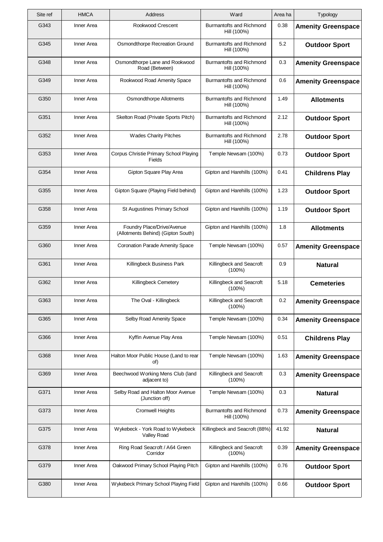| Site ref | <b>HMCA</b> | Address                                                          | Ward                                    | Area ha | Typology                  |
|----------|-------------|------------------------------------------------------------------|-----------------------------------------|---------|---------------------------|
| G343     | Inner Area  | Rookwood Crescent                                                | Burmantofts and Richmond<br>Hill (100%) | 0.38    | <b>Amenity Greenspace</b> |
| G345     | Inner Area  | Osmondthorpe Recreation Ground                                   | Burmantofts and Richmond<br>Hill (100%) | 5.2     | <b>Outdoor Sport</b>      |
| G348     | Inner Area  | Osmondthorpe Lane and Rookwood<br>Road (Between)                 | Burmantofts and Richmond<br>Hill (100%) | 0.3     | <b>Amenity Greenspace</b> |
| G349     | Inner Area  | Rookwood Road Amenity Space                                      | Burmantofts and Richmond<br>Hill (100%) | 0.6     | <b>Amenity Greenspace</b> |
| G350     | Inner Area  | Osmondthorpe Allotments                                          | Burmantofts and Richmond<br>Hill (100%) | 1.49    | <b>Allotments</b>         |
| G351     | Inner Area  | Skelton Road (Private Sports Pitch)                              | Burmantofts and Richmond<br>Hill (100%) | 2.12    | <b>Outdoor Sport</b>      |
| G352     | Inner Area  | <b>Wades Charity Pitches</b>                                     | Burmantofts and Richmond<br>Hill (100%) | 2.78    | <b>Outdoor Sport</b>      |
| G353     | Inner Area  | Corpus Christie Primary School Playing<br>Fields                 | Temple Newsam (100%)                    | 0.73    | <b>Outdoor Sport</b>      |
| G354     | Inner Area  | Gipton Square Play Area                                          | Gipton and Harehills (100%)             | 0.41    | <b>Childrens Play</b>     |
| G355     | Inner Area  | Gipton Square (Playing Field behind)                             | Gipton and Harehills (100%)             | 1.23    | <b>Outdoor Sport</b>      |
| G358     | Inner Area  | St Augustines Primary School                                     | Gipton and Harehills (100%)             | 1.19    | <b>Outdoor Sport</b>      |
| G359     | Inner Area  | Foundry Place/Drive/Avenue<br>(Allotments Behind) (Gipton South) | Gipton and Harehills (100%)             | 1.8     | <b>Allotments</b>         |
| G360     | Inner Area  | <b>Coronation Parade Amenity Space</b>                           | Temple Newsam (100%)                    | 0.57    | <b>Amenity Greenspace</b> |
| G361     | Inner Area  | Killingbeck Business Park                                        | Killingbeck and Seacroft<br>(100%)      | 0.9     | <b>Natural</b>            |
| G362     | Inner Area  | Killingbeck Cemetery                                             | Killingbeck and Seacroft<br>$(100\%)$   | 5.18    | <b>Cemeteries</b>         |
| G363     | Inner Area  | The Oval - Killingbeck                                           | Killingbeck and Seacroft<br>$(100\%)$   | $0.2\,$ | <b>Amenity Greenspace</b> |
| G365     | Inner Area  | Selby Road Amenity Space                                         | Temple Newsam (100%)                    | 0.34    | <b>Amenity Greenspace</b> |
| G366     | Inner Area  | Kyffin Avenue Play Area                                          | Temple Newsam (100%)                    | 0.51    | <b>Childrens Play</b>     |
| G368     | Inner Area  | Halton Moor Public House (Land to rear<br>of)                    | Temple Newsam (100%)                    | 1.63    | <b>Amenity Greenspace</b> |
| G369     | Inner Area  | Beechwood Working Mens Club (land<br>adjacent to)                | Killingbeck and Seacroft<br>$(100\%)$   | 0.3     | <b>Amenity Greenspace</b> |
| G371     | Inner Area  | Selby Road and Halton Moor Avenue<br>(Junction off)              | Temple Newsam (100%)                    | 0.3     | <b>Natural</b>            |
| G373     | Inner Area  | <b>Cromwell Heights</b>                                          | Burmantofts and Richmond<br>Hill (100%) | 0.73    | <b>Amenity Greenspace</b> |
| G375     | Inner Area  | Wykebeck - York Road to Wykebeck<br><b>Valley Road</b>           | Killingbeck and Seacroft (88%)          | 41.92   | <b>Natural</b>            |
| G378     | Inner Area  | Ring Road Seacroft / A64 Green<br>Corridor                       | Killingbeck and Seacroft<br>(100%)      | 0.39    | <b>Amenity Greenspace</b> |
| G379     | Inner Area  | Oakwood Primary School Playing Pitch                             | Gipton and Harehills (100%)             | 0.76    | <b>Outdoor Sport</b>      |
| G380     | Inner Area  | Wykebeck Primary School Playing Field                            | Gipton and Harehills (100%)             | 0.66    | <b>Outdoor Sport</b>      |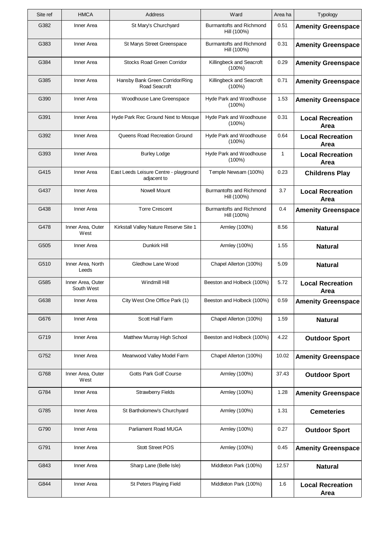| Site ref | <b>HMCA</b>                     | <b>Address</b>                                        | Ward                                    | Area ha      | Typology                               |
|----------|---------------------------------|-------------------------------------------------------|-----------------------------------------|--------------|----------------------------------------|
| G382     | Inner Area                      | St Mary's Churchyard                                  | Burmantofts and Richmond<br>Hill (100%) | 0.51         | <b>Amenity Greenspace</b>              |
| G383     | Inner Area                      | St Marys Street Greenspace                            | Burmantofts and Richmond<br>Hill (100%) | 0.31         | <b>Amenity Greenspace</b>              |
| G384     | Inner Area                      | <b>Stocks Road Green Corridor</b>                     | Killingbeck and Seacroft<br>$(100\%)$   | 0.29         | <b>Amenity Greenspace</b>              |
| G385     | Inner Area                      | Hansby Bank Green Corridor/Ring<br>Road Seacroft      | Killingbeck and Seacroft<br>$(100\%)$   | 0.71         | <b>Amenity Greenspace</b>              |
| G390     | Inner Area                      | Woodhouse Lane Greenspace                             | Hyde Park and Woodhouse<br>$(100\%)$    | 1.53         | <b>Amenity Greenspace</b>              |
| G391     | Inner Area                      | Hyde Park Rec Ground Next to Mosque                   | Hyde Park and Woodhouse<br>$(100\%)$    | 0.31         | <b>Local Recreation</b><br>Area        |
| G392     | Inner Area                      | Queens Road Recreation Ground                         | Hyde Park and Woodhouse<br>$(100\%)$    | 0.64         | <b>Local Recreation</b><br>Area        |
| G393     | Inner Area                      | <b>Burley Lodge</b>                                   | Hyde Park and Woodhouse<br>$(100\%)$    | $\mathbf{1}$ | <b>Local Recreation</b><br>Area        |
| G415     | Inner Area                      | East Leeds Leisure Centre - playground<br>adjacent to | Temple Newsam (100%)                    | 0.23         | <b>Childrens Play</b>                  |
| G437     | Inner Area                      | Nowell Mount                                          | Burmantofts and Richmond<br>Hill (100%) | 3.7          | <b>Local Recreation</b><br>Area        |
| G438     | Inner Area                      | <b>Torre Crescent</b>                                 | Burmantofts and Richmond<br>Hill (100%) | 0.4          | <b>Amenity Greenspace</b>              |
| G478     | Inner Area, Outer<br>West       | Kirkstall Valley Nature Reserve Site 1                | Armley (100%)                           | 8.56         | <b>Natural</b>                         |
| G505     | Inner Area                      | Dunkirk Hill                                          | Armley (100%)                           | 1.55         | <b>Natural</b>                         |
| G510     | Inner Area, North<br>Leeds      | Gledhow Lane Wood                                     | Chapel Allerton (100%)                  | 5.09         | <b>Natural</b>                         |
| G585     | Inner Area, Outer<br>South West | Windmill Hill                                         | Beeston and Holbeck (100%)              | 5.72         | <b>Local Recreation</b><br>Area        |
| G638     | Inner Area                      | City West One Office Park (1)                         | Beeston and Holbeck (100%)              | 0.59         | <b>Amenity Greenspace</b>              |
| G676     | Inner Area                      | Scott Hall Farm                                       | Chapel Allerton (100%)                  | 1.59         | <b>Natural</b>                         |
| G719     | Inner Area                      | Matthew Murray High School                            | Beeston and Holbeck (100%)              | 4.22         | <b>Outdoor Sport</b>                   |
| G752     | Inner Area                      | Meanwood Valley Model Farm                            | Chapel Allerton (100%)                  | 10.02        | <b>Amenity Greenspace</b>              |
| G768     | Inner Area, Outer<br>West       | Gotts Park Golf Course                                | Armley (100%)                           | 37.43        | <b>Outdoor Sport</b>                   |
| G784     | Inner Area                      | <b>Strawberry Fields</b>                              | Armley (100%)                           | 1.28         | <b>Amenity Greenspace</b>              |
| G785     | Inner Area                      | St Bartholomew's Churchyard                           | Armley (100%)                           | 1.31         | <b>Cemeteries</b>                      |
| G790     | Inner Area                      | Parliament Road MUGA                                  | Armley (100%)                           | 0.27         | <b>Outdoor Sport</b>                   |
| G791     | Inner Area                      | <b>Stott Street POS</b>                               | Armley (100%)                           | 0.45         | <b>Amenity Greenspace</b>              |
| G843     | Inner Area                      | Sharp Lane (Belle Isle)                               | Middleton Park (100%)                   | 12.57        | <b>Natural</b>                         |
| G844     | Inner Area                      | St Peters Playing Field                               | Middleton Park (100%)                   | 1.6          | <b>Local Recreation</b><br><b>Area</b> |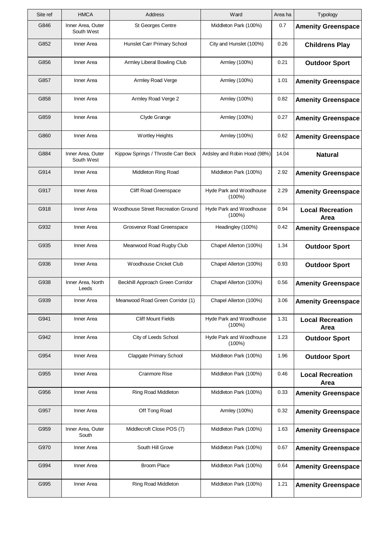| Site ref | <b>HMCA</b>                     | Address                             | Ward                                 | Area ha | Typology                        |
|----------|---------------------------------|-------------------------------------|--------------------------------------|---------|---------------------------------|
| G846     | Inner Area, Outer<br>South West | <b>St Georges Centre</b>            | Middleton Park (100%)                | 0.7     | <b>Amenity Greenspace</b>       |
| G852     | Inner Area                      | Hunslet Carr Primary School         | City and Hunslet (100%)              | 0.26    | <b>Childrens Play</b>           |
| G856     | Inner Area                      | Armley Liberal Bowling Club         | Armley (100%)                        | 0.21    | <b>Outdoor Sport</b>            |
| G857     | Inner Area                      | Armley Road Verge                   | Armley (100%)                        | 1.01    | <b>Amenity Greenspace</b>       |
| G858     | Inner Area                      | Armley Road Verge 2                 | Armley (100%)                        | 0.82    | <b>Amenity Greenspace</b>       |
| G859     | Inner Area                      | Clyde Grange                        | Armley (100%)                        | 0.27    | <b>Amenity Greenspace</b>       |
| G860     | Inner Area                      | <b>Wortley Heights</b>              | Armley (100%)                        | 0.62    | <b>Amenity Greenspace</b>       |
| G884     | Inner Area, Outer<br>South West | Kippow Springs / Throstle Carr Beck | Ardsley and Robin Hood (98%)         | 14.04   | <b>Natural</b>                  |
| G914     | Inner Area                      | Middleton Ring Road                 | Middleton Park (100%)                | 2.92    | <b>Amenity Greenspace</b>       |
| G917     | Inner Area                      | Cliff Road Greenspace               | Hyde Park and Woodhouse<br>$(100\%)$ | 2.29    | <b>Amenity Greenspace</b>       |
| G918     | Inner Area                      | Woodhouse Street Recreation Ground  | Hyde Park and Woodhouse<br>$(100\%)$ | 0.94    | <b>Local Recreation</b><br>Area |
| G932     | Inner Area                      | Grosvenor Road Greenspace           | Headingley (100%)                    | 0.42    | <b>Amenity Greenspace</b>       |
| G935     | Inner Area                      | Meanwood Road Rugby Club            | Chapel Allerton (100%)               | 1.34    | <b>Outdoor Sport</b>            |
| G936     | Inner Area                      | Woodhouse Cricket Club              | Chapel Allerton (100%)               | 0.93    | <b>Outdoor Sport</b>            |
| G938     | Inner Area, North<br>Leeds      | Beckhill Approach Green Corridor    | Chapel Allerton (100%)               | 0.56    | <b>Amenity Greenspace</b>       |
| G939     | Inner Area                      | Meanwood Road Green Corridor (1)    | Chapel Allerton (100%)               | 3.06    | <b>Amenity Greenspace</b>       |
| G941     | Inner Area                      | <b>Cliff Mount Fields</b>           | Hyde Park and Woodhouse<br>$(100\%)$ | 1.31    | <b>Local Recreation</b><br>Area |
| G942     | Inner Area                      | City of Leeds School                | Hyde Park and Woodhouse<br>$(100\%)$ | 1.23    | <b>Outdoor Sport</b>            |
| G954     | Inner Area                      | <b>Clapgate Primary School</b>      | Middleton Park (100%)                | 1.96    | <b>Outdoor Sport</b>            |
| G955     | Inner Area                      | <b>Cranmore Rise</b>                | Middleton Park (100%)                | 0.46    | <b>Local Recreation</b><br>Area |
| G956     | Inner Area                      | Ring Road Middleton                 | Middleton Park (100%)                | 0.33    | <b>Amenity Greenspace</b>       |
| G957     | Inner Area                      | Off Tong Road                       | Armley (100%)                        | 0.32    | <b>Amenity Greenspace</b>       |
| G959     | Inner Area, Outer<br>South      | Middlecroft Close POS (7)           | Middleton Park (100%)                | 1.63    | <b>Amenity Greenspace</b>       |
| G970     | Inner Area                      | South Hill Grove                    | Middleton Park (100%)                | 0.67    | <b>Amenity Greenspace</b>       |
| G994     | Inner Area                      | <b>Broom Place</b>                  | Middleton Park (100%)                | 0.64    | <b>Amenity Greenspace</b>       |
| G995     | Inner Area                      | Ring Road Middleton                 | Middleton Park (100%)                | 1.21    | <b>Amenity Greenspace</b>       |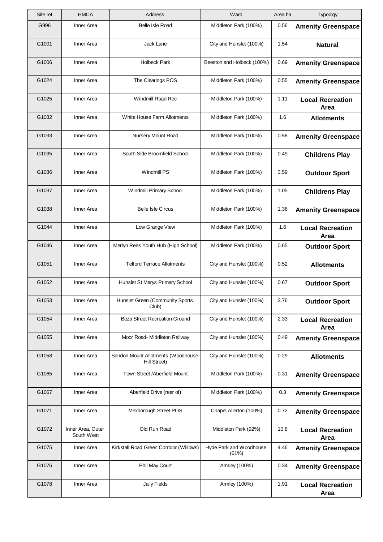| Site ref | <b>HMCA</b>                     | Address                                                   | Ward                             | Area ha | Typology                        |
|----------|---------------------------------|-----------------------------------------------------------|----------------------------------|---------|---------------------------------|
| G996     | Inner Area                      | <b>Belle Isle Road</b>                                    | Middleton Park (100%)            | 0.56    | <b>Amenity Greenspace</b>       |
| G1001    | Inner Area                      | Jack Lane                                                 | City and Hunslet (100%)          | 1.54    | <b>Natural</b>                  |
| G1006    | Inner Area                      | <b>Holbeck Park</b>                                       | Beeston and Holbeck (100%)       | 0.69    | <b>Amenity Greenspace</b>       |
| G1024    | Inner Area                      | The Clearings POS                                         | Middleton Park (100%)            | 0.55    | <b>Amenity Greenspace</b>       |
| G1025    | Inner Area                      | Windmill Road Rec                                         | Middleton Park (100%)            | 1.11    | <b>Local Recreation</b><br>Area |
| G1032    | Inner Area                      | White House Farm Allotments                               | Middleton Park (100%)            | 1.6     | <b>Allotments</b>               |
| G1033    | Inner Area                      | Nursery Mount Road                                        | Middleton Park (100%)            | 0.58    | <b>Amenity Greenspace</b>       |
| G1035    | Inner Area                      | South Side Broomfield School                              | Middleton Park (100%)            | 0.49    | <b>Childrens Play</b>           |
| G1036    | Inner Area                      | Windmill PS                                               | Middleton Park (100%)            | 3.59    | <b>Outdoor Sport</b>            |
| G1037    | Inner Area                      | Windmill Primary School                                   | Middleton Park (100%)            | 1.05    | <b>Childrens Play</b>           |
| G1038    | Inner Area                      | <b>Belle Isle Circus</b>                                  | Middleton Park (100%)            | 1.36    | <b>Amenity Greenspace</b>       |
| G1044    | Inner Area                      | Low Grange View                                           | Middleton Park (100%)            | 1.6     | <b>Local Recreation</b><br>Area |
| G1046    | Inner Area                      | Merlyn Rees Youth Hub (High School)                       | Middleton Park (100%)            | 0.65    | <b>Outdoor Sport</b>            |
| G1051    | Inner Area                      | <b>Telford Terrace Allotments</b>                         | City and Hunslet (100%)          | 0.52    | <b>Allotments</b>               |
| G1052    | Inner Area                      | Hunslet St Marys Primary School                           | City and Hunslet (100%)          | 0.67    | <b>Outdoor Sport</b>            |
| G1053    | Inner Area                      | Hunslet Green (Community Sports<br>Club)                  | City and Hunslet (100%)          | 3.76    | <b>Outdoor Sport</b>            |
| G1054    | Inner Area                      | <b>Beza Street Recreation Ground</b>                      | City and Hunslet (100%)          | 2.33    | <b>Local Recreation</b><br>Area |
| G1055    | Inner Area                      | Moor Road- Middleton Railway                              | City and Hunslet (100%)          | 0.49    | <b>Amenity Greenspace</b>       |
| G1058    | Inner Area                      | Sandon Mount Allotments (Woodhouse<br><b>Hill Street)</b> | City and Hunslet (100%)          | 0.29    | <b>Allotments</b>               |
| G1065    | Inner Area                      | Town Street /Aberfield Mount                              | Middleton Park (100%)            | 0.31    | <b>Amenity Greenspace</b>       |
| G1067    | Inner Area                      | Aberfield Drive (rear of)                                 | Middleton Park (100%)            | 0.3     | <b>Amenity Greenspace</b>       |
| G1071    | Inner Area                      | Mexborough Street POS                                     | Chapel Allerton (100%)           | 0.72    | <b>Amenity Greenspace</b>       |
| G1072    | Inner Area, Outer<br>South West | Old Run Road                                              | Middleton Park (92%)             | 10.8    | <b>Local Recreation</b><br>Area |
| G1075    | Inner Area                      | Kirkstall Road Green Corridor (Willows)                   | Hyde Park and Woodhouse<br>(61%) | 4.46    | <b>Amenity Greenspace</b>       |
| G1076    | Inner Area                      | Phil May Court                                            | Armley (100%)                    | 0.34    | <b>Amenity Greenspace</b>       |
| G1078    | Inner Area                      | <b>Jaily Fields</b>                                       | Armley (100%)                    | 1.91    | <b>Local Recreation</b><br>Area |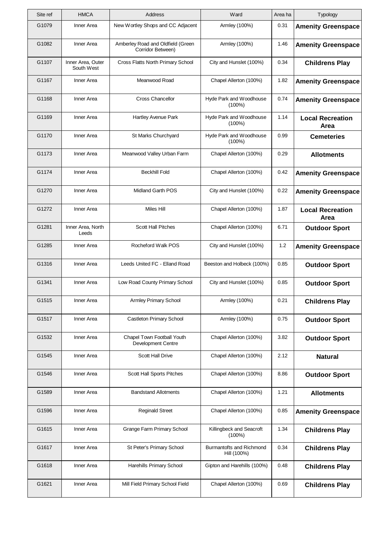| Site ref | <b>HMCA</b>                     | Address                                                 | Ward                                    | Area ha | Typology                        |
|----------|---------------------------------|---------------------------------------------------------|-----------------------------------------|---------|---------------------------------|
| G1079    | Inner Area                      | New Wortley Shops and CC Adjacent                       | Armley (100%)                           | 0.31    | <b>Amenity Greenspace</b>       |
| G1082    | Inner Area                      | Amberley Road and Oldfield (Green<br>Corridor Between)  | Armley (100%)                           | 1.46    | <b>Amenity Greenspace</b>       |
| G1107    | Inner Area, Outer<br>South West | Cross Flatts North Primary School                       | City and Hunslet (100%)                 | 0.34    | <b>Childrens Play</b>           |
| G1167    | Inner Area                      | Meanwood Road                                           | Chapel Allerton (100%)                  | 1.82    | <b>Amenity Greenspace</b>       |
| G1168    | Inner Area                      | <b>Cross Chancellor</b>                                 | Hyde Park and Woodhouse<br>$(100\%)$    | 0.74    | <b>Amenity Greenspace</b>       |
| G1169    | Inner Area                      | Hartley Avenue Park                                     | Hyde Park and Woodhouse<br>$(100\%)$    | 1.14    | <b>Local Recreation</b><br>Area |
| G1170    | Inner Area                      | St Marks Churchyard                                     | Hyde Park and Woodhouse<br>$(100\%)$    | 0.99    | <b>Cemeteries</b>               |
| G1173    | Inner Area                      | Meanwood Valley Urban Farm                              | Chapel Allerton (100%)                  | 0.29    | <b>Allotments</b>               |
| G1174    | Inner Area                      | <b>Beckhill Fold</b>                                    | Chapel Allerton (100%)                  | 0.42    | <b>Amenity Greenspace</b>       |
| G1270    | Inner Area                      | Midland Garth POS                                       | City and Hunslet (100%)                 | 0.22    | <b>Amenity Greenspace</b>       |
| G1272    | Inner Area                      | <b>Miles Hill</b>                                       | Chapel Allerton (100%)                  | 1.87    | <b>Local Recreation</b><br>Area |
| G1281    | Inner Area, North<br>Leeds      | Scott Hall Pitches                                      | Chapel Allerton (100%)                  | 6.71    | <b>Outdoor Sport</b>            |
| G1285    | Inner Area                      | Rocheford Walk POS                                      | City and Hunslet (100%)                 | 1.2     | <b>Amenity Greenspace</b>       |
| G1316    | Inner Area                      | Leeds United FC - Elland Road                           | Beeston and Holbeck (100%)              | 0.85    | <b>Outdoor Sport</b>            |
| G1341    | Inner Area                      | Low Road County Primary School                          | City and Hunslet (100%)                 | 0.85    | <b>Outdoor Sport</b>            |
| G1515    | Inner Area                      | Armley Primary School                                   | Armley (100%)                           | 0.21    | <b>Childrens Play</b>           |
| G1517    | Inner Area                      | <b>Castleton Primary School</b>                         | Armley (100%)                           | 0.75    | <b>Outdoor Sport</b>            |
| G1532    | Inner Area                      | Chapel Town Football Youth<br><b>Development Centre</b> | Chapel Allerton (100%)                  | 3.82    | <b>Outdoor Sport</b>            |
| G1545    | Inner Area                      | <b>Scott Hall Drive</b>                                 | Chapel Allerton (100%)                  | 2.12    | <b>Natural</b>                  |
| G1546    | Inner Area                      | Scott Hall Sports Pitches                               | Chapel Allerton (100%)                  | 8.86    | <b>Outdoor Sport</b>            |
| G1589    | Inner Area                      | <b>Bandstand Allotments</b>                             | Chapel Allerton (100%)                  | 1.21    | <b>Allotments</b>               |
| G1596    | Inner Area                      | <b>Reginald Street</b>                                  | Chapel Allerton (100%)                  | 0.85    | <b>Amenity Greenspace</b>       |
| G1615    | Inner Area                      | <b>Grange Farm Primary School</b>                       | Killingbeck and Seacroft<br>$(100\%)$   | 1.34    | <b>Childrens Play</b>           |
| G1617    | Inner Area                      | St Peter's Primary School                               | Burmantofts and Richmond<br>Hill (100%) | 0.34    | <b>Childrens Play</b>           |
| G1618    | Inner Area                      | Harehills Primary School                                | Gipton and Harehills (100%)             | 0.48    | <b>Childrens Play</b>           |
| G1621    | Inner Area                      | Mill Field Primary School Field                         | Chapel Allerton (100%)                  | 0.69    | <b>Childrens Play</b>           |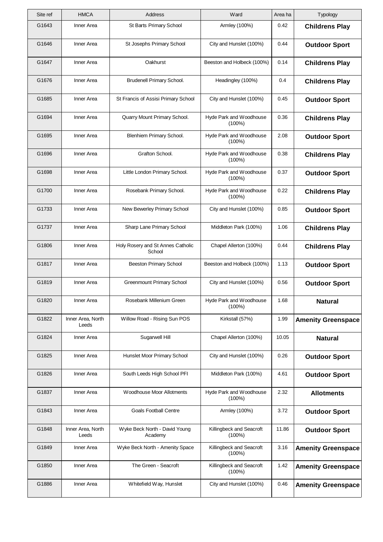| Site ref | <b>HMCA</b>                | Address                                     | Ward                                  | Area ha | Typology                  |
|----------|----------------------------|---------------------------------------------|---------------------------------------|---------|---------------------------|
| G1643    | Inner Area                 | St Barts Primary School                     | Armley (100%)                         | 0.42    | <b>Childrens Play</b>     |
| G1646    | Inner Area                 | St Josephs Primary School                   | City and Hunslet (100%)               | 0.44    | <b>Outdoor Sport</b>      |
| G1647    | Inner Area                 | Oakhurst                                    | Beeston and Holbeck (100%)            | 0.14    | <b>Childrens Play</b>     |
| G1676    | Inner Area                 | Brudenell Primary School.                   | Headingley (100%)                     | 0.4     | <b>Childrens Play</b>     |
| G1685    | Inner Area                 | St Francis of Assisi Primary School         | City and Hunslet (100%)               | 0.45    | <b>Outdoor Sport</b>      |
| G1694    | Inner Area                 | Quarry Mount Primary School.                | Hyde Park and Woodhouse<br>$(100\%)$  | 0.36    | <b>Childrens Play</b>     |
| G1695    | Inner Area                 | Blenhiem Primary School.                    | Hyde Park and Woodhouse<br>$(100\%)$  | 2.08    | <b>Outdoor Sport</b>      |
| G1696    | Inner Area                 | Grafton School.                             | Hyde Park and Woodhouse<br>$(100\%)$  | 0.38    | <b>Childrens Play</b>     |
| G1698    | Inner Area                 | Little London Primary School.               | Hyde Park and Woodhouse<br>$(100\%)$  | 0.37    | <b>Outdoor Sport</b>      |
| G1700    | Inner Area                 | Rosebank Primary School.                    | Hyde Park and Woodhouse<br>$(100\%)$  | 0.22    | <b>Childrens Play</b>     |
| G1733    | Inner Area                 | New Bewerley Primary School                 | City and Hunslet (100%)               | 0.85    | <b>Outdoor Sport</b>      |
| G1737    | Inner Area                 | Sharp Lane Primary School                   | Middleton Park (100%)                 | 1.06    | <b>Childrens Play</b>     |
| G1806    | Inner Area                 | Holy Rosery and St Annes Catholic<br>School | Chapel Allerton (100%)                | 0.44    | <b>Childrens Play</b>     |
| G1817    | Inner Area                 | <b>Beeston Primary School</b>               | Beeston and Holbeck (100%)            | 1.13    | <b>Outdoor Sport</b>      |
| G1819    | Inner Area                 | <b>Greenmount Primary School</b>            | City and Hunslet (100%)               | 0.56    | <b>Outdoor Sport</b>      |
| G1820    | Inner Area                 | Rosebank Millenium Green                    | Hyde Park and Woodhouse<br>$(100\%)$  | 1.68    | <b>Natural</b>            |
| G1822    | Inner Area, North<br>Leeds | Willow Road - Rising Sun POS                | Kirkstall (57%)                       | 1.99    | <b>Amenity Greenspace</b> |
| G1824    | Inner Area                 | Sugarwell Hill                              | Chapel Allerton (100%)                | 10.05   | <b>Natural</b>            |
| G1825    | Inner Area                 | Hunslet Moor Primary School                 | City and Hunslet (100%)               | 0.26    | <b>Outdoor Sport</b>      |
| G1826    | Inner Area                 | South Leeds High School PFI                 | Middleton Park (100%)                 | 4.61    | <b>Outdoor Sport</b>      |
| G1837    | Inner Area                 | Woodhouse Moor Allotments                   | Hyde Park and Woodhouse<br>$(100\%)$  | 2.32    | <b>Allotments</b>         |
| G1843    | Inner Area                 | <b>Goals Football Centre</b>                | Armley (100%)                         | 3.72    | <b>Outdoor Sport</b>      |
| G1848    | Inner Area, North<br>Leeds | Wyke Beck North - David Young<br>Academy    | Killingbeck and Seacroft<br>$(100\%)$ | 11.86   | <b>Outdoor Sport</b>      |
| G1849    | Inner Area                 | Wyke Beck North - Amenity Space             | Killingbeck and Seacroft<br>$(100\%)$ | 3.16    | <b>Amenity Greenspace</b> |
| G1850    | Inner Area                 | The Green - Seacroft                        | Killingbeck and Seacroft<br>$(100\%)$ | 1.42    | <b>Amenity Greenspace</b> |
| G1886    | Inner Area                 | Whitefield Way, Hunslet                     | City and Hunslet (100%)               | 0.46    | <b>Amenity Greenspace</b> |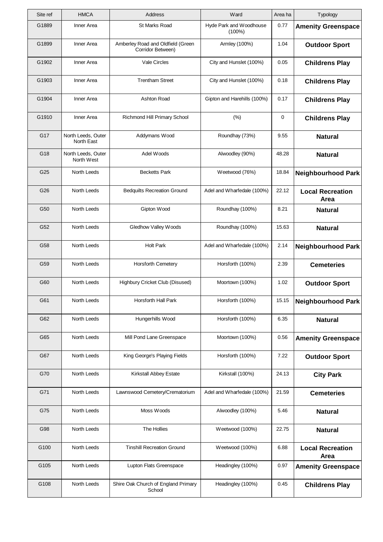| Site ref | <b>HMCA</b>                      | Address                                                | Ward                              | Area ha | Typology                               |
|----------|----------------------------------|--------------------------------------------------------|-----------------------------------|---------|----------------------------------------|
| G1889    | Inner Area                       | St Marks Road                                          | Hyde Park and Woodhouse<br>(100%) | 0.77    | <b>Amenity Greenspace</b>              |
| G1899    | Inner Area                       | Amberley Road and Oldfield (Green<br>Corridor Between) | Armley (100%)                     | 1.04    | <b>Outdoor Sport</b>                   |
| G1902    | Inner Area                       | Vale Circles                                           | City and Hunslet (100%)           | 0.05    | <b>Childrens Play</b>                  |
| G1903    | Inner Area                       | <b>Trentham Street</b>                                 | City and Hunslet (100%)           | 0.18    | <b>Childrens Play</b>                  |
| G1904    | Inner Area                       | Ashton Road                                            | Gipton and Harehills (100%)       | 0.17    | <b>Childrens Play</b>                  |
| G1910    | Inner Area                       | Richmond Hill Primary School                           | (% )                              | 0       | <b>Childrens Play</b>                  |
| G17      | North Leeds, Outer<br>North East | Addymans Wood                                          | Roundhay (73%)                    | 9.55    | <b>Natural</b>                         |
| G18      | North Leeds, Outer<br>North West | Adel Woods                                             | Alwoodley (90%)                   | 48.28   | <b>Natural</b>                         |
| G25      | North Leeds                      | <b>Becketts Park</b>                                   | Weetwood (76%)                    | 18.84   | <b>Neighbourhood Park</b>              |
| G26      | North Leeds                      | <b>Bedquilts Recreation Ground</b>                     | Adel and Wharfedale (100%)        | 22.12   | <b>Local Recreation</b><br>Area        |
| G50      | North Leeds                      | Gipton Wood                                            | Roundhay (100%)                   | 8.21    | <b>Natural</b>                         |
| G52      | North Leeds                      | Gledhow Valley Woods                                   | Roundhay (100%)                   | 15.63   | <b>Natural</b>                         |
| G58      | North Leeds                      | <b>Holt Park</b>                                       | Adel and Wharfedale (100%)        | 2.14    | <b>Neighbourhood Park</b>              |
| G59      | North Leeds                      | Horsforth Cemetery                                     | Horsforth (100%)                  | 2.39    | <b>Cemeteries</b>                      |
| G60      | North Leeds                      | Highbury Cricket Club (Disused)                        | Moortown (100%)                   | 1.02    | <b>Outdoor Sport</b>                   |
| G61      | North Leeds                      | Horsforth Hall Park                                    | Horsforth (100%)                  | 15.15   | <b>Neighbourhood Park</b>              |
| G62      | North Leeds                      | Hungerhills Wood                                       | Horsforth (100%)                  | 6.35    | <b>Natural</b>                         |
| G65      | North Leeds                      | Mill Pond Lane Greenspace                              | Moortown (100%)                   | 0.56    | <b>Amenity Greenspace</b>              |
| G67      | North Leeds                      | King George's Playing Fields                           | Horsforth (100%)                  | 7.22    | <b>Outdoor Sport</b>                   |
| G70      | North Leeds                      | Kirkstall Abbey Estate                                 | Kirkstall (100%)                  | 24.13   | <b>City Park</b>                       |
| G71      | North Leeds                      | Lawnswood Cemetery/Crematorium                         | Adel and Wharfedale (100%)        | 21.59   | <b>Cemeteries</b>                      |
| G75      | North Leeds                      | Moss Woods                                             | Alwoodley (100%)                  | 5.46    | <b>Natural</b>                         |
| G98      | North Leeds                      | The Hollies                                            | Weetwood (100%)                   | 22.75   | <b>Natural</b>                         |
| G100     | North Leeds                      | <b>Tinshill Recreation Ground</b>                      | Weetwood (100%)                   | 6.88    | <b>Local Recreation</b><br><b>Area</b> |
| G105     | North Leeds                      | Lupton Flats Greenspace                                | Headingley (100%)                 | 0.97    | <b>Amenity Greenspace</b>              |
| G108     | North Leeds                      | Shire Oak Church of England Primary<br>School          | Headingley (100%)                 | 0.45    | <b>Childrens Play</b>                  |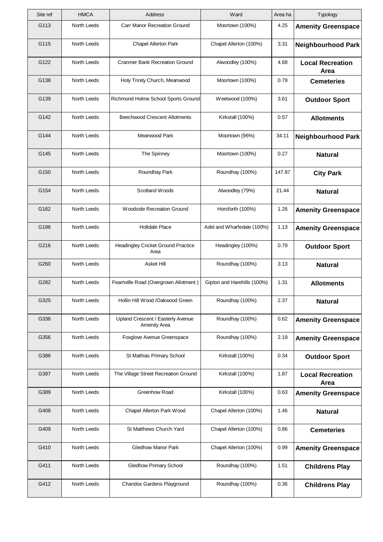| Site ref | <b>HMCA</b> | Address                                                  | Ward                        | Area ha | Typology                        |
|----------|-------------|----------------------------------------------------------|-----------------------------|---------|---------------------------------|
| G113     | North Leeds | Carr Manor Recreation Ground                             | Moortown (100%)             | 4.25    | <b>Amenity Greenspace</b>       |
| G115     | North Leeds | <b>Chapel Allerton Park</b>                              | Chapel Allerton (100%)      | 3.31    | <b>Neighbourhood Park</b>       |
| G122     | North Leeds | <b>Cranmer Bank Recreation Ground</b>                    | Alwoodley (100%)            | 4.68    | <b>Local Recreation</b><br>Area |
| G138     | North Leeds | Holy Trinity Church, Meanwood                            | Moortown (100%)             | 0.79    | <b>Cemeteries</b>               |
| G139     | North Leeds | Richmond Holme School Sports Ground                      | Weetwood (100%)             | 3.61    | <b>Outdoor Sport</b>            |
| G142     | North Leeds | <b>Beechwood Crescent Allotments</b>                     | Kirkstall (100%)            | 0.57    | <b>Allotments</b>               |
| G144     | North Leeds | Meanwood Park                                            | Moortown (96%)              | 34.11   | <b>Neighbourhood Park</b>       |
| G145     | North Leeds | The Spinney                                              | Moortown (100%)             | 0.27    | <b>Natural</b>                  |
| G150     | North Leeds | Roundhay Park                                            | Roundhay (100%)             | 147.87  | <b>City Park</b>                |
| G154     | North Leeds | Scotland Woods                                           | Alwoodley (79%)             | 21.44   | <b>Natural</b>                  |
| G162     | North Leeds | <b>Woodside Recreation Ground</b>                        | Horsforth (100%)            | 1.26    | <b>Amenity Greenspace</b>       |
| G186     | North Leeds | <b>Holtdale Place</b>                                    | Adel and Wharfedale (100%)  | 1.13    | <b>Amenity Greenspace</b>       |
| G216     | North Leeds | <b>Headingley Cricket Ground Practice</b><br>Area        | Headingley (100%)           | 0.79    | <b>Outdoor Sport</b>            |
| G260     | North Leeds | Asket Hill                                               | Roundhay (100%)             | 3.13    | <b>Natural</b>                  |
| G282     | North Leeds | Fearnville Road (Overgrown Allotment)                    | Gipton and Harehills (100%) | 1.31    | <b>Allotments</b>               |
| G325     | North Leeds | Hollin Hill Wood /Oakwood Green                          | Roundhay (100%)             | 2.37    | <b>Natural</b>                  |
| G336     | North Leeds | Upland Crescent / Easterly Avenue<br><b>Amenity Area</b> | Roundhay (100%)             | 0.62    | <b>Amenity Greenspace</b>       |
| G356     | North Leeds | Foxglove Avenue Greenspace                               | Roundhay (100%)             | 2.19    | <b>Amenity Greenspace</b>       |
| G386     | North Leeds | St Mathias Primary School                                | Kirkstall (100%)            | 0.34    | <b>Outdoor Sport</b>            |
| G387     | North Leeds | The Village Street Recreation Ground                     | Kirkstall (100%)            | 1.87    | <b>Local Recreation</b><br>Area |
| G389     | North Leeds | Greenhow Road                                            | Kirkstall (100%)            | 0.63    | <b>Amenity Greenspace</b>       |
| G408     | North Leeds | Chapel Allerton Park Wood                                | Chapel Allerton (100%)      | 1.46    | <b>Natural</b>                  |
| G409     | North Leeds | St Matthews Church Yard                                  | Chapel Allerton (100%)      | 0.86    | <b>Cemeteries</b>               |
| G410     | North Leeds | <b>Gledhow Manor Park</b>                                | Chapel Allerton (100%)      | 0.99    | <b>Amenity Greenspace</b>       |
| G411     | North Leeds | <b>Gledhow Primary School</b>                            | Roundhay (100%)             | 1.51    | <b>Childrens Play</b>           |
| G412     | North Leeds | Chandos Gardens Playground                               | Roundhay (100%)             | 0.36    | <b>Childrens Play</b>           |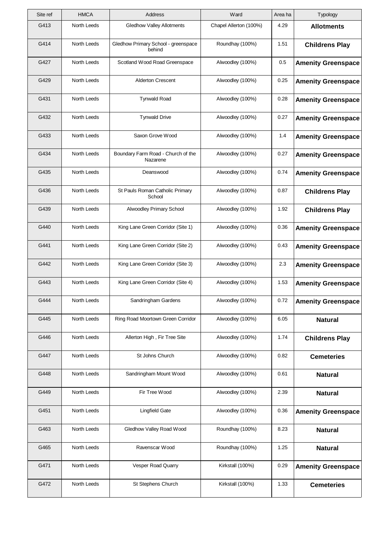| Site ref | <b>HMCA</b>        | Address                                        | Ward                   | Area ha | Typology                  |
|----------|--------------------|------------------------------------------------|------------------------|---------|---------------------------|
| G413     | North Leeds        | <b>Gledhow Valley Allotments</b>               | Chapel Allerton (100%) | 4.29    | <b>Allotments</b>         |
| G414     | <b>North Leeds</b> | Gledhow Primary School - greenspace<br>behind  | Roundhay (100%)        | 1.51    | <b>Childrens Play</b>     |
| G427     | North Leeds        | Scotland Wood Road Greenspace                  | Alwoodley (100%)       | 0.5     | <b>Amenity Greenspace</b> |
| G429     | <b>North Leeds</b> | <b>Alderton Crescent</b>                       | Alwoodley (100%)       | 0.25    | <b>Amenity Greenspace</b> |
| G431     | North Leeds        | <b>Tynwald Road</b>                            | Alwoodley (100%)       | 0.28    | <b>Amenity Greenspace</b> |
| G432     | North Leeds        | <b>Tynwald Drive</b>                           | Alwoodley (100%)       | 0.27    | <b>Amenity Greenspace</b> |
| G433     | North Leeds        | Saxon Grove Wood                               | Alwoodley (100%)       | 1.4     | <b>Amenity Greenspace</b> |
| G434     | North Leeds        | Boundary Farm Road - Church of the<br>Nazarene | Alwoodley (100%)       | 0.27    | <b>Amenity Greenspace</b> |
| G435     | North Leeds        | Deanswood                                      | Alwoodley (100%)       | 0.74    | <b>Amenity Greenspace</b> |
| G436     | North Leeds        | St Pauls Roman Catholic Primary<br>School      | Alwoodley (100%)       | 0.87    | <b>Childrens Play</b>     |
| G439     | North Leeds        | Alwoodley Primary School                       | Alwoodley (100%)       | 1.92    | <b>Childrens Play</b>     |
| G440     | North Leeds        | King Lane Green Corridor (Site 1)              | Alwoodley (100%)       | 0.36    | <b>Amenity Greenspace</b> |
| G441     | North Leeds        | King Lane Green Corridor (Site 2)              | Alwoodley (100%)       | 0.43    | <b>Amenity Greenspace</b> |
| G442     | North Leeds        | King Lane Green Corridor (Site 3)              | Alwoodley (100%)       | 2.3     | <b>Amenity Greenspace</b> |
| G443     | <b>North Leeds</b> | King Lane Green Corridor (Site 4)              | Alwoodley (100%)       | 1.53    | <b>Amenity Greenspace</b> |
| G444     | North Leeds        | Sandringham Gardens                            | Alwoodley (100%)       | 0.72    | <b>Amenity Greenspace</b> |
| G445     | North Leeds        | Ring Road Moortown Green Corridor              | Alwoodley (100%)       | 6.05    | <b>Natural</b>            |
| G446     | North Leeds        | Allerton High, Fir Tree Site                   | Alwoodley (100%)       | 1.74    | <b>Childrens Play</b>     |
| G447     | North Leeds        | St Johns Church                                | Alwoodley (100%)       | 0.82    | <b>Cemeteries</b>         |
| G448     | North Leeds        | Sandringham Mount Wood                         | Alwoodley (100%)       | 0.61    | <b>Natural</b>            |
| G449     | North Leeds        | Fir Tree Wood                                  | Alwoodley (100%)       | 2.39    | <b>Natural</b>            |
| G451     | North Leeds        | <b>Lingfield Gate</b>                          | Alwoodley (100%)       | 0.36    | <b>Amenity Greenspace</b> |
| G463     | North Leeds        | Gledhow Valley Road Wood                       | Roundhay (100%)        | 8.23    | <b>Natural</b>            |
| G465     | North Leeds        | Ravenscar Wood                                 | Roundhay (100%)        | 1.25    | <b>Natural</b>            |
| G471     | North Leeds        | Vesper Road Quarry                             | Kirkstall (100%)       | 0.29    | <b>Amenity Greenspace</b> |
| G472     | North Leeds        | St Stephens Church                             | Kirkstall (100%)       | 1.33    | <b>Cemeteries</b>         |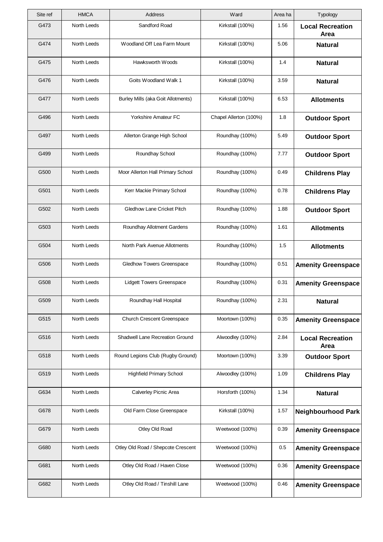| Site ref | <b>HMCA</b>        | Address                            | Ward                   | Area ha | Typology                        |
|----------|--------------------|------------------------------------|------------------------|---------|---------------------------------|
| G473     | North Leeds        | Sandford Road                      | Kirkstall (100%)       | 1.56    | <b>Local Recreation</b><br>Area |
| G474     | North Leeds        | Woodland Off Lea Farm Mount        | Kirkstall (100%)       | 5.06    | <b>Natural</b>                  |
| G475     | North Leeds        | Hawksworth Woods                   | Kirkstall (100%)       | 1.4     | <b>Natural</b>                  |
| G476     | North Leeds        | Goits Woodland Walk 1              | Kirkstall (100%)       | 3.59    | <b>Natural</b>                  |
| G477     | North Leeds        | Burley Mills (aka Goit Allotments) | Kirkstall (100%)       | 6.53    | <b>Allotments</b>               |
| G496     | North Leeds        | Yorkshire Amateur FC               | Chapel Allerton (100%) | 1.8     | <b>Outdoor Sport</b>            |
| G497     | North Leeds        | Allerton Grange High School        | Roundhay (100%)        | 5.49    | <b>Outdoor Sport</b>            |
| G499     | <b>North Leeds</b> | Roundhay School                    | Roundhay (100%)        | 7.77    | <b>Outdoor Sport</b>            |
| G500     | North Leeds        | Moor Allerton Hall Primary School  | Roundhay (100%)        | 0.49    | <b>Childrens Play</b>           |
| G501     | North Leeds        | Kerr Mackie Primary School         | Roundhay (100%)        | 0.78    | <b>Childrens Play</b>           |
| G502     | North Leeds        | Gledhow Lane Cricket Pitch         | Roundhay (100%)        | 1.88    | <b>Outdoor Sport</b>            |
| G503     | North Leeds        | Roundhay Allotment Gardens         | Roundhay (100%)        | 1.61    | <b>Allotments</b>               |
| G504     | North Leeds        | North Park Avenue Allotments       | Roundhay (100%)        | 1.5     | <b>Allotments</b>               |
| G506     | North Leeds        | <b>Gledhow Towers Greenspace</b>   | Roundhay (100%)        | 0.51    | <b>Amenity Greenspace</b>       |
| G508     | North Leeds        | <b>Lidgett Towers Greenspace</b>   | Roundhay (100%)        | 0.31    | <b>Amenity Greenspace</b>       |
| G509     | North Leeds        | Roundhay Hall Hospital             | Roundhay (100%)        | 2.31    | <b>Natural</b>                  |
| G515     | North Leeds        | <b>Church Crescent Greenspace</b>  | Moortown (100%)        | 0.35    | <b>Amenity Greenspace</b>       |
| G516     | North Leeds        | Shadwell Lane Recreation Ground    | Alwoodley (100%)       | 2.84    | <b>Local Recreation</b><br>Area |
| G518     | North Leeds        | Round Legions Club (Rugby Ground)  | Moortown (100%)        | 3.39    | <b>Outdoor Sport</b>            |
| G519     | North Leeds        | <b>Highfield Primary School</b>    | Alwoodley (100%)       | 1.09    | <b>Childrens Play</b>           |
| G634     | North Leeds        | Calverley Picnic Area              | Horsforth (100%)       | 1.34    | <b>Natural</b>                  |
| G678     | North Leeds        | Old Farm Close Greenspace          | Kirkstall (100%)       | 1.57    | <b>Neighbourhood Park</b>       |
| G679     | North Leeds        | Otley Old Road                     | Weetwood (100%)        | 0.39    | <b>Amenity Greenspace</b>       |
| G680     | North Leeds        | Otley Old Road / Shepcote Crescent | Weetwood (100%)        | 0.5     | <b>Amenity Greenspace</b>       |
| G681     | North Leeds        | Otley Old Road / Haven Close       | Weetwood (100%)        | 0.36    | <b>Amenity Greenspace</b>       |
| G682     | North Leeds        | Otley Old Road / Tinshill Lane     | Weetwood (100%)        | 0.46    | <b>Amenity Greenspace</b>       |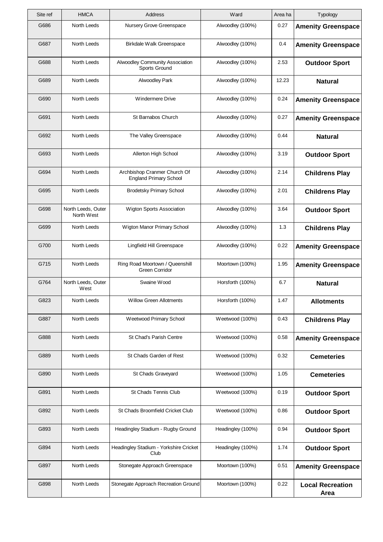| Site ref | <b>HMCA</b>                      | Address                                                       | Ward              | Area ha | Typology                        |
|----------|----------------------------------|---------------------------------------------------------------|-------------------|---------|---------------------------------|
| G686     | North Leeds                      | Nursery Grove Greenspace                                      | Alwoodley (100%)  | 0.27    | <b>Amenity Greenspace</b>       |
| G687     | North Leeds                      | Birkdale Walk Greenspace                                      | Alwoodley (100%)  | 0.4     | <b>Amenity Greenspace</b>       |
| G688     | North Leeds                      | Alwoodley Community Association<br>Sports Ground              | Alwoodley (100%)  | 2.53    | <b>Outdoor Sport</b>            |
| G689     | North Leeds                      | <b>Alwoodley Park</b>                                         | Alwoodley (100%)  | 12.23   | <b>Natural</b>                  |
| G690     | North Leeds                      | <b>Windermere Drive</b>                                       | Alwoodley (100%)  | 0.24    | <b>Amenity Greenspace</b>       |
| G691     | North Leeds                      | St Barnabos Church                                            | Alwoodley (100%)  | 0.27    | <b>Amenity Greenspace</b>       |
| G692     | North Leeds                      | The Valley Greenspace                                         | Alwoodley (100%)  | 0.44    | <b>Natural</b>                  |
| G693     | North Leeds                      | Allerton High School                                          | Alwoodley (100%)  | 3.19    | <b>Outdoor Sport</b>            |
| G694     | North Leeds                      | Archbishop Cranmer Church Of<br><b>England Primary School</b> | Alwoodley (100%)  | 2.14    | <b>Childrens Play</b>           |
| G695     | <b>North Leeds</b>               | <b>Brodetsky Primary School</b>                               | Alwoodley (100%)  | 2.01    | <b>Childrens Play</b>           |
| G698     | North Leeds, Outer<br>North West | <b>Wigton Sports Association</b>                              | Alwoodley (100%)  | 3.64    | <b>Outdoor Sport</b>            |
| G699     | North Leeds                      | Wigton Manor Primary School                                   | Alwoodley (100%)  | 1.3     | <b>Childrens Play</b>           |
| G700     | North Leeds                      | Lingfield Hill Greenspace                                     | Alwoodley (100%)  | 0.22    | <b>Amenity Greenspace</b>       |
| G715     | North Leeds                      | Ring Road Moortown / Queenshill<br>Green Corridor             | Moortown (100%)   | 1.95    | <b>Amenity Greenspace</b>       |
| G764     | North Leeds, Outer<br>West       | Swaine Wood                                                   | Horsforth (100%)  | 6.7     | <b>Natural</b>                  |
| G823     | North Leeds                      | Willow Green Allotments                                       | Horsforth (100%)  | 1.47    | <b>Allotments</b>               |
| G887     | North Leeds                      | Weetwood Primary School                                       | Weetwood (100%)   | 0.43    | <b>Childrens Play</b>           |
| G888     | North Leeds                      | <b>St Chad's Parish Centre</b>                                | Weetwood (100%)   | 0.58    | <b>Amenity Greenspace</b>       |
| G889     | North Leeds                      | St Chads Garden of Rest                                       | Weetwood (100%)   | 0.32    | <b>Cemeteries</b>               |
| G890     | North Leeds                      | St Chads Graveyard                                            | Weetwood (100%)   | 1.05    | <b>Cemeteries</b>               |
| G891     | North Leeds                      | <b>St Chads Tennis Club</b>                                   | Weetwood (100%)   | 0.19    | <b>Outdoor Sport</b>            |
| G892     | North Leeds                      | St Chads Broomfield Cricket Club                              | Weetwood (100%)   | 0.86    | <b>Outdoor Sport</b>            |
| G893     | North Leeds                      | Headingley Stadium - Rugby Ground                             | Headingley (100%) | 0.94    | <b>Outdoor Sport</b>            |
| G894     | North Leeds                      | Headingley Stadium - Yorkshire Cricket<br>Club                | Headingley (100%) | 1.74    | <b>Outdoor Sport</b>            |
| G897     | North Leeds                      | Stonegate Approach Greenspace                                 | Moortown (100%)   | 0.51    | <b>Amenity Greenspace</b>       |
| G898     | North Leeds                      | Stonegate Approach Recreation Ground                          | Moortown (100%)   | 0.22    | <b>Local Recreation</b><br>Area |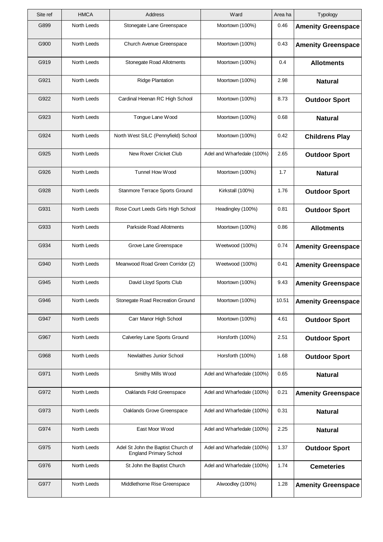| Site ref | <b>HMCA</b> | Address                                                             | Ward                       | Area ha | Typology                  |
|----------|-------------|---------------------------------------------------------------------|----------------------------|---------|---------------------------|
| G899     | North Leeds | Stonegate Lane Greenspace                                           | Moortown (100%)            | 0.46    | <b>Amenity Greenspace</b> |
| G900     | North Leeds | Church Avenue Greenspace                                            | Moortown (100%)            | 0.43    | <b>Amenity Greenspace</b> |
| G919     | North Leeds | Stonegate Road Allotments                                           | Moortown (100%)            | 0.4     | <b>Allotments</b>         |
| G921     | North Leeds | <b>Ridge Plantation</b>                                             | Moortown (100%)            | 2.98    | <b>Natural</b>            |
| G922     | North Leeds | Cardinal Heenan RC High School                                      | Moortown (100%)            | 8.73    | <b>Outdoor Sport</b>      |
| G923     | North Leeds | Tongue Lane Wood                                                    | Moortown (100%)            | 0.68    | <b>Natural</b>            |
| G924     | North Leeds | North West SILC (Pennyfield) School                                 | Moortown (100%)            | 0.42    | <b>Childrens Play</b>     |
| G925     | North Leeds | New Rover Cricket Club                                              | Adel and Wharfedale (100%) | 2.65    | <b>Outdoor Sport</b>      |
| G926     | North Leeds | <b>Tunnel How Wood</b>                                              | Moortown (100%)            | 1.7     | <b>Natural</b>            |
| G928     | North Leeds | Stanmore Terrace Sports Ground                                      | Kirkstall (100%)           | 1.76    | <b>Outdoor Sport</b>      |
| G931     | North Leeds | Rose Court Leeds Girls High School                                  | Headingley (100%)          | 0.81    | <b>Outdoor Sport</b>      |
| G933     | North Leeds | Parkside Road Allotments                                            | Moortown (100%)            | 0.86    | <b>Allotments</b>         |
| G934     | North Leeds | Grove Lane Greenspace                                               | Weetwood (100%)            | 0.74    | <b>Amenity Greenspace</b> |
| G940     | North Leeds | Meanwood Road Green Corridor (2)                                    | Weetwood (100%)            | 0.41    | <b>Amenity Greenspace</b> |
| G945     | North Leeds | David Lloyd Sports Club                                             | Moortown (100%)            | 9.43    | <b>Amenity Greenspace</b> |
| G946     | North Leeds | Stonegate Road Recreation Ground                                    | Moortown (100%)            | 10.51   | <b>Amenity Greenspace</b> |
| G947     | North Leeds | Carr Manor High School                                              | Moortown (100%)            | 4.61    | <b>Outdoor Sport</b>      |
| G967     | North Leeds | Calverley Lane Sports Ground                                        | Horsforth (100%)           | 2.51    | <b>Outdoor Sport</b>      |
| G968     | North Leeds | Newlaithes Junior School                                            | Horsforth (100%)           | 1.68    | <b>Outdoor Sport</b>      |
| G971     | North Leeds | Smithy Mills Wood                                                   | Adel and Wharfedale (100%) | 0.65    | <b>Natural</b>            |
| G972     | North Leeds | Oaklands Fold Greenspace                                            | Adel and Wharfedale (100%) | 0.21    | <b>Amenity Greenspace</b> |
| G973     | North Leeds | Oaklands Grove Greenspace                                           | Adel and Wharfedale (100%) | 0.31    | <b>Natural</b>            |
| G974     | North Leeds | East Moor Wood                                                      | Adel and Wharfedale (100%) | 2.25    | <b>Natural</b>            |
| G975     | North Leeds | Adel St John the Baptist Church of<br><b>England Primary School</b> | Adel and Wharfedale (100%) | 1.37    | <b>Outdoor Sport</b>      |
| G976     | North Leeds | St John the Baptist Church                                          | Adel and Wharfedale (100%) | 1.74    | <b>Cemeteries</b>         |
| G977     | North Leeds | Middlethorne Rise Greenspace                                        | Alwoodley (100%)           | 1.28    | <b>Amenity Greenspace</b> |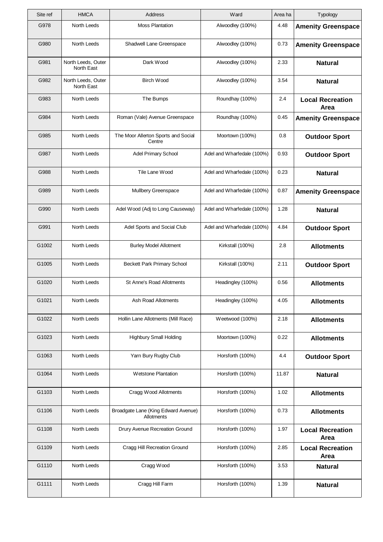| Site ref | <b>HMCA</b>                      | Address                                           | Ward                       | Area ha | Typology                               |
|----------|----------------------------------|---------------------------------------------------|----------------------------|---------|----------------------------------------|
| G978     | North Leeds                      | <b>Moss Plantation</b>                            | Alwoodley (100%)           | 4.48    | <b>Amenity Greenspace</b>              |
| G980     | <b>North Leeds</b>               | Shadwell Lane Greenspace                          | Alwoodley (100%)           | 0.73    | <b>Amenity Greenspace</b>              |
| G981     | North Leeds, Outer<br>North East | Dark Wood                                         | Alwoodley (100%)           | 2.33    | <b>Natural</b>                         |
| G982     | North Leeds, Outer<br>North East | <b>Birch Wood</b>                                 | Alwoodley (100%)           | 3.54    | <b>Natural</b>                         |
| G983     | North Leeds                      | The Bumps                                         | Roundhay (100%)            | 2.4     | <b>Local Recreation</b><br>Area        |
| G984     | North Leeds                      | Roman (Vale) Avenue Greenspace                    | Roundhay (100%)            | 0.45    | <b>Amenity Greenspace</b>              |
| G985     | North Leeds                      | The Moor Allerton Sports and Social<br>Centre     | Moortown (100%)            | 0.8     | <b>Outdoor Sport</b>                   |
| G987     | North Leeds                      | <b>Adel Primary School</b>                        | Adel and Wharfedale (100%) | 0.93    | <b>Outdoor Sport</b>                   |
| G988     | North Leeds                      | Tile Lane Wood                                    | Adel and Wharfedale (100%) | 0.23    | <b>Natural</b>                         |
| G989     | <b>North Leeds</b>               | <b>Mullbery Greenspace</b>                        | Adel and Wharfedale (100%) | 0.87    | <b>Amenity Greenspace</b>              |
| G990     | North Leeds                      | Adel Wood (Adj to Long Causeway)                  | Adel and Wharfedale (100%) | 1.28    | <b>Natural</b>                         |
| G991     | North Leeds                      | Adel Sports and Social Club                       | Adel and Wharfedale (100%) | 4.84    | <b>Outdoor Sport</b>                   |
| G1002    | North Leeds                      | <b>Burley Model Allotment</b>                     | Kirkstall (100%)           | 2.8     | <b>Allotments</b>                      |
| G1005    | North Leeds                      | <b>Beckett Park Primary School</b>                | Kirkstall (100%)           | 2.11    | <b>Outdoor Sport</b>                   |
| G1020    | North Leeds                      | St Anne's Road Allotments                         | Headingley (100%)          | 0.56    | <b>Allotments</b>                      |
| G1021    | North Leeds                      | Ash Road Allotments                               | Headingley (100%)          | 4.05    | <b>Allotments</b>                      |
| G1022    | North Leeds                      | Hollin Lane Allotments (Mill Race)                | Weetwood (100%)            | 2.18    | <b>Allotments</b>                      |
| G1023    | North Leeds                      | <b>Highbury Small Holding</b>                     | Moortown (100%)            | 0.22    | <b>Allotments</b>                      |
| G1063    | North Leeds                      | Yarn Bury Rugby Club                              | Horsforth (100%)           | 4.4     | <b>Outdoor Sport</b>                   |
| G1064    | North Leeds                      | <b>Wetstone Plantation</b>                        | Horsforth (100%)           | 11.87   | <b>Natural</b>                         |
| G1103    | North Leeds                      | Cragg Wood Allotments                             | Horsforth (100%)           | 1.02    | <b>Allotments</b>                      |
| G1106    | North Leeds                      | Broadgate Lane (King Edward Avenue)<br>Allotments | Horsforth (100%)           | 0.73    | <b>Allotments</b>                      |
| G1108    | North Leeds                      | Drury Avenue Recreation Ground                    | Horsforth (100%)           | 1.97    | <b>Local Recreation</b><br>Area        |
| G1109    | North Leeds                      | Cragg Hill Recreation Ground                      | Horsforth (100%)           | 2.85    | <b>Local Recreation</b><br><b>Area</b> |
| G1110    | North Leeds                      | Cragg Wood                                        | Horsforth (100%)           | 3.53    | <b>Natural</b>                         |
| G1111    | North Leeds                      | Cragg Hill Farm                                   | Horsforth (100%)           | 1.39    | <b>Natural</b>                         |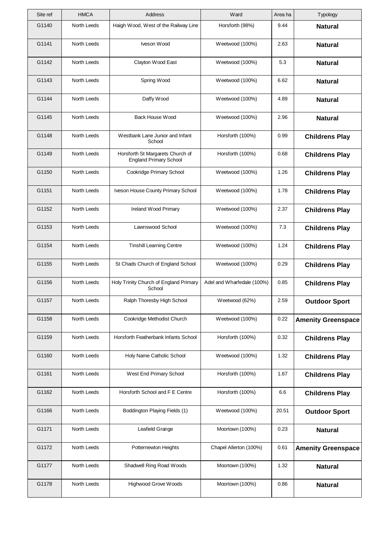| Site ref | <b>HMCA</b> | Address                                                           | Ward                       | Area ha | Typology                  |
|----------|-------------|-------------------------------------------------------------------|----------------------------|---------|---------------------------|
| G1140    | North Leeds | Haigh Wood, West of the Railway Line                              | Horsforth (98%)            | 9.44    | <b>Natural</b>            |
| G1141    | North Leeds | Iveson Wood                                                       | Weetwood (100%)            | 2.63    | <b>Natural</b>            |
| G1142    | North Leeds | Clayton Wood East                                                 | Weetwood (100%)            | 5.3     | <b>Natural</b>            |
| G1143    | North Leeds | Spring Wood                                                       | Weetwood (100%)            | 6.62    | <b>Natural</b>            |
| G1144    | North Leeds | Daffy Wood                                                        | Weetwood (100%)            | 4.89    | <b>Natural</b>            |
| G1145    | North Leeds | Back House Wood                                                   | Weetwood (100%)            | 2.96    | <b>Natural</b>            |
| G1148    | North Leeds | Westbank Lane Junior and Infant<br>School                         | Horsforth (100%)           | 0.99    | <b>Childrens Play</b>     |
| G1149    | North Leeds | Horsforth St Margarets Church of<br><b>England Primary School</b> | Horsforth (100%)           | 0.68    | <b>Childrens Play</b>     |
| G1150    | North Leeds | Cookridge Primary School                                          | Weetwood (100%)            | 1.26    | <b>Childrens Play</b>     |
| G1151    | North Leeds | Iveson House County Primary School                                | Weetwood (100%)            | 1.78    | <b>Childrens Play</b>     |
| G1152    | North Leeds | Ireland Wood Primary                                              | Weetwood (100%)            | 2.37    | <b>Childrens Play</b>     |
| G1153    | North Leeds | Lawnswood School                                                  | Weetwood (100%)            | 7.3     | <b>Childrens Play</b>     |
| G1154    | North Leeds | <b>Tinshill Learning Centre</b>                                   | Weetwood (100%)            | 1.24    | <b>Childrens Play</b>     |
| G1155    | North Leeds | St Chads Church of England School                                 | Weetwood (100%)            | 0.29    | <b>Childrens Play</b>     |
| G1156    | North Leeds | Holy Trinity Church of England Primary<br>School                  | Adel and Wharfedale (100%) | 0.85    | <b>Childrens Play</b>     |
| G1157    | North Leeds | Ralph Thoresby High School                                        | Weetwood (62%)             | 2.59    | <b>Outdoor Sport</b>      |
| G1158    | North Leeds | Cookridge Methodist Church                                        | Weetwood (100%)            | 0.22    | <b>Amenity Greenspace</b> |
| G1159    | North Leeds | Horsforth Featherbank Infants School                              | Horsforth (100%)           | 0.32    | <b>Childrens Play</b>     |
| G1160    | North Leeds | Holy Name Catholic School                                         | Weetwood (100%)            | 1.32    | <b>Childrens Play</b>     |
| G1161    | North Leeds | West End Primary School                                           | Horsforth (100%)           | 1.67    | <b>Childrens Play</b>     |
| G1162    | North Leeds | Horsforth School and F E Centre                                   | Horsforth (100%)           | 6.6     | <b>Childrens Play</b>     |
| G1166    | North Leeds | Boddington Playing Fields (1)                                     | Weetwood (100%)            | 20.51   | <b>Outdoor Sport</b>      |
| G1171    | North Leeds | Leafield Grange                                                   | Moortown (100%)            | 0.23    | <b>Natural</b>            |
| G1172    | North Leeds | Potternewton Heights                                              | Chapel Allerton (100%)     | 0.61    | <b>Amenity Greenspace</b> |
| G1177    | North Leeds | Shadwell Ring Road Woods                                          | Moortown (100%)            | 1.32    | <b>Natural</b>            |
| G1178    | North Leeds | <b>Highwood Grove Woods</b>                                       | Moortown (100%)            | 0.86    | <b>Natural</b>            |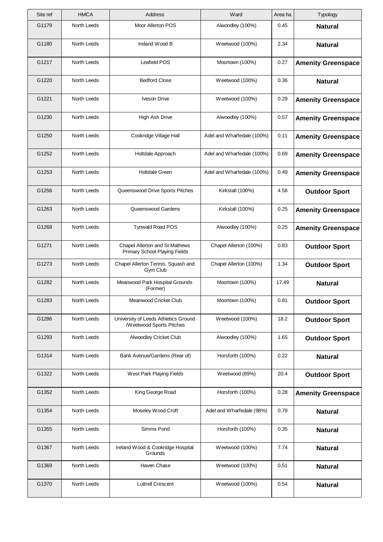| Site ref | <b>HMCA</b>        | Address                                                          | Ward                       | Area ha | Typology                  |
|----------|--------------------|------------------------------------------------------------------|----------------------------|---------|---------------------------|
| G1179    | North Leeds        | Moor Allerton POS                                                | Alwoodley (100%)           | 0.45    | <b>Natural</b>            |
| G1180    | North Leeds        | Ireland Wood B                                                   | Weetwood (100%)            | 2.34    | <b>Natural</b>            |
| G1217    | North Leeds        | Leafield POS                                                     | Moortown (100%)            | 0.27    | <b>Amenity Greenspace</b> |
| G1220    | North Leeds        | <b>Bedford Close</b>                                             | Weetwood (100%)            | 0.36    | <b>Natural</b>            |
| G1221    | North Leeds        | <b>Iveson Drive</b>                                              | Weetwood (100%)            | 0.29    | <b>Amenity Greenspace</b> |
| G1230    | North Leeds        | <b>High Ash Drive</b>                                            | Alwoodley (100%)           | 0.57    | <b>Amenity Greenspace</b> |
| G1250    | North Leeds        | Cookridge Village Hall                                           | Adel and Wharfedale (100%) | 0.11    | <b>Amenity Greenspace</b> |
| G1252    | North Leeds        | Holtdale Approach                                                | Adel and Wharfedale (100%) | 0.69    | <b>Amenity Greenspace</b> |
| G1253    | North Leeds        | <b>Holtdale Green</b>                                            | Adel and Wharfedale (100%) | 0.49    | <b>Amenity Greenspace</b> |
| G1256    | North Leeds        | Queenswood Drive Sports Pitches                                  | Kirkstall (100%)           | 4.58    | <b>Outdoor Sport</b>      |
| G1263    | North Leeds        | Queenswood Gardens                                               | Kirkstall (100%)           | 0.25    | <b>Amenity Greenspace</b> |
| G1268    | North Leeds        | Tynwald Road POS                                                 | Alwoodley (100%)           | 0.25    | <b>Amenity Greenspace</b> |
| G1271    | North Leeds        | Chapel Allerton and St Mathews<br>Primary School Playing Fields  | Chapel Allerton (100%)     | 0.83    | <b>Outdoor Sport</b>      |
| G1273    | North Leeds        | Chapel Allerton Tennis, Squash and<br>Gym Club                   | Chapel Allerton (100%)     | 1.34    | <b>Outdoor Sport</b>      |
| G1282    | <b>North Leeds</b> | Meanwood Park Hospital Grounds<br>(Former)                       | Moortown (100%)            | 17.49   | <b>Natural</b>            |
| G1283    | North Leeds        | Meanwood Cricket Club                                            | Moortown (100%)            | 0.81    | <b>Outdoor Sport</b>      |
| G1286    | North Leeds        | University of Leeds Athletics Ground<br>/Weetwood Sports Pitches | Weetwood (100%)            | 18.2    | <b>Outdoor Sport</b>      |
| G1293    | North Leeds        | Alwoodley Cricket Club                                           | Alwoodley (100%)           | 1.65    | <b>Outdoor Sport</b>      |
| G1314    | North Leeds        | Bank Avenue/Gardens (Rear of)                                    | Horsforth (100%)           | 0.22    | <b>Natural</b>            |
| G1322    | North Leeds        | West Park Playing Fields                                         | Weetwood (89%)             | 20.4    | <b>Outdoor Sport</b>      |
| G1352    | North Leeds        | King George Road                                                 | Horsforth (100%)           | 0.28    | <b>Amenity Greenspace</b> |
| G1354    | North Leeds        | Moseley Wood Croft                                               | Adel and Wharfedale (98%)  | 0.79    | <b>Natural</b>            |
| G1355    | North Leeds        | Simms Pond                                                       | Horsforth (100%)           | 0.35    | <b>Natural</b>            |
| G1367    | North Leeds        | Ireland Wood & Cookridge Hospital<br>Grounds                     | Weetwood (100%)            | 7.74    | <b>Natural</b>            |
| G1369    | North Leeds        | Haven Chase                                                      | Weetwood (100%)            | 0.51    | <b>Natural</b>            |
| G1370    | North Leeds        | <b>Luttrell Crescent</b>                                         | Weetwood (100%)            | 0.54    | <b>Natural</b>            |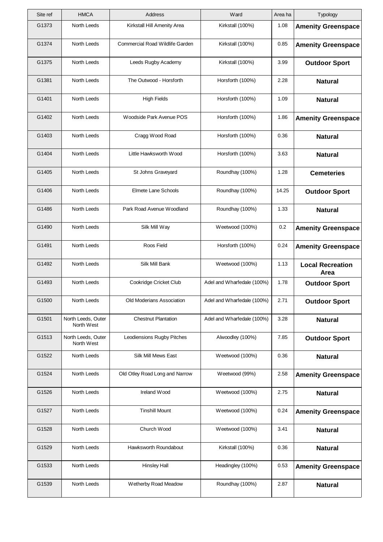| Site ref | <b>HMCA</b>                      | Address                         | Ward                       | Area ha | Typology                        |
|----------|----------------------------------|---------------------------------|----------------------------|---------|---------------------------------|
| G1373    | North Leeds                      | Kirkstall Hill Amenity Area     | Kirkstall (100%)           | 1.08    | <b>Amenity Greenspace</b>       |
| G1374    | North Leeds                      | Commercial Road Wildlife Garden | Kirkstall (100%)           | 0.85    | <b>Amenity Greenspace</b>       |
| G1375    | North Leeds                      | Leeds Rugby Academy             | Kirkstall (100%)           | 3.99    | <b>Outdoor Sport</b>            |
| G1381    | North Leeds                      | The Outwood - Horsforth         | Horsforth (100%)           | 2.28    | <b>Natural</b>                  |
| G1401    | North Leeds                      | <b>High Fields</b>              | Horsforth (100%)           | 1.09    | <b>Natural</b>                  |
| G1402    | North Leeds                      | Woodside Park Avenue POS        | Horsforth (100%)           | 1.86    | <b>Amenity Greenspace</b>       |
| G1403    | North Leeds                      | Cragg Wood Road                 | Horsforth (100%)           | 0.36    | <b>Natural</b>                  |
| G1404    | North Leeds                      | Little Hawksworth Wood          | Horsforth (100%)           | 3.63    | <b>Natural</b>                  |
| G1405    | North Leeds                      | St Johns Graveyard              | Roundhay (100%)            | 1.28    | <b>Cemeteries</b>               |
| G1406    | North Leeds                      | Elmete Lane Schools             | Roundhay (100%)            | 14.25   | <b>Outdoor Sport</b>            |
| G1486    | North Leeds                      | Park Road Avenue Woodland       | Roundhay (100%)            | 1.33    | <b>Natural</b>                  |
| G1490    | North Leeds                      | Silk Mill Way                   | Weetwood (100%)            | 0.2     | <b>Amenity Greenspace</b>       |
| G1491    | North Leeds                      | Roos Field                      | Horsforth (100%)           | 0.24    | <b>Amenity Greenspace</b>       |
| G1492    | North Leeds                      | Silk Mill Bank                  | Weetwood (100%)            | 1.13    | <b>Local Recreation</b><br>Area |
| G1493    | North Leeds                      | Cookridge Cricket Club          | Adel and Wharfedale (100%) | 1.78    | <b>Outdoor Sport</b>            |
| G1500    | North Leeds                      | Old Moderians Association       | Adel and Wharfedale (100%) | 2.71    | <b>Outdoor Sport</b>            |
| G1501    | North Leeds, Outer<br>North West | <b>Chestnut Plantation</b>      | Adel and Wharfedale (100%) | 3.28    | <b>Natural</b>                  |
| G1513    | North Leeds, Outer<br>North West | Leodiensions Rugby Pitches      | Alwoodley (100%)           | 7.85    | <b>Outdoor Sport</b>            |
| G1522    | North Leeds                      | Silk Mill Mews East             | Weetwood (100%)            | 0.36    | <b>Natural</b>                  |
| G1524    | North Leeds                      | Old Otley Road Long and Narrow  | Weetwood (99%)             | 2.58    | <b>Amenity Greenspace</b>       |
| G1526    | North Leeds                      | Ireland Wood                    | Weetwood (100%)            | 2.75    | <b>Natural</b>                  |
| G1527    | North Leeds                      | <b>Tinshill Mount</b>           | Weetwood (100%)            | 0.24    | <b>Amenity Greenspace</b>       |
| G1528    | North Leeds                      | Church Wood                     | Weetwood (100%)            | 3.41    | <b>Natural</b>                  |
| G1529    | North Leeds                      | Hawksworth Roundabout           | Kirkstall (100%)           | 0.36    | <b>Natural</b>                  |
| G1533    | North Leeds                      | <b>Hinsley Hall</b>             | Headingley (100%)          | 0.53    | <b>Amenity Greenspace</b>       |
| G1539    | North Leeds                      | Wetherby Road Meadow            | Roundhay (100%)            | 2.87    | <b>Natural</b>                  |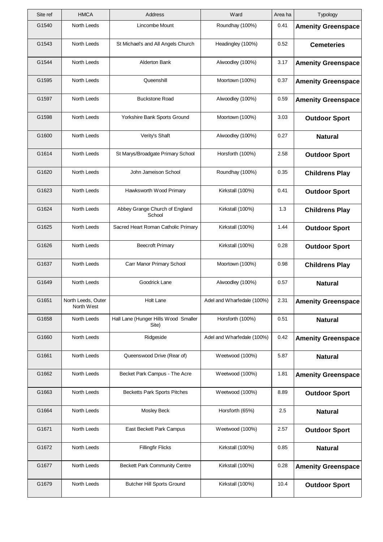| Site ref | <b>HMCA</b>                      | Address                                       | Ward                       | Area ha | Typology                  |
|----------|----------------------------------|-----------------------------------------------|----------------------------|---------|---------------------------|
| G1540    | North Leeds                      | Lincombe Mount                                | Roundhay (100%)            | 0.41    | <b>Amenity Greenspace</b> |
| G1543    | North Leeds                      | St Michael's and All Angels Church            | Headingley (100%)          | 0.52    | <b>Cemeteries</b>         |
| G1544    | North Leeds                      | Alderton Bank                                 | Alwoodley (100%)           | 3.17    | <b>Amenity Greenspace</b> |
| G1595    | North Leeds                      | Queenshill                                    | Moortown (100%)            | 0.37    | <b>Amenity Greenspace</b> |
| G1597    | North Leeds                      | <b>Buckstone Road</b>                         | Alwoodley (100%)           | 0.59    | <b>Amenity Greenspace</b> |
| G1598    | North Leeds                      | Yorkshire Bank Sports Ground                  | Moortown (100%)            | 3.03    | <b>Outdoor Sport</b>      |
| G1600    | North Leeds                      | Verity's Shaft                                | Alwoodley (100%)           | 0.27    | <b>Natural</b>            |
| G1614    | North Leeds                      | St Marys/Broadgate Primary School             | Horsforth (100%)           | 2.58    | <b>Outdoor Sport</b>      |
| G1620    | North Leeds                      | John Jameison School                          | Roundhay (100%)            | 0.35    | <b>Childrens Play</b>     |
| G1623    | North Leeds                      | Hawksworth Wood Primary                       | Kirkstall (100%)           | 0.41    | <b>Outdoor Sport</b>      |
| G1624    | North Leeds                      | Abbey Grange Church of England<br>School      | Kirkstall (100%)           | 1.3     | <b>Childrens Play</b>     |
| G1625    | North Leeds                      | Sacred Heart Roman Catholic Primary           | Kirkstall (100%)           | 1.44    | <b>Outdoor Sport</b>      |
| G1626    | North Leeds                      | <b>Beecroft Primary</b>                       | Kirkstall (100%)           | 0.28    | <b>Outdoor Sport</b>      |
| G1637    | North Leeds                      | Carr Manor Primary School                     | Moortown (100%)            | 0.98    | <b>Childrens Play</b>     |
| G1649    | North Leeds                      | Goodrick Lane                                 | Alwoodley (100%)           | 0.57    | <b>Natural</b>            |
| G1651    | North Leeds, Outer<br>North West | Holt Lane                                     | Adel and Wharfedale (100%) | 2.31    | <b>Amenity Greenspace</b> |
| G1658    | North Leeds                      | Hall Lane (Hunger Hills Wood Smaller<br>Site) | Horsforth (100%)           | 0.51    | <b>Natural</b>            |
| G1660    | North Leeds                      | Ridgeside                                     | Adel and Wharfedale (100%) | 0.42    | <b>Amenity Greenspace</b> |
| G1661    | North Leeds                      | Queenswood Drive (Rear of)                    | Weetwood (100%)            | 5.87    | <b>Natural</b>            |
| G1662    | North Leeds                      | Becket Park Campus - The Acre                 | Weetwood (100%)            | 1.81    | <b>Amenity Greenspace</b> |
| G1663    | North Leeds                      | <b>Becketts Park Sports Pitches</b>           | Weetwood (100%)            | 8.89    | <b>Outdoor Sport</b>      |
| G1664    | North Leeds                      | <b>Mosley Beck</b>                            | Horsforth (65%)            | 2.5     | <b>Natural</b>            |
| G1671    | North Leeds                      | East Beckett Park Campus                      | Weetwood (100%)            | 2.57    | <b>Outdoor Sport</b>      |
| G1672    | North Leeds                      | <b>Fillingfir Flicks</b>                      | Kirkstall (100%)           | 0.85    | <b>Natural</b>            |
| G1677    | North Leeds                      | <b>Beckett Park Community Centre</b>          | Kirkstall (100%)           | 0.28    | <b>Amenity Greenspace</b> |
| G1679    | North Leeds                      | <b>Butcher Hill Sports Ground</b>             | Kirkstall (100%)           | 10.4    | <b>Outdoor Sport</b>      |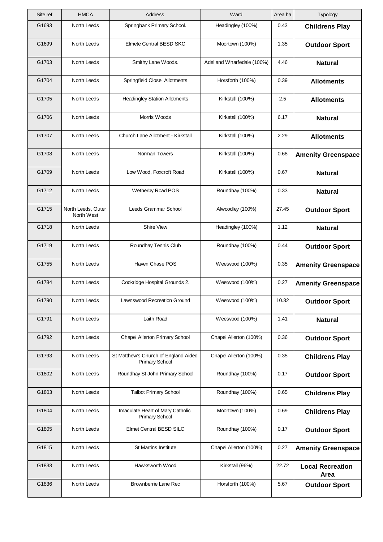| Site ref | <b>HMCA</b>                      | Address                                                       | Ward                       | Area ha | Typology                        |
|----------|----------------------------------|---------------------------------------------------------------|----------------------------|---------|---------------------------------|
| G1693    | North Leeds                      | Springbank Primary School.                                    | Headingley (100%)          | 0.43    | <b>Childrens Play</b>           |
| G1699    | North Leeds                      | Elmete Central BESD SKC                                       | Moortown (100%)            | 1.35    | <b>Outdoor Sport</b>            |
| G1703    | North Leeds                      | Smithy Lane Woods.                                            | Adel and Wharfedale (100%) | 4.46    | <b>Natural</b>                  |
| G1704    | North Leeds                      | Springfield Close Allotments                                  | Horsforth (100%)           | 0.39    | <b>Allotments</b>               |
| G1705    | North Leeds                      | <b>Headingley Station Allotments</b>                          | Kirkstall (100%)           | 2.5     | <b>Allotments</b>               |
| G1706    | North Leeds                      | Morris Woods                                                  | Kirkstall (100%)           | 6.17    | <b>Natural</b>                  |
| G1707    | North Leeds                      | Church Lane Allotment - Kirkstall                             | Kirkstall (100%)           | 2.29    | <b>Allotments</b>               |
| G1708    | North Leeds                      | Norman Towers                                                 | Kirkstall (100%)           | 0.68    | <b>Amenity Greenspace</b>       |
| G1709    | North Leeds                      | Low Wood, Foxcroft Road                                       | Kirkstall (100%)           | 0.67    | <b>Natural</b>                  |
| G1712    | North Leeds                      | Wetherby Road POS                                             | Roundhay (100%)            | 0.33    | <b>Natural</b>                  |
| G1715    | North Leeds, Outer<br>North West | Leeds Grammar School                                          | Alwoodley (100%)           | 27.45   | <b>Outdoor Sport</b>            |
| G1718    | North Leeds                      | <b>Shire View</b>                                             | Headingley (100%)          | 1.12    | <b>Natural</b>                  |
| G1719    | North Leeds                      | Roundhay Tennis Club                                          | Roundhay (100%)            | 0.44    | <b>Outdoor Sport</b>            |
| G1755    | North Leeds                      | Haven Chase POS                                               | Weetwood (100%)            | 0.35    | <b>Amenity Greenspace</b>       |
| G1784    | North Leeds                      | Cookridge Hospital Grounds 2.                                 | Weetwood (100%)            | 0.27    | <b>Amenity Greenspace</b>       |
| G1790    | North Leeds                      | Lawnswood Recreation Ground                                   | Weetwood (100%)            | 10.32   | <b>Outdoor Sport</b>            |
| G1791    | North Leeds                      | Laith Road                                                    | Weetwood (100%)            | 1.41    | <b>Natural</b>                  |
| G1792    | North Leeds                      | Chapel Allerton Primary School                                | Chapel Allerton (100%)     | 0.36    | <b>Outdoor Sport</b>            |
| G1793    | North Leeds                      | St Matthew's Church of England Aided<br><b>Primary School</b> | Chapel Allerton (100%)     | 0.35    | <b>Childrens Play</b>           |
| G1802    | North Leeds                      | Roundhay St John Primary School                               | Roundhay (100%)            | 0.17    | <b>Outdoor Sport</b>            |
| G1803    | North Leeds                      | <b>Talbot Primary School</b>                                  | Roundhay (100%)            | 0.65    | <b>Childrens Play</b>           |
| G1804    | North Leeds                      | Imaculate Heart of Mary Catholic<br><b>Primary School</b>     | Moortown (100%)            | 0.69    | <b>Childrens Play</b>           |
| G1805    | North Leeds                      | Elmet Central BESD SILC                                       | Roundhay (100%)            | 0.17    | <b>Outdoor Sport</b>            |
| G1815    | North Leeds                      | <b>St Martins Institute</b>                                   | Chapel Allerton (100%)     | 0.27    | <b>Amenity Greenspace</b>       |
| G1833    | North Leeds                      | Hawksworth Wood                                               | Kirkstall (96%)            | 22.72   | <b>Local Recreation</b><br>Area |
| G1836    | North Leeds                      | Brownberrie Lane Rec                                          | Horsforth (100%)           | 5.67    | <b>Outdoor Sport</b>            |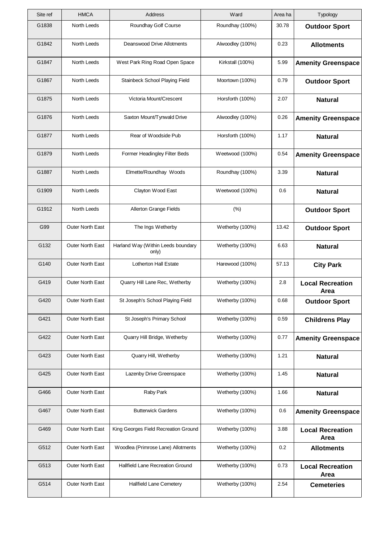| Site ref | <b>HMCA</b>             | Address                                     | Ward             | Area ha | Typology                               |
|----------|-------------------------|---------------------------------------------|------------------|---------|----------------------------------------|
| G1838    | North Leeds             | Roundhay Golf Course                        | Roundhay (100%)  | 30.78   | <b>Outdoor Sport</b>                   |
| G1842    | North Leeds             | Deanswood Drive Allotments                  | Alwoodley (100%) | 0.23    | <b>Allotments</b>                      |
| G1847    | North Leeds             | West Park Ring Road Open Space              | Kirkstall (100%) | 5.99    | <b>Amenity Greenspace</b>              |
| G1867    | North Leeds             | Stainbeck School Playing Field              | Moortown (100%)  | 0.79    | <b>Outdoor Sport</b>                   |
| G1875    | North Leeds             | Victoria Mount/Crescent                     | Horsforth (100%) | 2.07    | <b>Natural</b>                         |
| G1876    | North Leeds             | Saxton Mount/Tynwald Drive                  | Alwoodley (100%) | 0.26    | <b>Amenity Greenspace</b>              |
| G1877    | North Leeds             | Rear of Woodside Pub                        | Horsforth (100%) | 1.17    | <b>Natural</b>                         |
| G1879    | North Leeds             | Former Headingley Filter Beds               | Weetwood (100%)  | 0.54    | <b>Amenity Greenspace</b>              |
| G1887    | North Leeds             | Elmette/Roundhay Woods                      | Roundhay (100%)  | 3.39    | <b>Natural</b>                         |
| G1909    | North Leeds             | Clayton Wood East                           | Weetwood (100%)  | 0.6     | <b>Natural</b>                         |
| G1912    | North Leeds             | Allerton Grange Fields                      | (% )             |         | <b>Outdoor Sport</b>                   |
| G99      | Outer North East        | The Ings Wetherby                           | Wetherby (100%)  | 13.42   | <b>Outdoor Sport</b>                   |
| G132     | Outer North East        | Harland Way (Within Leeds boundary<br>only) | Wetherby (100%)  | 6.63    | <b>Natural</b>                         |
| G140     | Outer North East        | <b>Lotherton Hall Estate</b>                | Harewood (100%)  | 57.13   | <b>City Park</b>                       |
| G419     | Outer North East        | Quarry Hill Lane Rec, Wetherby              | Wetherby (100%)  | 2.8     | <b>Local Recreation</b><br><b>Area</b> |
| G420     | Outer North East        | St Joseph's School Playing Field            | Wetherby (100%)  | 0.68    | <b>Outdoor Sport</b>                   |
| G421     | <b>Outer North East</b> | St Joseph's Primary School                  | Wetherby (100%)  | 0.59    | <b>Childrens Play</b>                  |
| G422     | Outer North East        | Quarry Hill Bridge, Wetherby                | Wetherby (100%)  | 0.77    | <b>Amenity Greenspace</b>              |
| G423     | Outer North East        | Quarry Hill, Wetherby                       | Wetherby (100%)  | 1.21    | <b>Natural</b>                         |
| G425     | <b>Outer North East</b> | Lazenby Drive Greenspace                    | Wetherby (100%)  | 1.45    | <b>Natural</b>                         |
| G466     | Outer North East        | Raby Park                                   | Wetherby (100%)  | 1.66    | <b>Natural</b>                         |
| G467     | Outer North East        | <b>Butterwick Gardens</b>                   | Wetherby (100%)  | 0.6     | <b>Amenity Greenspace</b>              |
| G469     | Outer North East        | King Georges Field Recreation Ground        | Wetherby (100%)  | 3.88    | <b>Local Recreation</b><br>Area        |
| G512     | Outer North East        | Woodlea (Primrose Lane) Allotments          | Wetherby (100%)  | 0.2     | <b>Allotments</b>                      |
| G513     | <b>Outer North East</b> | Hallfield Lane Recreation Ground            | Wetherby (100%)  | 0.73    | <b>Local Recreation</b><br>Area        |
| G514     | Outer North East        | Hallfield Lane Cemetery                     | Wetherby (100%)  | 2.54    | <b>Cemeteries</b>                      |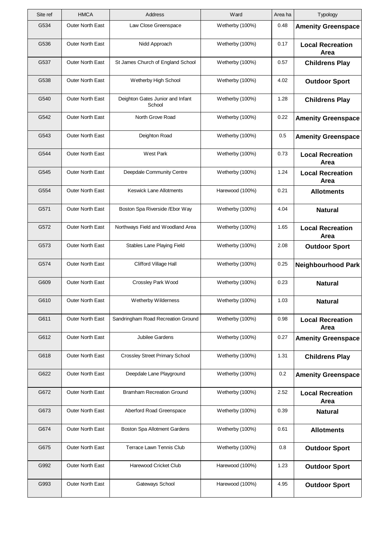| Site ref | <b>HMCA</b>             | Address                                    | Ward            | Area ha | Typology                        |
|----------|-------------------------|--------------------------------------------|-----------------|---------|---------------------------------|
| G534     | <b>Outer North East</b> | Law Close Greenspace                       | Wetherby (100%) | 0.48    | <b>Amenity Greenspace</b>       |
| G536     | <b>Outer North East</b> | Nidd Approach                              | Wetherby (100%) | 0.17    | <b>Local Recreation</b><br>Area |
| G537     | <b>Outer North East</b> | St James Church of England School          | Wetherby (100%) | 0.57    | <b>Childrens Play</b>           |
| G538     | <b>Outer North East</b> | Wetherby High School                       | Wetherby (100%) | 4.02    | <b>Outdoor Sport</b>            |
| G540     | <b>Outer North East</b> | Deighton Gates Junior and Infant<br>School | Wetherby (100%) | 1.28    | <b>Childrens Play</b>           |
| G542     | <b>Outer North East</b> | North Grove Road                           | Wetherby (100%) | 0.22    | <b>Amenity Greenspace</b>       |
| G543     | <b>Outer North East</b> | Deighton Road                              | Wetherby (100%) | 0.5     | <b>Amenity Greenspace</b>       |
| G544     | <b>Outer North East</b> | West Park                                  | Wetherby (100%) | 0.73    | <b>Local Recreation</b><br>Area |
| G545     | <b>Outer North East</b> | Deepdale Community Centre                  | Wetherby (100%) | 1.24    | <b>Local Recreation</b><br>Area |
| G554     | <b>Outer North East</b> | <b>Keswick Lane Allotments</b>             | Harewood (100%) | 0.21    | <b>Allotments</b>               |
| G571     | <b>Outer North East</b> | Boston Spa Riverside / Ebor Way            | Wetherby (100%) | 4.04    | <b>Natural</b>                  |
| G572     | <b>Outer North East</b> | Northways Field and Woodland Area          | Wetherby (100%) | 1.65    | <b>Local Recreation</b><br>Area |
| G573     | <b>Outer North East</b> | Stables Lane Playing Field                 | Wetherby (100%) | 2.08    | <b>Outdoor Sport</b>            |
| G574     | <b>Outer North East</b> | Clifford Village Hall                      | Wetherby (100%) | 0.25    | <b>Neighbourhood Park</b>       |
| G609     | Outer North East        | Crossley Park Wood                         | Wetherby (100%) | 0.23    | <b>Natural</b>                  |
| G610     | Outer North East        | Wetherby Wilderness                        | Wetherby (100%) | 1.03    | <b>Natural</b>                  |
| G611     | <b>Outer North East</b> | Sandringham Road Recreation Ground         | Wetherby (100%) | 0.98    | <b>Local Recreation</b><br>Area |
| G612     | <b>Outer North East</b> | Jubilee Gardens                            | Wetherby (100%) | 0.27    | <b>Amenity Greenspace</b>       |
| G618     | <b>Outer North East</b> | <b>Crossley Street Primary School</b>      | Wetherby (100%) | 1.31    | <b>Childrens Play</b>           |
| G622     | <b>Outer North East</b> | Deepdale Lane Playground                   | Wetherby (100%) | 0.2     | <b>Amenity Greenspace</b>       |
| G672     | Outer North East        | <b>Bramham Recreation Ground</b>           | Wetherby (100%) | 2.52    | <b>Local Recreation</b><br>Area |
| G673     | Outer North East        | Aberford Road Greenspace                   | Wetherby (100%) | 0.39    | <b>Natural</b>                  |
| G674     | <b>Outer North East</b> | Boston Spa Allotment Gardens               | Wetherby (100%) | 0.61    | <b>Allotments</b>               |
| G675     | <b>Outer North East</b> | Terrace Lawn Tennis Club                   | Wetherby (100%) | 0.8     | <b>Outdoor Sport</b>            |
| G992     | <b>Outer North East</b> | Harewood Cricket Club                      | Harewood (100%) | 1.23    | <b>Outdoor Sport</b>            |
| G993     | Outer North East        | Gateways School                            | Harewood (100%) | 4.95    | <b>Outdoor Sport</b>            |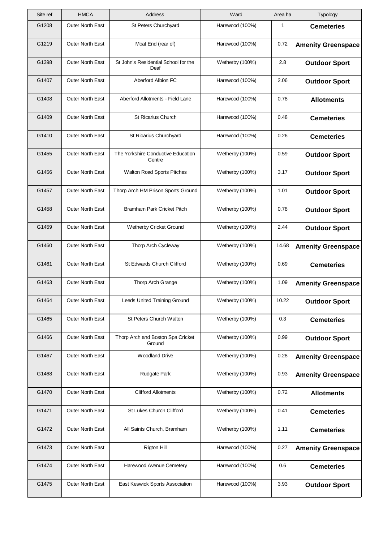| Site ref | <b>HMCA</b>             | Address                                      | Ward            | Area ha | Typology                  |
|----------|-------------------------|----------------------------------------------|-----------------|---------|---------------------------|
| G1208    | Outer North East        | St Peters Churchyard                         | Harewood (100%) | 1       | <b>Cemeteries</b>         |
| G1219    | Outer North East        | Moat End (rear of)                           | Harewood (100%) | 0.72    | <b>Amenity Greenspace</b> |
| G1398    | Outer North East        | St John's Residential School for the<br>Deaf | Wetherby (100%) | 2.8     | <b>Outdoor Sport</b>      |
| G1407    | Outer North East        | Aberford Albion FC                           | Harewood (100%) | 2.06    | <b>Outdoor Sport</b>      |
| G1408    | Outer North East        | Aberford Allotments - Field Lane             | Harewood (100%) | 0.78    | <b>Allotments</b>         |
| G1409    | Outer North East        | <b>St Ricarius Church</b>                    | Harewood (100%) | 0.48    | <b>Cemeteries</b>         |
| G1410    | Outer North East        | St Ricarius Churchyard                       | Harewood (100%) | 0.26    | <b>Cemeteries</b>         |
| G1455    | Outer North East        | The Yorkshire Conductive Education<br>Centre | Wetherby (100%) | 0.59    | <b>Outdoor Sport</b>      |
| G1456    | Outer North East        | Walton Road Sports Pitches                   | Wetherby (100%) | 3.17    | <b>Outdoor Sport</b>      |
| G1457    | Outer North East        | Thorp Arch HM Prison Sports Ground           | Wetherby (100%) | 1.01    | <b>Outdoor Sport</b>      |
| G1458    | Outer North East        | <b>Bramham Park Cricket Pitch</b>            | Wetherby (100%) | 0.78    | <b>Outdoor Sport</b>      |
| G1459    | Outer North East        | Wetherby Cricket Ground                      | Wetherby (100%) | 2.44    | <b>Outdoor Sport</b>      |
| G1460    | Outer North East        | Thorp Arch Cycleway                          | Wetherby (100%) | 14.68   | <b>Amenity Greenspace</b> |
| G1461    | <b>Outer North East</b> | St Edwards Church Clifford                   | Wetherby (100%) | 0.69    | <b>Cemeteries</b>         |
| G1463    | Outer North East        | Thorp Arch Grange                            | Wetherby (100%) | 1.09    | <b>Amenity Greenspace</b> |
| G1464    | Outer North East        | Leeds United Training Ground                 | Wetherby (100%) | 10.22   | <b>Outdoor Sport</b>      |
| G1465    | <b>Outer North East</b> | St Peters Church Walton                      | Wetherby (100%) | 0.3     | <b>Cemeteries</b>         |
| G1466    | Outer North East        | Thorp Arch and Boston Spa Cricket<br>Ground  | Wetherby (100%) | 0.99    | <b>Outdoor Sport</b>      |
| G1467    | Outer North East        | <b>Woodland Drive</b>                        | Wetherby (100%) | 0.28    | <b>Amenity Greenspace</b> |
| G1468    | Outer North East        | Rudgate Park                                 | Wetherby (100%) | 0.93    | <b>Amenity Greenspace</b> |
| G1470    | Outer North East        | <b>Clifford Allotments</b>                   | Wetherby (100%) | 0.72    | <b>Allotments</b>         |
| G1471    | Outer North East        | St Lukes Church Clifford                     | Wetherby (100%) | 0.41    | <b>Cemeteries</b>         |
| G1472    | Outer North East        | All Saints Church, Bramham                   | Wetherby (100%) | 1.11    | <b>Cemeteries</b>         |
| G1473    | Outer North East        | Rigton Hill                                  | Harewood (100%) | 0.27    | <b>Amenity Greenspace</b> |
| G1474    | <b>Outer North East</b> | Harewood Avenue Cemetery                     | Harewood (100%) | 0.6     | <b>Cemeteries</b>         |
| G1475    | Outer North East        | East Keswick Sports Association              | Harewood (100%) | 3.93    | <b>Outdoor Sport</b>      |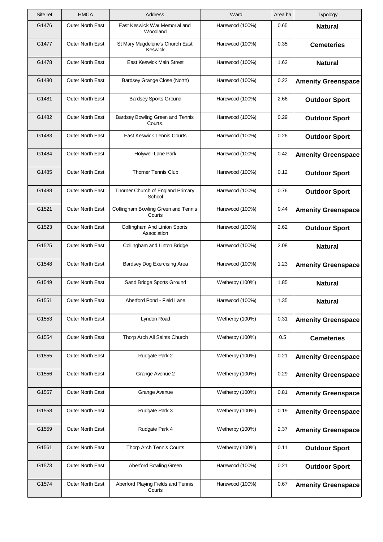| Site ref | <b>HMCA</b>             | Address                                       | Ward            | Area ha | Typology                  |
|----------|-------------------------|-----------------------------------------------|-----------------|---------|---------------------------|
| G1476    | <b>Outer North East</b> | East Keswick War Memorial and<br>Woodland     | Harewood (100%) | 0.65    | <b>Natural</b>            |
| G1477    | Outer North East        | St Mary Magdelene's Church East<br>Keswick    | Harewood (100%) | 0.35    | <b>Cemeteries</b>         |
| G1478    | <b>Outer North East</b> | East Keswick Main Street                      | Harewood (100%) | 1.62    | <b>Natural</b>            |
| G1480    | Outer North East        | Bardsey Grange Close (North)                  | Harewood (100%) | 0.22    | <b>Amenity Greenspace</b> |
| G1481    | <b>Outer North East</b> | <b>Bardsey Sports Ground</b>                  | Harewood (100%) | 2.66    | <b>Outdoor Sport</b>      |
| G1482    | <b>Outer North East</b> | Bardsey Bowling Green and Tennis<br>Courts.   | Harewood (100%) | 0.29    | <b>Outdoor Sport</b>      |
| G1483    | <b>Outer North East</b> | <b>East Keswick Tennis Courts</b>             | Harewood (100%) | 0.26    | <b>Outdoor Sport</b>      |
| G1484    | <b>Outer North East</b> | Holywell Lane Park                            | Harewood (100%) | 0.42    | <b>Amenity Greenspace</b> |
| G1485    | <b>Outer North East</b> | <b>Thorner Tennis Club</b>                    | Harewood (100%) | 0.12    | <b>Outdoor Sport</b>      |
| G1488    | Outer North East        | Thorner Church of England Primary<br>School   | Harewood (100%) | 0.76    | <b>Outdoor Sport</b>      |
| G1521    | <b>Outer North East</b> | Collingham Bowling Green and Tennis<br>Courts | Harewood (100%) | 0.44    | <b>Amenity Greenspace</b> |
| G1523    | Outer North East        | Collingham And Linton Sports<br>Association   | Harewood (100%) | 2.62    | <b>Outdoor Sport</b>      |
| G1525    | Outer North East        | Collingham and Linton Bridge                  | Harewood (100%) | 2.08    | <b>Natural</b>            |
| G1548    | <b>Outer North East</b> | Bardsey Dog Exercising Area                   | Harewood (100%) | 1.23    | <b>Amenity Greenspace</b> |
| G1549    | Outer North East        | Sand Bridge Sports Ground                     | Wetherby (100%) | 1.85    | <b>Natural</b>            |
| G1551    | Outer North East        | Aberford Pond - Field Lane                    | Harewood (100%) | 1.35    | <b>Natural</b>            |
| G1553    | Outer North East        | Lyndon Road                                   | Wetherby (100%) | 0.31    | <b>Amenity Greenspace</b> |
| G1554    | Outer North East        | Thorp Arch All Saints Church                  | Wetherby (100%) | 0.5     | <b>Cemeteries</b>         |
| G1555    | <b>Outer North East</b> | Rudgate Park 2                                | Wetherby (100%) | 0.21    | <b>Amenity Greenspace</b> |
| G1556    | Outer North East        | Grange Avenue 2                               | Wetherby (100%) | 0.29    | <b>Amenity Greenspace</b> |
| G1557    | Outer North East        | Grange Avenue                                 | Wetherby (100%) | 0.81    | <b>Amenity Greenspace</b> |
| G1558    | <b>Outer North East</b> | Rudgate Park 3                                | Wetherby (100%) | 0.19    | <b>Amenity Greenspace</b> |
| G1559    | Outer North East        | Rudgate Park 4                                | Wetherby (100%) | 2.37    | <b>Amenity Greenspace</b> |
| G1561    | Outer North East        | Thorp Arch Tennis Courts                      | Wetherby (100%) | 0.11    | <b>Outdoor Sport</b>      |
| G1573    | Outer North East        | Aberford Bowling Green                        | Harewood (100%) | 0.21    | <b>Outdoor Sport</b>      |
| G1574    | Outer North East        | Aberford Playing Fields and Tennis<br>Courts  | Harewood (100%) | 0.67    | <b>Amenity Greenspace</b> |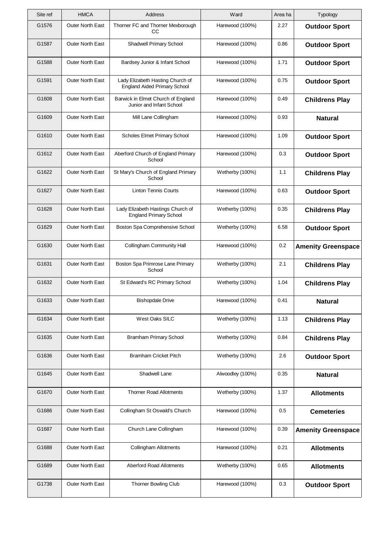| Site ref | <b>HMCA</b>             | <b>Address</b>                                                          | Ward             | Area ha | Typology                  |
|----------|-------------------------|-------------------------------------------------------------------------|------------------|---------|---------------------------|
| G1576    | <b>Outer North East</b> | Thorner FC and Thorner Mexborough<br>CС                                 | Harewood (100%)  | 2.27    | <b>Outdoor Sport</b>      |
| G1587    | <b>Outer North East</b> | <b>Shadwell Primary School</b>                                          | Harewood (100%)  | 0.86    | <b>Outdoor Sport</b>      |
| G1588    | <b>Outer North East</b> | Bardsey Junior & Infant School                                          | Harewood (100%)  | 1.71    | <b>Outdoor Sport</b>      |
| G1591    | <b>Outer North East</b> | Lady Elizabeth Hasting Church of<br><b>England Aided Primary School</b> | Harewood (100%)  | 0.75    | <b>Outdoor Sport</b>      |
| G1608    | <b>Outer North East</b> | Barwick in Elmet Church of England<br>Junior and Infant School          | Harewood (100%)  | 0.49    | <b>Childrens Play</b>     |
| G1609    | <b>Outer North East</b> | Mill Lane Collingham                                                    | Harewood (100%)  | 0.93    | <b>Natural</b>            |
| G1610    | <b>Outer North East</b> | <b>Scholes Elmet Primary School</b>                                     | Harewood (100%)  | 1.09    | <b>Outdoor Sport</b>      |
| G1612    | <b>Outer North East</b> | Aberford Church of England Primary<br>School                            | Harewood (100%)  | 0.3     | <b>Outdoor Sport</b>      |
| G1622    | <b>Outer North East</b> | St Mary's Church of England Primary<br>School                           | Wetherby (100%)  | 1.1     | <b>Childrens Play</b>     |
| G1627    | Outer North East        | <b>Linton Tennis Courts</b>                                             | Harewood (100%)  | 0.63    | <b>Outdoor Sport</b>      |
| G1628    | <b>Outer North East</b> | Lady Elizabeth Hastings Church of<br><b>England Primary School</b>      | Wetherby (100%)  | 0.35    | <b>Childrens Play</b>     |
| G1629    | <b>Outer North East</b> | Boston Spa Comprehensive School                                         | Wetherby (100%)  | 6.58    | <b>Outdoor Sport</b>      |
| G1630    | <b>Outer North East</b> | <b>Collingham Community Hall</b>                                        | Harewood (100%)  | 0.2     | <b>Amenity Greenspace</b> |
| G1631    | <b>Outer North East</b> | Boston Spa Primrose Lane Primary<br>School                              | Wetherby (100%)  | 2.1     | <b>Childrens Play</b>     |
| G1632    | Outer North East        | St Edward's RC Primary School                                           | Wetherby (100%)  | 1.04    | <b>Childrens Play</b>     |
| G1633    | Outer North East        | <b>Bishopdale Drive</b>                                                 | Harewood (100%)  | 0.41    | <b>Natural</b>            |
| G1634    | Outer North East        | West Oaks SILC                                                          | Wetherby (100%)  | 1.13    | <b>Childrens Play</b>     |
| G1635    | Outer North East        | <b>Bramham Primary School</b>                                           | Wetherby (100%)  | 0.84    | <b>Childrens Play</b>     |
| G1636    | <b>Outer North East</b> | Bramham Cricket Pitch                                                   | Wetherby (100%)  | 2.6     | <b>Outdoor Sport</b>      |
| G1645    | <b>Outer North East</b> | Shadwell Lane                                                           | Alwoodley (100%) | 0.35    | <b>Natural</b>            |
| G1670    | Outer North East        | <b>Thorner Road Allotments</b>                                          | Wetherby (100%)  | 1.37    | <b>Allotments</b>         |
| G1686    | <b>Outer North East</b> | Collingham St Oswald's Church                                           | Harewood (100%)  | 0.5     | <b>Cemeteries</b>         |
| G1687    | Outer North East        | Church Lane Collingham                                                  | Harewood (100%)  | 0.39    | <b>Amenity Greenspace</b> |
| G1688    | Outer North East        | <b>Collingham Allotments</b>                                            | Harewood (100%)  | 0.21    | <b>Allotments</b>         |
| G1689    | Outer North East        | <b>Aberford Road Allotments</b>                                         | Wetherby (100%)  | 0.65    | <b>Allotments</b>         |
| G1738    | Outer North East        | <b>Thorner Bowling Club</b>                                             | Harewood (100%)  | 0.3     | <b>Outdoor Sport</b>      |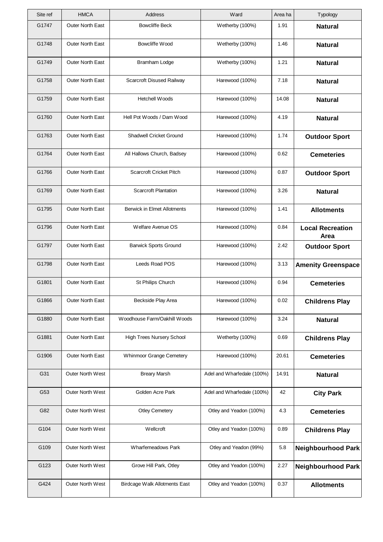| Site ref | <b>HMCA</b>             | Address                            | Ward                       | Area ha | Typology                        |
|----------|-------------------------|------------------------------------|----------------------------|---------|---------------------------------|
| G1747    | Outer North East        | <b>Bowcliffe Beck</b>              | Wetherby (100%)            | 1.91    | <b>Natural</b>                  |
| G1748    | <b>Outer North East</b> | Bowcliffe Wood                     | Wetherby (100%)            | 1.46    | <b>Natural</b>                  |
| G1749    | <b>Outer North East</b> | Bramham Lodge                      | Wetherby (100%)            | 1.21    | <b>Natural</b>                  |
| G1758    | Outer North East        | Scarcroft Disused Railway          | Harewood (100%)            | 7.18    | <b>Natural</b>                  |
| G1759    | Outer North East        | <b>Hetchell Woods</b>              | Harewood (100%)            | 14.08   | <b>Natural</b>                  |
| G1760    | <b>Outer North East</b> | Hell Pot Woods / Dam Wood          | Harewood (100%)            | 4.19    | <b>Natural</b>                  |
| G1763    | <b>Outer North East</b> | <b>Shadwell Cricket Ground</b>     | Harewood (100%)            | 1.74    | <b>Outdoor Sport</b>            |
| G1764    | Outer North East        | All Hallows Church, Badsey         | Harewood (100%)            | 0.62    | <b>Cemeteries</b>               |
| G1766    | Outer North East        | <b>Scarcroft Cricket Pitch</b>     | Harewood (100%)            | 0.87    | <b>Outdoor Sport</b>            |
| G1769    | Outer North East        | <b>Scarcroft Plantation</b>        | Harewood (100%)            | 3.26    | <b>Natural</b>                  |
| G1795    | <b>Outer North East</b> | <b>Berwick in Elmet Allotments</b> | Harewood (100%)            | 1.41    | <b>Allotments</b>               |
| G1796    | Outer North East        | Welfare Avenue OS                  | Harewood (100%)            | 0.84    | <b>Local Recreation</b><br>Area |
| G1797    | Outer North East        | <b>Barwick Sports Ground</b>       | Harewood (100%)            | 2.42    | <b>Outdoor Sport</b>            |
| G1798    | <b>Outer North East</b> | Leeds Road POS                     | Harewood (100%)            | 3.13    | <b>Amenity Greenspace</b>       |
| G1801    | Outer North East        | St Philips Church                  | Harewood (100%)            | 0.94    | <b>Cemeteries</b>               |
| G1866    | Outer North East        | Beckside Play Area                 | Harewood (100%)            | 0.02    | <b>Childrens Play</b>           |
| G1880    | <b>Outer North East</b> | Woodhouse Farm/Oakhill Woods       | Harewood (100%)            | 3.24    | <b>Natural</b>                  |
| G1881    | <b>Outer North East</b> | <b>High Trees Nursery School</b>   | Wetherby (100%)            | 0.69    | <b>Childrens Play</b>           |
| G1906    | <b>Outer North East</b> | Whinmoor Grange Cemetery           | Harewood (100%)            | 20.61   | <b>Cemeteries</b>               |
| G31      | <b>Outer North West</b> | <b>Breary Marsh</b>                | Adel and Wharfedale (100%) | 14.91   | <b>Natural</b>                  |
| G53      | Outer North West        | Golden Acre Park                   | Adel and Wharfedale (100%) | 42      | <b>City Park</b>                |
| G82      | Outer North West        | <b>Otley Cemetery</b>              | Otley and Yeadon (100%)    | 4.3     | <b>Cemeteries</b>               |
| G104     | Outer North West        | Wellcroft                          | Otley and Yeadon (100%)    | 0.89    | <b>Childrens Play</b>           |
| G109     | Outer North West        | <b>Wharfemeadows Park</b>          | Otley and Yeadon (99%)     | 5.8     | <b>Neighbourhood Park</b>       |
| G123     | <b>Outer North West</b> | Grove Hill Park, Otley             | Otley and Yeadon (100%)    | 2.27    | <b>Neighbourhood Park</b>       |
| G424     | Outer North West        | Birdcage Walk Allotments East      | Otley and Yeadon (100%)    | 0.37    | <b>Allotments</b>               |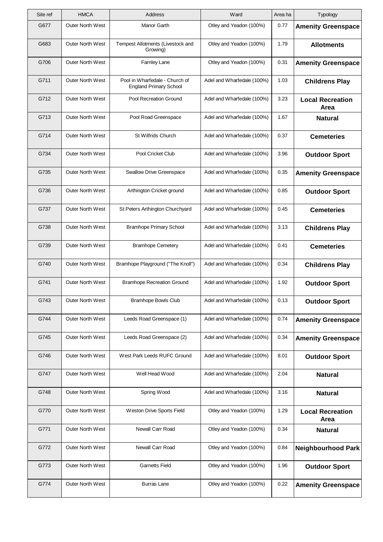| Typology                        | Area ha | Ward                       | Address                                                         | <b>HMCA</b>             | Site ref |
|---------------------------------|---------|----------------------------|-----------------------------------------------------------------|-------------------------|----------|
| <b>Amenity Greenspace</b>       | 0.77    | Otley and Yeadon (100%)    | Manor Garth                                                     | Outer North West        | G677     |
| <b>Allotments</b>               | 1.79    | Otley and Yeadon (100%)    | Tempest Allotments (Livestock and<br>Growing)                   | <b>Outer North West</b> | G683     |
| <b>Amenity Greenspace</b>       | 0.31    | Otley and Yeadon (100%)    | Farnley Lane                                                    | <b>Outer North West</b> | G706     |
| <b>Childrens Play</b>           | 1.03    | Adel and Wharfedale (100%) | Pool in Wharfedale - Church of<br><b>England Primary School</b> | <b>Outer North West</b> | G711     |
| <b>Local Recreation</b><br>Area | 3.23    | Adel and Wharfedale (100%) | Pool Recreation Ground                                          | <b>Outer North West</b> | G712     |
| <b>Natural</b>                  | 1.67    | Adel and Wharfedale (100%) | Pool Road Greenspace                                            | <b>Outer North West</b> | G713     |
| <b>Cemeteries</b>               | 0.37    | Adel and Wharfedale (100%) | St Wilfrids Church                                              | <b>Outer North West</b> | G714     |
| <b>Outdoor Sport</b>            | 3.96    | Adel and Wharfedale (100%) | Pool Cricket Club                                               | <b>Outer North West</b> | G734     |
| <b>Amenity Greenspace</b>       | 0.35    | Adel and Wharfedale (100%) | <b>Swallow Drive Greenspace</b>                                 | <b>Outer North West</b> | G735     |
| <b>Outdoor Sport</b>            | 0.85    | Adel and Wharfedale (100%) | Arthington Cricket ground                                       | <b>Outer North West</b> | G736     |
| <b>Cemeteries</b>               | 0.45    | Adel and Wharfedale (100%) | St Peters Arthington Churchyard                                 | <b>Outer North West</b> | G737     |
| <b>Childrens Play</b>           | 3.13    | Adel and Wharfedale (100%) | <b>Bramhope Primary School</b>                                  | Outer North West        | G738     |
| <b>Cemeteries</b>               | 0.41    | Adel and Wharfedale (100%) | <b>Bramhope Cemetery</b>                                        | <b>Outer North West</b> | G739     |
| <b>Childrens Play</b>           | 0.34    | Adel and Wharfedale (100%) | Bramhope Playground ("The Knoll")                               | <b>Outer North West</b> | G740     |
| <b>Outdoor Sport</b>            | 1.92    | Adel and Wharfedale (100%) | <b>Bramhope Recreation Ground</b>                               | Outer North West        | G741     |
| <b>Outdoor Sport</b>            | 0.13    | Adel and Wharfedale (100%) | <b>Bramhope Bowls Club</b>                                      | Outer North West        | G743     |
| <b>Amenity Greenspace</b>       | 0.74    | Adel and Wharfedale (100%) | Leeds Road Greenspace (1)                                       | <b>Outer North West</b> | G744     |
| <b>Amenity Greenspace</b>       | 0.34    | Adel and Wharfedale (100%) | Leeds Road Greenspace (2)                                       | Outer North West        | G745     |
| <b>Outdoor Sport</b>            | 8.01    | Adel and Wharfedale (100%) | West Park Leeds RUFC Ground                                     | <b>Outer North West</b> | G746     |
| <b>Natural</b>                  | 2.04    | Adel and Wharfedale (100%) | Well Head Wood                                                  | <b>Outer North West</b> | G747     |
| <b>Natural</b>                  | 3.16    | Adel and Wharfedale (100%) | Spring Wood                                                     | <b>Outer North West</b> | G748     |
| <b>Local Recreation</b><br>Area | 1.29    | Otley and Yeadon (100%)    | Weston Drive Sports Field                                       | <b>Outer North West</b> | G770     |
| <b>Natural</b>                  | 0.34    | Otley and Yeadon (100%)    | Newall Carr Road                                                | Outer North West        | G771     |
| <b>Neighbourhood Park</b>       | 0.84    | Otley and Yeadon (100%)    | Newall Carr Road                                                | Outer North West        | G772     |
| <b>Outdoor Sport</b>            | 1.96    | Otley and Yeadon (100%)    | <b>Garnetts Field</b>                                           | <b>Outer North West</b> | G773     |
| <b>Amenity Greenspace</b>       | 0.22    | Otley and Yeadon (100%)    | <b>Burras Lane</b>                                              | Outer North West        | G774     |
|                                 |         |                            |                                                                 |                         |          |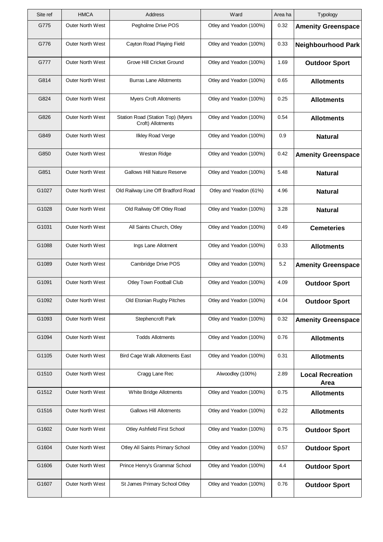| Site ref | <b>HMCA</b>             | Address                                                | Ward                    | Area ha | <b>Typology</b>                 |
|----------|-------------------------|--------------------------------------------------------|-------------------------|---------|---------------------------------|
| G775     | Outer North West        | Pegholme Drive POS                                     | Otley and Yeadon (100%) | 0.32    | <b>Amenity Greenspace</b>       |
| G776     | <b>Outer North West</b> | Cayton Road Playing Field                              | Otley and Yeadon (100%) | 0.33    | <b>Neighbourhood Park</b>       |
| G777     | <b>Outer North West</b> | Grove Hill Cricket Ground                              | Otley and Yeadon (100%) | 1.69    | <b>Outdoor Sport</b>            |
| G814     | <b>Outer North West</b> | <b>Burras Lane Allotments</b>                          | Otley and Yeadon (100%) | 0.65    | <b>Allotments</b>               |
| G824     | <b>Outer North West</b> | <b>Myers Croft Allotments</b>                          | Otley and Yeadon (100%) | 0.25    | <b>Allotments</b>               |
| G826     | <b>Outer North West</b> | Station Road (Station Top) (Myers<br>Croft) Allotments | Otley and Yeadon (100%) | 0.54    | <b>Allotments</b>               |
| G849     | <b>Outer North West</b> | <b>Ilkley Road Verge</b>                               | Otley and Yeadon (100%) | 0.9     | <b>Natural</b>                  |
| G850     | <b>Outer North West</b> | Weston Ridge                                           | Otley and Yeadon (100%) | 0.42    | <b>Amenity Greenspace</b>       |
| G851     | Outer North West        | <b>Gallows Hill Nature Reserve</b>                     | Otley and Yeadon (100%) | 5.48    | <b>Natural</b>                  |
| G1027    | <b>Outer North West</b> | Old Railway Line Off Bradford Road                     | Otley and Yeadon (61%)  | 4.96    | <b>Natural</b>                  |
| G1028    | <b>Outer North West</b> | Old Railway Off Otley Road                             | Otley and Yeadon (100%) | 3.28    | <b>Natural</b>                  |
| G1031    | Outer North West        | All Saints Church, Otley                               | Otley and Yeadon (100%) | 0.49    | <b>Cemeteries</b>               |
| G1088    | <b>Outer North West</b> | Ings Lane Allotment                                    | Otley and Yeadon (100%) | 0.33    | <b>Allotments</b>               |
| G1089    | <b>Outer North West</b> | Cambridge Drive POS                                    | Otley and Yeadon (100%) | 5.2     | <b>Amenity Greenspace</b>       |
| G1091    | <b>Outer North West</b> | Otley Town Football Club                               | Otley and Yeadon (100%) | 4.09    | <b>Outdoor Sport</b>            |
| G1092    | Outer North West        | Old Etonian Rugby Pitches                              | Otley and Yeadon (100%) | 4.04    | <b>Outdoor Sport</b>            |
| G1093    | Outer North West        | Stephencroft Park                                      | Otley and Yeadon (100%) | 0.32    | <b>Amenity Greenspace</b>       |
| G1094    | Outer North West        | <b>Todds Allotments</b>                                | Otley and Yeadon (100%) | 0.76    | <b>Allotments</b>               |
| G1105    | <b>Outer North West</b> | Bird Cage Walk Allotments East                         | Otley and Yeadon (100%) | 0.31    | <b>Allotments</b>               |
| G1510    | Outer North West        | Cragg Lane Rec                                         | Alwoodley (100%)        | 2.89    | <b>Local Recreation</b><br>Area |
| G1512    | Outer North West        | White Bridge Allotments                                | Otley and Yeadon (100%) | 0.75    | <b>Allotments</b>               |
| G1516    | Outer North West        | <b>Gallows Hill Allotments</b>                         | Otley and Yeadon (100%) | 0.22    | <b>Allotments</b>               |
| G1602    | <b>Outer North West</b> | Otley Ashfield First School                            | Otley and Yeadon (100%) | 0.75    | <b>Outdoor Sport</b>            |
| G1604    | Outer North West        | Otley All Saints Primary School                        | Otley and Yeadon (100%) | 0.57    | <b>Outdoor Sport</b>            |
| G1606    | <b>Outer North West</b> | Prince Henry's Grammar School                          | Otley and Yeadon (100%) | 4.4     | <b>Outdoor Sport</b>            |
| G1607    | Outer North West        | St James Primary School Otley                          | Otley and Yeadon (100%) | 0.76    | <b>Outdoor Sport</b>            |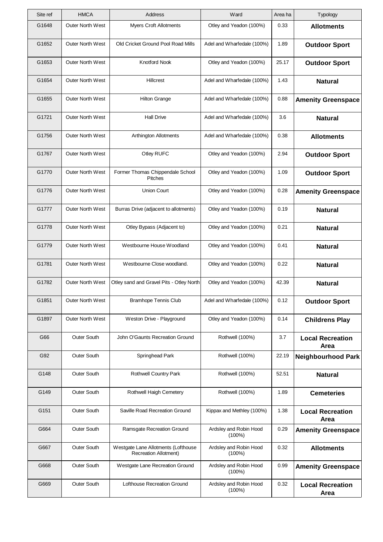| Site ref | <b>HMCA</b>             | <b>Address</b>                                                      | Ward                                | Area ha | Typology                        |
|----------|-------------------------|---------------------------------------------------------------------|-------------------------------------|---------|---------------------------------|
| G1648    | <b>Outer North West</b> | <b>Myers Croft Allotments</b>                                       | Otley and Yeadon (100%)             | 0.33    | <b>Allotments</b>               |
| G1652    | <b>Outer North West</b> | Old Cricket Ground Pool Road Mills                                  | Adel and Wharfedale (100%)          | 1.89    | <b>Outdoor Sport</b>            |
| G1653    | <b>Outer North West</b> | Knotford Nook                                                       | Otley and Yeadon (100%)             | 25.17   | <b>Outdoor Sport</b>            |
| G1654    | <b>Outer North West</b> | <b>Hillcrest</b>                                                    | Adel and Wharfedale (100%)          | 1.43    | <b>Natural</b>                  |
| G1655    | <b>Outer North West</b> | <b>Hilton Grange</b>                                                | Adel and Wharfedale (100%)          | 0.88    | <b>Amenity Greenspace</b>       |
| G1721    | <b>Outer North West</b> | <b>Hall Drive</b>                                                   | Adel and Wharfedale (100%)          | 3.6     | <b>Natural</b>                  |
| G1756    | <b>Outer North West</b> | Arthington Allotments                                               | Adel and Wharfedale (100%)          | 0.38    | <b>Allotments</b>               |
| G1767    | <b>Outer North West</b> | Otley RUFC                                                          | Otley and Yeadon (100%)             | 2.94    | <b>Outdoor Sport</b>            |
| G1770    | <b>Outer North West</b> | Former Thomas Chippendale School<br><b>Pitches</b>                  | Otley and Yeadon (100%)             | 1.09    | <b>Outdoor Sport</b>            |
| G1776    | <b>Outer North West</b> | <b>Union Court</b>                                                  | Otley and Yeadon (100%)             | 0.28    | <b>Amenity Greenspace</b>       |
| G1777    | <b>Outer North West</b> | Burras Drive (adjacent to allotments)                               | Otley and Yeadon (100%)             | 0.19    | <b>Natural</b>                  |
| G1778    | Outer North West        | Otley Bypass (Adjacent to)                                          | Otley and Yeadon (100%)             | 0.21    | <b>Natural</b>                  |
| G1779    | <b>Outer North West</b> | Westbourne House Woodland                                           | Otley and Yeadon (100%)             | 0.41    | <b>Natural</b>                  |
| G1781    | <b>Outer North West</b> | Westbourne Close woodland.                                          | Otley and Yeadon (100%)             | 0.22    | <b>Natural</b>                  |
| G1782    | Outer North West        | Otley sand and Gravel Pits - Otley North                            | Otley and Yeadon (100%)             | 42.39   | <b>Natural</b>                  |
| G1851    | Outer North West        | <b>Bramhope Tennis Club</b>                                         | Adel and Wharfedale (100%)          | 0.12    | <b>Outdoor Sport</b>            |
| G1897    | <b>Outer North West</b> | Weston Drive - Playground                                           | Otley and Yeadon (100%)             | 0.14    | <b>Childrens Play</b>           |
| G66      | Outer South             | John O'Gaunts Recreation Ground                                     | Rothwell (100%)                     | 3.7     | <b>Local Recreation</b><br>Area |
| G92      | <b>Outer South</b>      | Springhead Park                                                     | Rothwell (100%)                     | 22.19   | <b>Neighbourhood Park</b>       |
| G148     | Outer South             | <b>Rothwell Country Park</b>                                        | Rothwell (100%)                     | 52.51   | <b>Natural</b>                  |
| G149     | <b>Outer South</b>      | Rothwell Haigh Cemetery                                             | Rothwell (100%)                     | 1.89    | <b>Cemeteries</b>               |
| G151     | Outer South             | Saville Road Recreation Ground                                      | Kippax and Methley (100%)           | 1.38    | <b>Local Recreation</b><br>Area |
| G664     | <b>Outer South</b>      | Ramsgate Recreation Ground                                          | Ardsley and Robin Hood<br>$(100\%)$ | 0.29    | <b>Amenity Greenspace</b>       |
| G667     | Outer South             | Westgate Lane Allotments (Lofthouse<br><b>Recreation Allotment)</b> | Ardsley and Robin Hood<br>$(100\%)$ | 0.32    | <b>Allotments</b>               |
| G668     | <b>Outer South</b>      | Westgate Lane Recreation Ground                                     | Ardsley and Robin Hood<br>$(100\%)$ | 0.99    | <b>Amenity Greenspace</b>       |
| G669     | Outer South             | Lofthouse Recreation Ground                                         | Ardsley and Robin Hood<br>$(100\%)$ | 0.32    | <b>Local Recreation</b><br>Area |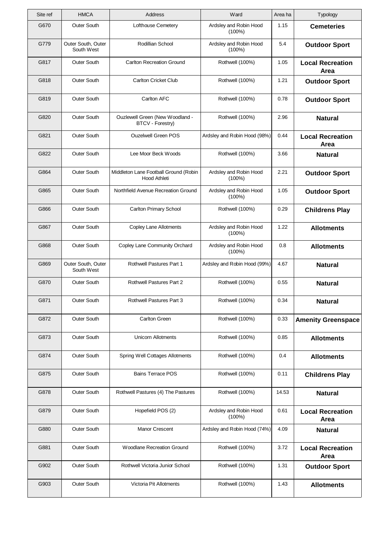| Site ref | <b>HMCA</b>                      | Address                                               | Ward                                | Area ha | Typology                               |
|----------|----------------------------------|-------------------------------------------------------|-------------------------------------|---------|----------------------------------------|
| G670     | <b>Outer South</b>               | Lofthouse Cemetery                                    | Ardsley and Robin Hood<br>(100%)    | 1.15    | <b>Cemeteries</b>                      |
| G779     | Outer South, Outer<br>South West | Rodillian School                                      | Ardsley and Robin Hood<br>$(100\%)$ | 5.4     | <b>Outdoor Sport</b>                   |
| G817     | Outer South                      | <b>Carlton Recreation Ground</b>                      | Rothwell (100%)                     | 1.05    | <b>Local Recreation</b><br>Area        |
| G818     | <b>Outer South</b>               | <b>Carlton Cricket Club</b>                           | Rothwell (100%)                     | 1.21    | <b>Outdoor Sport</b>                   |
| G819     | Outer South                      | Carlton AFC                                           | Rothwell (100%)                     | 0.78    | <b>Outdoor Sport</b>                   |
| G820     | Outer South                      | Ouzlewell Green (New Woodland -<br>BTCV - Forestry)   | Rothwell (100%)                     | 2.96    | <b>Natural</b>                         |
| G821     | <b>Outer South</b>               | <b>Ouzelwell Green POS</b>                            | Ardsley and Robin Hood (98%)        | 0.44    | <b>Local Recreation</b><br>Area        |
| G822     | Outer South                      | Lee Moor Beck Woods                                   | Rothwell (100%)                     | 3.66    | <b>Natural</b>                         |
| G864     | <b>Outer South</b>               | Middleton Lane Football Ground (Robin<br>Hood Athleti | Ardsley and Robin Hood<br>(100%)    | 2.21    | <b>Outdoor Sport</b>                   |
| G865     | Outer South                      | Northfield Avenue Recreation Ground                   | Ardsley and Robin Hood<br>$(100\%)$ | 1.05    | <b>Outdoor Sport</b>                   |
| G866     | <b>Outer South</b>               | <b>Carlton Primary School</b>                         | Rothwell (100%)                     | 0.29    | <b>Childrens Play</b>                  |
| G867     | Outer South                      | Copley Lane Allotments                                | Ardsley and Robin Hood<br>(100%)    | 1.22    | <b>Allotments</b>                      |
| G868     | Outer South                      | Copley Lane Community Orchard                         | Ardsley and Robin Hood<br>$(100\%)$ | 0.8     | <b>Allotments</b>                      |
| G869     | Outer South, Outer<br>South West | Rothwell Pastures Part 1                              | Ardsley and Robin Hood (99%)        | 4.67    | <b>Natural</b>                         |
| G870     | <b>Outer South</b>               | Rothwell Pastures Part 2                              | Rothwell (100%)                     | 0.55    | <b>Natural</b>                         |
| G871     | Outer South                      | Rothwell Pastures Part 3                              | Rothwell (100%)                     | 0.34    | <b>Natural</b>                         |
| G872     | Outer South                      | <b>Carlton Green</b>                                  | Rothwell (100%)                     | 0.33    | <b>Amenity Greenspace</b>              |
| G873     | Outer South                      | <b>Unicorn Allotments</b>                             | Rothwell (100%)                     | 0.85    | <b>Allotments</b>                      |
| G874     | <b>Outer South</b>               | Spring Well Cottages Allotments                       | Rothwell (100%)                     | 0.4     | <b>Allotments</b>                      |
| G875     | Outer South                      | <b>Bains Terrace POS</b>                              | Rothwell (100%)                     | 0.11    | <b>Childrens Play</b>                  |
| G878     | Outer South                      | Rothwell Pastures (4) The Pastures                    | Rothwell (100%)                     | 14.53   | <b>Natural</b>                         |
| G879     | Outer South                      | Hopefield POS (2)                                     | Ardsley and Robin Hood<br>$(100\%)$ | 0.61    | <b>Local Recreation</b><br>Area        |
| G880     | Outer South                      | Manor Crescent                                        | Ardsley and Robin Hood (74%)        | 4.09    | <b>Natural</b>                         |
| G881     | Outer South                      | Woodlane Recreation Ground                            | Rothwell (100%)                     | 3.72    | <b>Local Recreation</b><br><b>Area</b> |
| G902     | Outer South                      | Rothwell Victoria Junior School                       | Rothwell (100%)                     | 1.31    | <b>Outdoor Sport</b>                   |
| G903     | Outer South                      | Victoria Pit Allotments                               | Rothwell (100%)                     | 1.43    | <b>Allotments</b>                      |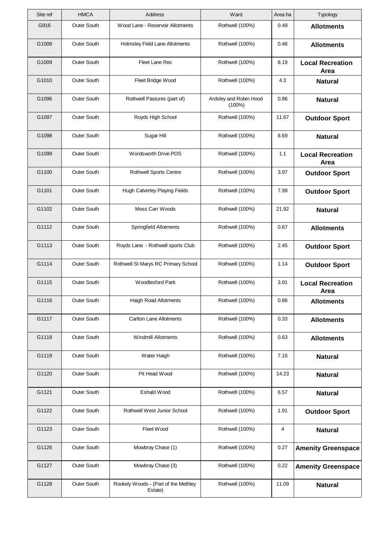| Site ref | <b>HMCA</b>        | Address                                         | Ward                                | Area ha | Typology                        |
|----------|--------------------|-------------------------------------------------|-------------------------------------|---------|---------------------------------|
| G916     | Outer South        | Wood Lane - Reservoir Allotments                | Rothwell (100%)                     | 0.49    | <b>Allotments</b>               |
| G1008    | <b>Outer South</b> | Holmsley Field Lane Allotments                  | Rothwell (100%)                     | 0.46    | <b>Allotments</b>               |
| G1009    | Outer South        | Fleet Lane Rec                                  | Rothwell (100%)                     | 8.19    | <b>Local Recreation</b><br>Area |
| G1010    | Outer South        | Fleet Bridge Wood                               | Rothwell (100%)                     | 4.3     | <b>Natural</b>                  |
| G1096    | Outer South        | Rothwell Pastures (part of)                     | Ardsley and Robin Hood<br>$(100\%)$ | 0.86    | <b>Natural</b>                  |
| G1097    | Outer South        | Royds High School                               | Rothwell (100%)                     | 11.67   | <b>Outdoor Sport</b>            |
| G1098    | <b>Outer South</b> | Sugar Hill                                      | Rothwell (100%)                     | 8.69    | <b>Natural</b>                  |
| G1099    | Outer South        | Wordsworth Drive POS                            | Rothwell (100%)                     | 1.1     | <b>Local Recreation</b><br>Area |
| G1100    | Outer South        | <b>Rothwell Sports Centre</b>                   | Rothwell (100%)                     | 3.97    | <b>Outdoor Sport</b>            |
| G1101    | <b>Outer South</b> | Hugh Calverley Playing Fields                   | Rothwell (100%)                     | 7.99    | <b>Outdoor Sport</b>            |
| G1102    | Outer South        | Moss Carr Woods                                 | Rothwell (100%)                     | 21.92   | <b>Natural</b>                  |
| G1112    | Outer South        | Springfield Allotments                          | Rothwell (100%)                     | 0.67    | <b>Allotments</b>               |
| G1113    | Outer South        | Royds Lane - Rothwell sports Club               | Rothwell (100%)                     | 2.45    | <b>Outdoor Sport</b>            |
| G1114    | Outer South        | Rothwell St Marys RC Primary School             | Rothwell (100%)                     | 1.14    | <b>Outdoor Sport</b>            |
| G1115    | Outer South        | <b>Woodlesford Park</b>                         | Rothwell (100%)                     | 3.91    | <b>Local Recreation</b><br>Area |
| G1116    | Outer South        | Haigh Road Allotments                           | Rothwell (100%)                     | 0.86    | <b>Allotments</b>               |
| G1117    | Outer South        | <b>Carlton Lane Allotments</b>                  | Rothwell (100%)                     | 0.33    | <b>Allotments</b>               |
| G1118    | Outer South        | <b>Windmill Allotments</b>                      | Rothwell (100%)                     | 0.63    | <b>Allotments</b>               |
| G1119    | Outer South        | Water Haigh                                     | Rothwell (100%)                     | 7.16    | <b>Natural</b>                  |
| G1120    | Outer South        | Pit Head Wood                                   | Rothwell (100%)                     | 14.23   | <b>Natural</b>                  |
| G1121    | Outer South        | Eshald Wood                                     | Rothwell (100%)                     | 6.57    | <b>Natural</b>                  |
| G1122    | Outer South        | Rothwell West Junior School                     | Rothwell (100%)                     | 1.91    | <b>Outdoor Sport</b>            |
| G1123    | Outer South        | Fleet Wood                                      | Rothwell (100%)                     | 4       | <b>Natural</b>                  |
| G1126    | Outer South        | Mowbray Chase (1)                               | Rothwell (100%)                     | 0.27    | <b>Amenity Greenspace</b>       |
| G1127    | Outer South        | Mowbray Chase (3)                               | Rothwell (100%)                     | 0.22    | <b>Amenity Greenspace</b>       |
| G1128    | Outer South        | Rookely Woods - (Part of the Methley<br>Estate) | Rothwell (100%)                     | 11.09   | <b>Natural</b>                  |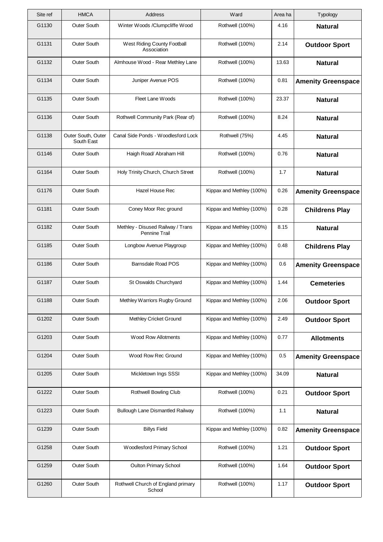| Site ref | <b>HMCA</b>                      | Address                                            | Ward                      | Area ha | Typology                  |
|----------|----------------------------------|----------------------------------------------------|---------------------------|---------|---------------------------|
| G1130    | Outer South                      | Winter Woods /Clumpcliffe Wood                     | Rothwell (100%)           | 4.16    | <b>Natural</b>            |
| G1131    | Outer South                      | West Riding County Football<br>Association         | Rothwell (100%)           | 2.14    | <b>Outdoor Sport</b>      |
| G1132    | Outer South                      | Almhouse Wood - Rear Methley Lane                  | Rothwell (100%)           | 13.63   | <b>Natural</b>            |
| G1134    | <b>Outer South</b>               | Juniper Avenue POS                                 | Rothwell (100%)           | 0.81    | <b>Amenity Greenspace</b> |
| G1135    | Outer South                      | Fleet Lane Woods                                   | Rothwell (100%)           | 23.37   | <b>Natural</b>            |
| G1136    | Outer South                      | Rothwell Community Park (Rear of)                  | Rothwell (100%)           | 8.24    | <b>Natural</b>            |
| G1138    | Outer South, Outer<br>South East | Canal Side Ponds - Woodlesford Lock                | Rothwell (75%)            | 4.45    | <b>Natural</b>            |
| G1146    | Outer South                      | Haigh Road/ Abraham Hill                           | Rothwell (100%)           | 0.76    | <b>Natural</b>            |
| G1164    | Outer South                      | Holy Trinity Church, Church Street                 | Rothwell (100%)           | 1.7     | <b>Natural</b>            |
| G1176    | Outer South                      | <b>Hazel House Rec</b>                             | Kippax and Methley (100%) | 0.26    | <b>Amenity Greenspace</b> |
| G1181    | Outer South                      | Coney Moor Rec ground                              | Kippax and Methley (100%) | 0.28    | <b>Childrens Play</b>     |
| G1182    | Outer South                      | Methley - Disused Railway / Trans<br>Pennine Trail | Kippax and Methley (100%) | 8.15    | <b>Natural</b>            |
| G1185    | Outer South                      | Longbow Avenue Playgroup                           | Kippax and Methley (100%) | 0.48    | <b>Childrens Play</b>     |
| G1186    | Outer South                      | <b>Barnsdale Road POS</b>                          | Kippax and Methley (100%) | 0.6     | <b>Amenity Greenspace</b> |
| G1187    | Outer South                      | St Oswalds Churchyard                              | Kippax and Methley (100%) | 1.44    | <b>Cemeteries</b>         |
| G1188    | Outer South                      | Methley Warriors Rugby Ground                      | Kippax and Methley (100%) | 2.06    | <b>Outdoor Sport</b>      |
| G1202    | Outer South                      | Methley Cricket Ground                             | Kippax and Methley (100%) | 2.49    | <b>Outdoor Sport</b>      |
| G1203    | Outer South                      | <b>Wood Row Allotments</b>                         | Kippax and Methley (100%) | 0.77    | <b>Allotments</b>         |
| G1204    | Outer South                      | Wood Row Rec Ground                                | Kippax and Methley (100%) | 0.5     | <b>Amenity Greenspace</b> |
| G1205    | Outer South                      | Mickletown Ings SSSI                               | Kippax and Methley (100%) | 34.09   | <b>Natural</b>            |
| G1222    | Outer South                      | Rothwell Bowling Club                              | Rothwell (100%)           | 0.21    | <b>Outdoor Sport</b>      |
| G1223    | Outer South                      | <b>Bullough Lane Dismantled Railway</b>            | Rothwell (100%)           | 1.1     | <b>Natural</b>            |
| G1239    | Outer South                      | <b>Billys Field</b>                                | Kippax and Methley (100%) | 0.82    | <b>Amenity Greenspace</b> |
| G1258    | Outer South                      | Woodlesford Primary School                         | Rothwell (100%)           | 1.21    | <b>Outdoor Sport</b>      |
| G1259    | Outer South                      | Oulton Primary School                              | Rothwell (100%)           | 1.64    | <b>Outdoor Sport</b>      |
| G1260    | Outer South                      | Rothwell Church of England primary<br>School       | Rothwell (100%)           | 1.17    | <b>Outdoor Sport</b>      |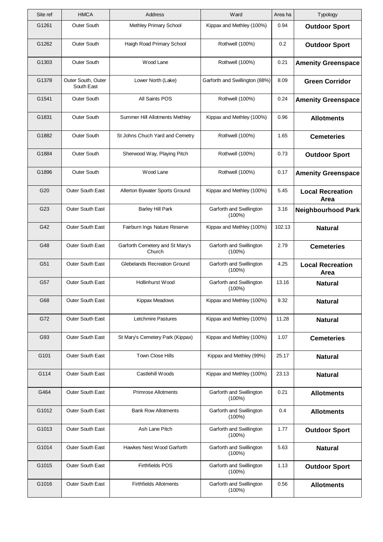| Site ref        | <b>HMCA</b>                      | Address                                   | Ward                                  | Area ha | Typology                        |
|-----------------|----------------------------------|-------------------------------------------|---------------------------------------|---------|---------------------------------|
| G1261           | <b>Outer South</b>               | Methley Primary School                    | Kippax and Methley (100%)             | 0.94    | <b>Outdoor Sport</b>            |
| G1262           | <b>Outer South</b>               | Haigh Road Primary School                 | Rothwell (100%)                       | 0.2     | <b>Outdoor Sport</b>            |
| G1303           | Outer South                      | Wood Lane                                 | Rothwell (100%)                       | 0.21    | <b>Amenity Greenspace</b>       |
| G1378           | Outer South, Outer<br>South East | Lower North (Lake)                        | Garforth and Swillington (88%)        | 8.09    | <b>Green Corridor</b>           |
| G1541           | <b>Outer South</b>               | All Saints POS                            | Rothwell (100%)                       | 0.24    | <b>Amenity Greenspace</b>       |
| G1831           | <b>Outer South</b>               | Summer Hill Allotments Methley            | Kippax and Methley (100%)             | 0.96    | <b>Allotments</b>               |
| G1882           | Outer South                      | St Johns Chuch Yard and Cemetry           | Rothwell (100%)                       | 1.65    | <b>Cemeteries</b>               |
| G1884           | Outer South                      | Sherwood Way, Playing Pitch               | Rothwell (100%)                       | 0.73    | <b>Outdoor Sport</b>            |
| G1896           | <b>Outer South</b>               | Wood Lane                                 | Rothwell (100%)                       | 0.17    | <b>Amenity Greenspace</b>       |
| G <sub>20</sub> | Outer South East                 | Allerton Bywater Sports Ground            | Kippax and Methley (100%)             | 5.45    | <b>Local Recreation</b><br>Area |
| G23             | Outer South East                 | <b>Barley Hill Park</b>                   | Garforth and Swillington<br>$(100\%)$ | 3.16    | <b>Neighbourhood Park</b>       |
| G42             | Outer South East                 | Fairburn Ings Nature Reserve              | Kippax and Methley (100%)             | 102.13  | <b>Natural</b>                  |
| G48             | Outer South East                 | Garforth Cemetery and St Mary's<br>Church | Garforth and Swillington<br>$(100\%)$ | 2.79    | <b>Cemeteries</b>               |
| G51             | Outer South East                 | Glebelands Recreation Ground              | Garforth and Swillington<br>$(100\%)$ | 4.25    | <b>Local Recreation</b><br>Area |
| G57             | Outer South East                 | Hollinhurst Wood                          | Garforth and Swillington<br>$(100\%)$ | 13.16   | <b>Natural</b>                  |
| G68             | Outer South East                 | Kippax Meadows                            | Kippax and Methley (100%)             | 9.32    | <b>Natural</b>                  |
| G72             | Outer South East                 | Letchmire Pastures                        | Kippax and Methley (100%)             | 11.28   | <b>Natural</b>                  |
| G93             | Outer South East                 | St Mary's Cemetery Park (Kippax)          | Kippax and Methley (100%)             | 1.07    | <b>Cemeteries</b>               |
| G101            | Outer South East                 | Town Close Hills                          | Kippax and Methley (99%)              | 25.17   | <b>Natural</b>                  |
| G114            | Outer South East                 | Castlehill Woods                          | Kippax and Methley (100%)             | 23.13   | <b>Natural</b>                  |
| G464            | Outer South East                 | <b>Primrose Allotments</b>                | Garforth and Swillington<br>$(100\%)$ | 0.21    | <b>Allotments</b>               |
| G1012           | Outer South East                 | <b>Bank Row Allotments</b>                | Garforth and Swillington<br>$(100\%)$ | 0.4     | <b>Allotments</b>               |
| G1013           | Outer South East                 | Ash Lane Pitch                            | Garforth and Swillington<br>$(100\%)$ | 1.77    | <b>Outdoor Sport</b>            |
| G1014           | Outer South East                 | Hawkes Nest Wood Garforth                 | Garforth and Swillington<br>$(100\%)$ | 5.63    | <b>Natural</b>                  |
| G1015           | Outer South East                 | <b>Firthfields POS</b>                    | Garforth and Swillington<br>$(100\%)$ | 1.13    | <b>Outdoor Sport</b>            |
| G1016           | Outer South East                 | <b>Firthfields Allotments</b>             | Garforth and Swillington<br>$(100\%)$ | 0.56    | <b>Allotments</b>               |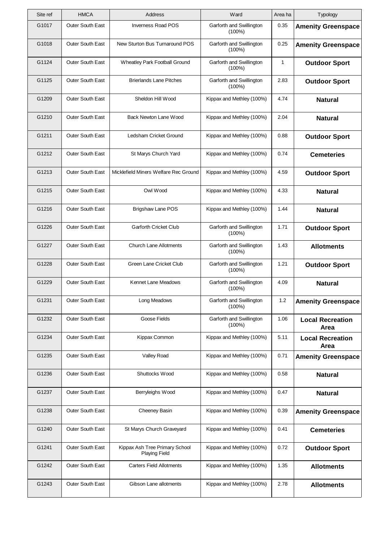| Site ref | <b>HMCA</b>             | Address                                                | Ward                                  | Area ha      | Typology                        |
|----------|-------------------------|--------------------------------------------------------|---------------------------------------|--------------|---------------------------------|
| G1017    | Outer South East        | <b>Inverness Road POS</b>                              | Garforth and Swillington<br>$(100\%)$ | 0.35         | <b>Amenity Greenspace</b>       |
| G1018    | Outer South East        | New Sturton Bus Turnaround POS                         | Garforth and Swillington<br>$(100\%)$ | 0.25         | <b>Amenity Greenspace</b>       |
| G1124    | <b>Outer South East</b> | Wheatley Park Football Ground                          | Garforth and Swillington<br>$(100\%)$ | $\mathbf{1}$ | <b>Outdoor Sport</b>            |
| G1125    | Outer South East        | <b>Brierlands Lane Pitches</b>                         | Garforth and Swillington<br>$(100\%)$ | 2.83         | <b>Outdoor Sport</b>            |
| G1209    | Outer South East        | Sheldon Hill Wood                                      | Kippax and Methley (100%)             | 4.74         | <b>Natural</b>                  |
| G1210    | Outer South East        | Back Newton Lane Wood                                  | Kippax and Methley (100%)             | 2.04         | <b>Natural</b>                  |
| G1211    | Outer South East        | Ledsham Cricket Ground                                 | Kippax and Methley (100%)             | 0.88         | <b>Outdoor Sport</b>            |
| G1212    | Outer South East        | St Marys Church Yard                                   | Kippax and Methley (100%)             | 0.74         | <b>Cemeteries</b>               |
| G1213    | Outer South East        | Micklefield Miners Welfare Rec Ground                  | Kippax and Methley (100%)             | 4.59         | <b>Outdoor Sport</b>            |
| G1215    | Outer South East        | Owl Wood                                               | Kippax and Methley (100%)             | 4.33         | <b>Natural</b>                  |
| G1216    | Outer South East        | <b>Brigshaw Lane POS</b>                               | Kippax and Methley (100%)             | 1.44         | <b>Natural</b>                  |
| G1226    | Outer South East        | Garforth Cricket Club                                  | Garforth and Swillington<br>$(100\%)$ | 1.71         | <b>Outdoor Sport</b>            |
| G1227    | Outer South East        | <b>Church Lane Allotments</b>                          | Garforth and Swillington<br>$(100\%)$ | 1.43         | <b>Allotments</b>               |
| G1228    | Outer South East        | Green Lane Cricket Club                                | Garforth and Swillington<br>$(100\%)$ | 1.21         | <b>Outdoor Sport</b>            |
| G1229    | Outer South East        | Kennet Lane Meadows                                    | Garforth and Swillington<br>$(100\%)$ | 4.09         | <b>Natural</b>                  |
| G1231    | Outer South East        | Long Meadows                                           | Garforth and Swillington<br>$(100\%)$ | 1.2          | <b>Amenity Greenspace</b>       |
| G1232    | Outer South East        | Goose Fields                                           | Garforth and Swillington<br>$(100\%)$ | 1.06         | <b>Local Recreation</b><br>Area |
| G1234    | Outer South East        | Kippax Common                                          | Kippax and Methley (100%)             | 5.11         | <b>Local Recreation</b><br>Area |
| G1235    | Outer South East        | <b>Valley Road</b>                                     | Kippax and Methley (100%)             | 0.71         | <b>Amenity Greenspace</b>       |
| G1236    | Outer South East        | Shuttocks Wood                                         | Kippax and Methley (100%)             | 0.58         | <b>Natural</b>                  |
| G1237    | Outer South East        | Berryleighs Wood                                       | Kippax and Methley (100%)             | 0.47         | <b>Natural</b>                  |
| G1238    | Outer South East        | Cheeney Basin                                          | Kippax and Methley (100%)             | 0.39         | <b>Amenity Greenspace</b>       |
| G1240    | Outer South East        | St Marys Church Graveyard                              | Kippax and Methley (100%)             | 0.41         | <b>Cemeteries</b>               |
| G1241    | Outer South East        | Kippax Ash Tree Primary School<br><b>Playing Field</b> | Kippax and Methley (100%)             | 0.72         | <b>Outdoor Sport</b>            |
| G1242    | Outer South East        | <b>Carters Field Allotments</b>                        | Kippax and Methley (100%)             | 1.35         | <b>Allotments</b>               |
| G1243    | Outer South East        | Gibson Lane allotments                                 | Kippax and Methley (100%)             | 2.78         | <b>Allotments</b>               |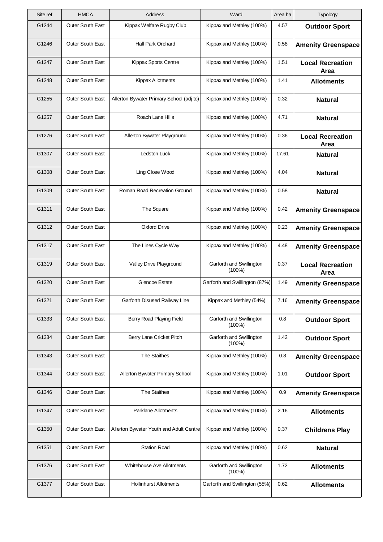| Site ref | <b>HMCA</b>             | Address                                  | Ward                                  | Area ha | Typology                        |
|----------|-------------------------|------------------------------------------|---------------------------------------|---------|---------------------------------|
| G1244    | Outer South East        | Kippax Welfare Rugby Club                | Kippax and Methley (100%)             | 4.57    | <b>Outdoor Sport</b>            |
| G1246    | Outer South East        | Hall Park Orchard                        | Kippax and Methley (100%)             | 0.58    | <b>Amenity Greenspace</b>       |
| G1247    | Outer South East        | Kippax Sports Centre                     | Kippax and Methley (100%)             | 1.51    | <b>Local Recreation</b><br>Area |
| G1248    | <b>Outer South East</b> | Kippax Allotments                        | Kippax and Methley (100%)             | 1.41    | <b>Allotments</b>               |
| G1255    | <b>Outer South East</b> | Allerton Bywater Primary School (adj to) | Kippax and Methley (100%)             | 0.32    | <b>Natural</b>                  |
| G1257    | Outer South East        | Roach Lane Hills                         | Kippax and Methley (100%)             | 4.71    | <b>Natural</b>                  |
| G1276    | Outer South East        | Allerton Bywater Playground              | Kippax and Methley (100%)             | 0.36    | <b>Local Recreation</b><br>Area |
| G1307    | <b>Outer South East</b> | <b>Ledston Luck</b>                      | Kippax and Methley (100%)             | 17.61   | <b>Natural</b>                  |
| G1308    | Outer South East        | Ling Close Wood                          | Kippax and Methley (100%)             | 4.04    | <b>Natural</b>                  |
| G1309    | <b>Outer South East</b> | Roman Road Recreation Ground             | Kippax and Methley (100%)             | 0.58    | <b>Natural</b>                  |
| G1311    | Outer South East        | The Square                               | Kippax and Methley (100%)             | 0.42    | <b>Amenity Greenspace</b>       |
| G1312    | Outer South East        | <b>Oxford Drive</b>                      | Kippax and Methley (100%)             | 0.23    | <b>Amenity Greenspace</b>       |
| G1317    | Outer South East        | The Lines Cycle Way                      | Kippax and Methley (100%)             | 4.48    | <b>Amenity Greenspace</b>       |
| G1319    | Outer South East        | Valley Drive Playground                  | Garforth and Swillington<br>(100%)    | 0.37    | <b>Local Recreation</b><br>Area |
| G1320    | Outer South East        | Glencoe Estate                           | Garforth and Swillington (87%)        | 1.49    | <b>Amenity Greenspace</b>       |
| G1321    | Outer South East        | Garforth Disused Railway Line            | Kippax and Methley (54%)              | 7.16    | <b>Amenity Greenspace</b>       |
| G1333    | Outer South East        | Berry Road Playing Field                 | Garforth and Swillington<br>$(100\%)$ | 0.8     | <b>Outdoor Sport</b>            |
| G1334    | Outer South East        | Berry Lane Cricket Pitch                 | Garforth and Swillington<br>$(100\%)$ | 1.42    | <b>Outdoor Sport</b>            |
| G1343    | Outer South East        | <b>The Staithes</b>                      | Kippax and Methley (100%)             | 0.8     | <b>Amenity Greenspace</b>       |
| G1344    | <b>Outer South East</b> | Allerton Bywater Primary School          | Kippax and Methley (100%)             | 1.01    | <b>Outdoor Sport</b>            |
| G1346    | Outer South East        | The Staithes                             | Kippax and Methley (100%)             | 0.9     | <b>Amenity Greenspace</b>       |
| G1347    | Outer South East        | Parklane Allotments                      | Kippax and Methley (100%)             | 2.16    | <b>Allotments</b>               |
| G1350    | Outer South East        | Allerton Bywater Youth and Adult Centre  | Kippax and Methley (100%)             | 0.37    | <b>Childrens Play</b>           |
| G1351    | Outer South East        | <b>Station Road</b>                      | Kippax and Methley (100%)             | 0.62    | <b>Natural</b>                  |
| G1376    | Outer South East        | <b>Whitehouse Ave Allotments</b>         | Garforth and Swillington<br>$(100\%)$ | 1.72    | <b>Allotments</b>               |
| G1377    | Outer South East        | <b>Hollinhurst Allotments</b>            | Garforth and Swillington (55%)        | 0.62    | <b>Allotments</b>               |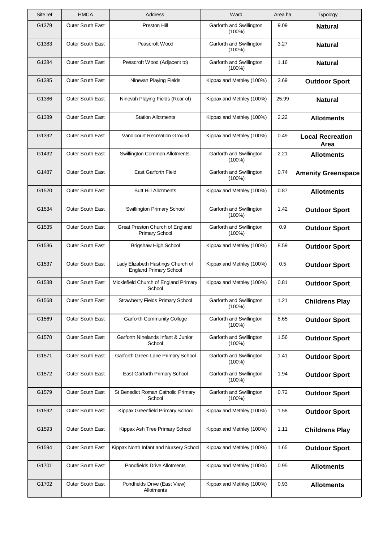| Site ref | <b>HMCA</b>             | Address                                                            | Ward                                  | Area ha | Typology                        |
|----------|-------------------------|--------------------------------------------------------------------|---------------------------------------|---------|---------------------------------|
| G1379    | Outer South East        | Preston Hill                                                       | Garforth and Swillington<br>$(100\%)$ | 9.09    | <b>Natural</b>                  |
| G1383    | Outer South East        | Peascroft Wood                                                     | Garforth and Swillington<br>$(100\%)$ | 3.27    | <b>Natural</b>                  |
| G1384    | Outer South East        | Peascroft Wood (Adjacent to)                                       | Garforth and Swillington<br>$(100\%)$ | 1.16    | <b>Natural</b>                  |
| G1385    | Outer South East        | Ninevah Playing Fields                                             | Kippax and Methley (100%)             | 3.69    | <b>Outdoor Sport</b>            |
| G1386    | Outer South East        | Ninevah Playing Fields (Rear of)                                   | Kippax and Methley (100%)             | 25.99   | <b>Natural</b>                  |
| G1389    | Outer South East        | <b>Station Allotments</b>                                          | Kippax and Methley (100%)             | 2.22    | <b>Allotments</b>               |
| G1392    | Outer South East        | <b>Vandicourt Recreation Ground</b>                                | Kippax and Methley (100%)             | 0.49    | <b>Local Recreation</b><br>Area |
| G1432    | Outer South East        | Swillington Common Allotments.                                     | Garforth and Swillington<br>$(100\%)$ | 2.21    | <b>Allotments</b>               |
| G1487    | Outer South East        | East Garforth Field                                                | Garforth and Swillington<br>$(100\%)$ | 0.74    | <b>Amenity Greenspace</b>       |
| G1520    | Outer South East        | <b>Butt Hill Allotments</b>                                        | Kippax and Methley (100%)             | 0.87    | <b>Allotments</b>               |
| G1534    | Outer South East        | Swillington Primary School                                         | Garforth and Swillington<br>$(100\%)$ | 1.42    | <b>Outdoor Sport</b>            |
| G1535    | Outer South East        | Great Preston Church of England<br><b>Primary School</b>           | Garforth and Swillington<br>$(100\%)$ | 0.9     | <b>Outdoor Sport</b>            |
| G1536    | Outer South East        | <b>Brigshaw High School</b>                                        | Kippax and Methley (100%)             | 8.59    | <b>Outdoor Sport</b>            |
| G1537    | Outer South East        | Lady Elizabeth Hastings Church of<br><b>England Primary School</b> | Kippax and Methley (100%)             | 0.5     | <b>Outdoor Sport</b>            |
| G1538    | <b>Outer South East</b> | Micklefield Church of England Primary<br>School                    | Kippax and Methley (100%)             | 0.81    | <b>Outdoor Sport</b>            |
| G1568    | Outer South East        | Strawberry Fields Primary School                                   | Garforth and Swillington<br>$(100\%)$ | 1.21    | <b>Childrens Play</b>           |
| G1569    | Outer South East        | <b>Garforth Community College</b>                                  | Garforth and Swillington<br>$(100\%)$ | 8.65    | <b>Outdoor Sport</b>            |
| G1570    | Outer South East        | Garforth Ninelands Infant & Junior<br>School                       | Garforth and Swillington<br>$(100\%)$ | 1.56    | <b>Outdoor Sport</b>            |
| G1571    | Outer South East        | Garforth Green Lane Primary School                                 | Garforth and Swillington<br>$(100\%)$ | 1.41    | <b>Outdoor Sport</b>            |
| G1572    | Outer South East        | East Garforth Primary School                                       | Garforth and Swillington<br>$(100\%)$ | 1.94    | <b>Outdoor Sport</b>            |
| G1579    | Outer South East        | St Benedict Roman Catholic Primary<br>School                       | Garforth and Swillington<br>$(100\%)$ | 0.72    | <b>Outdoor Sport</b>            |
| G1592    | Outer South East        | Kippax Greenfield Primary School                                   | Kippax and Methley (100%)             | 1.58    | <b>Outdoor Sport</b>            |
| G1593    | Outer South East        | Kippax Ash Tree Primary School                                     | Kippax and Methley (100%)             | 1.11    | <b>Childrens Play</b>           |
| G1594    | Outer South East        | Kippax North Infant and Nursery School                             | Kippax and Methley (100%)             | 1.65    | <b>Outdoor Sport</b>            |
| G1701    | Outer South East        | <b>Pondfields Drive Allotments</b>                                 | Kippax and Methley (100%)             | 0.95    | <b>Allotments</b>               |
| G1702    | Outer South East        | Pondfields Drive (East View)<br>Allotments                         | Kippax and Methley (100%)             | 0.93    | <b>Allotments</b>               |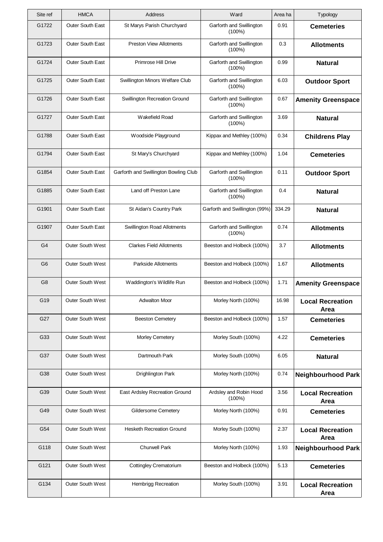| Site ref       | <b>HMCA</b>             | Address                               | Ward                                  | Area ha | Typology                               |
|----------------|-------------------------|---------------------------------------|---------------------------------------|---------|----------------------------------------|
| G1722          | Outer South East        | St Marys Parish Churchyard            | Garforth and Swillington<br>$(100\%)$ | 0.91    | <b>Cemeteries</b>                      |
| G1723          | Outer South East        | <b>Preston View Allotments</b>        | Garforth and Swillington<br>$(100\%)$ | 0.3     | <b>Allotments</b>                      |
| G1724          | Outer South East        | Primrose Hill Drive                   | Garforth and Swillington<br>$(100\%)$ | 0.99    | <b>Natural</b>                         |
| G1725          | Outer South East        | Swillington Minors Welfare Club       | Garforth and Swillington<br>$(100\%)$ | 6.03    | <b>Outdoor Sport</b>                   |
| G1726          | Outer South East        | Swillington Recreation Ground         | Garforth and Swillington<br>$(100\%)$ | 0.67    | <b>Amenity Greenspace</b>              |
| G1727          | Outer South East        | Wakefield Road                        | Garforth and Swillington<br>$(100\%)$ | 3.69    | <b>Natural</b>                         |
| G1788          | Outer South East        | Woodside Playground                   | Kippax and Methley (100%)             | 0.34    | <b>Childrens Play</b>                  |
| G1794          | Outer South East        | St Mary's Churchyard                  | Kippax and Methley (100%)             | 1.04    | <b>Cemeteries</b>                      |
| G1854          | Outer South East        | Garforth and Swillington Bowling Club | Garforth and Swillington<br>$(100\%)$ | 0.11    | <b>Outdoor Sport</b>                   |
| G1885          | Outer South East        | Land off Preston Lane                 | Garforth and Swillington<br>$(100\%)$ | 0.4     | <b>Natural</b>                         |
| G1901          | Outer South East        | St Aidan's Country Park               | Garforth and Swillington (99%)        | 334.29  | <b>Natural</b>                         |
| G1907          | Outer South East        | Swillington Road Allotments           | Garforth and Swillington<br>$(100\%)$ | 0.74    | <b>Allotments</b>                      |
| G <sub>4</sub> | <b>Outer South West</b> | <b>Clarkes Field Allotments</b>       | Beeston and Holbeck (100%)            | 3.7     | <b>Allotments</b>                      |
| G <sub>6</sub> | <b>Outer South West</b> | Parkside Allotments                   | Beeston and Holbeck (100%)            | 1.67    | <b>Allotments</b>                      |
| G <sub>8</sub> | Outer South West        | Waddington's Wildlife Run             | Beeston and Holbeck (100%)            | 1.71    | <b>Amenity Greenspace</b>              |
| G19            | Outer South West        | <b>Adwalton Moor</b>                  | Morley North (100%)                   | 16.98   | <b>Local Recreation</b><br>Area        |
| G27            | <b>Outer South West</b> | <b>Beeston Cemetery</b>               | Beeston and Holbeck (100%)            | 1.57    | <b>Cemeteries</b>                      |
| G33            | <b>Outer South West</b> | <b>Morley Cemetery</b>                | Morley South (100%)                   | 4.22    | <b>Cemeteries</b>                      |
| G37            | <b>Outer South West</b> | Dartmouth Park                        | Morley South (100%)                   | 6.05    | <b>Natural</b>                         |
| G38            | <b>Outer South West</b> | Drighlington Park                     | Morley North (100%)                   | 0.74    | <b>Neighbourhood Park</b>              |
| G39            | <b>Outer South West</b> | East Ardsley Recreation Ground        | Ardsley and Robin Hood<br>$(100\%)$   | 3.56    | <b>Local Recreation</b><br>Area        |
| G49            | Outer South West        | Gildersome Cemetery                   | Morley North (100%)                   | 0.91    | <b>Cemeteries</b>                      |
| G54            | <b>Outer South West</b> | <b>Hesketh Recreation Ground</b>      | Morley South (100%)                   | 2.37    | <b>Local Recreation</b><br>Area        |
| G118           | Outer South West        | <b>Churwell Park</b>                  | Morley North (100%)                   | 1.93    | <b>Neighbourhood Park</b>              |
| G121           | <b>Outer South West</b> | <b>Cottingley Crematorium</b>         | Beeston and Holbeck (100%)            | 5.13    | <b>Cemeteries</b>                      |
| G134           | Outer South West        | Hembrigg Recreation                   | Morley South (100%)                   | 3.91    | <b>Local Recreation</b><br><b>Area</b> |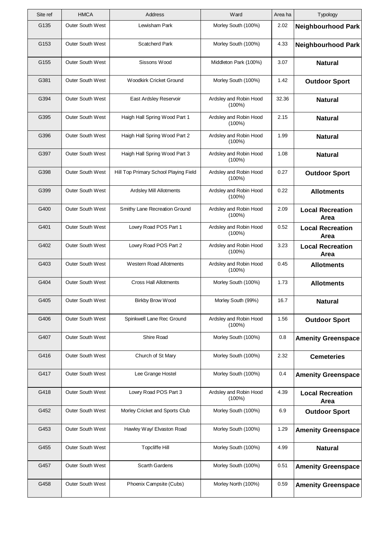| Site ref | <b>HMCA</b>             | Address                               | Ward                                | Area ha | Typology                        |
|----------|-------------------------|---------------------------------------|-------------------------------------|---------|---------------------------------|
| G135     | <b>Outer South West</b> | Lewisham Park                         | Morley South (100%)                 | 2.02    | <b>Neighbourhood Park</b>       |
| G153     | <b>Outer South West</b> | <b>Scatcherd Park</b>                 | Morley South (100%)                 | 4.33    | <b>Neighbourhood Park</b>       |
| G155     | <b>Outer South West</b> | Sissons Wood                          | Middleton Park (100%)               | 3.07    | <b>Natural</b>                  |
| G381     | Outer South West        | Woodkirk Cricket Ground               | Morley South (100%)                 | 1.42    | <b>Outdoor Sport</b>            |
| G394     | <b>Outer South West</b> | East Ardsley Reservoir                | Ardsley and Robin Hood<br>$(100\%)$ | 32.36   | <b>Natural</b>                  |
| G395     | <b>Outer South West</b> | Haigh Hall Spring Wood Part 1         | Ardsley and Robin Hood<br>$(100\%)$ | 2.15    | <b>Natural</b>                  |
| G396     | <b>Outer South West</b> | Haigh Hall Spring Wood Part 2         | Ardsley and Robin Hood<br>$(100\%)$ | 1.99    | <b>Natural</b>                  |
| G397     | Outer South West        | Haigh Hall Spring Wood Part 3         | Ardsley and Robin Hood<br>$(100\%)$ | 1.08    | <b>Natural</b>                  |
| G398     | <b>Outer South West</b> | Hill Top Primary School Playing Field | Ardsley and Robin Hood<br>$(100\%)$ | 0.27    | <b>Outdoor Sport</b>            |
| G399     | Outer South West        | Ardsley Mill Allotments               | Ardsley and Robin Hood<br>$(100\%)$ | 0.22    | <b>Allotments</b>               |
| G400     | <b>Outer South West</b> | Smithy Lane Recreation Ground         | Ardsley and Robin Hood<br>$(100\%)$ | 2.09    | <b>Local Recreation</b><br>Area |
| G401     | Outer South West        | Lowry Road POS Part 1                 | Ardsley and Robin Hood<br>(100%)    | 0.52    | <b>Local Recreation</b><br>Area |
| G402     | <b>Outer South West</b> | Lowry Road POS Part 2                 | Ardsley and Robin Hood<br>$(100\%)$ | 3.23    | <b>Local Recreation</b><br>Area |
| G403     | <b>Outer South West</b> | <b>Western Road Allotments</b>        | Ardsley and Robin Hood<br>$(100\%)$ | 0.45    | <b>Allotments</b>               |
| G404     | Outer South West        | <b>Cross Hall Allotments</b>          | Morley South (100%)                 | 1.73    | <b>Allotments</b>               |
| G405     | Outer South West        | Birkby Brow Wood                      | Morley South (99%)                  | 16.7    | <b>Natural</b>                  |
| G406     | Outer South West        | Spinkwell Lane Rec Ground             | Ardsley and Robin Hood<br>$(100\%)$ | 1.56    | <b>Outdoor Sport</b>            |
| G407     | Outer South West        | Shire Road                            | Morley South (100%)                 | 0.8     | <b>Amenity Greenspace</b>       |
| G416     | Outer South West        | Church of St Mary                     | Morley South (100%)                 | 2.32    | <b>Cemeteries</b>               |
| G417     | Outer South West        | Lee Grange Hostel                     | Morley South (100%)                 | 0.4     | <b>Amenity Greenspace</b>       |
| G418     | Outer South West        | Lowry Road POS Part 3                 | Ardsley and Robin Hood<br>$(100\%)$ | 4.39    | <b>Local Recreation</b><br>Area |
| G452     | Outer South West        | Morley Cricket and Sports Club        | Morley South (100%)                 | 6.9     | <b>Outdoor Sport</b>            |
| G453     | Outer South West        | Hawley Way/ Elvaston Road             | Morley South (100%)                 | 1.29    | <b>Amenity Greenspace</b>       |
| G455     | Outer South West        | <b>Topcliffe Hill</b>                 | Morley South (100%)                 | 4.99    | <b>Natural</b>                  |
| G457     | Outer South West        | Scarth Gardens                        | Morley South (100%)                 | 0.51    | <b>Amenity Greenspace</b>       |
| G458     | Outer South West        | Phoenix Campsite (Cubs)               | Morley North (100%)                 | 0.59    | <b>Amenity Greenspace</b>       |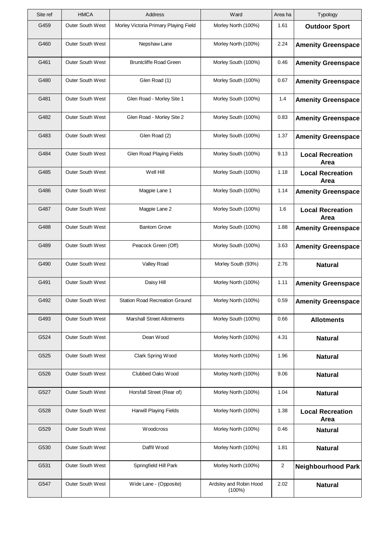| Site ref | <b>HMCA</b>             | Address                               | Ward                                | Area ha | Typology                        |
|----------|-------------------------|---------------------------------------|-------------------------------------|---------|---------------------------------|
| G459     | <b>Outer South West</b> | Morley Victoria Primary Playing Field | Morley North (100%)                 | 1.61    | <b>Outdoor Sport</b>            |
| G460     | Outer South West        | Nepshaw Lane                          | Morley North (100%)                 | 2.24    | <b>Amenity Greenspace</b>       |
| G461     | <b>Outer South West</b> | <b>Bruntcliffe Road Green</b>         | Morley South (100%)                 | 0.46    | <b>Amenity Greenspace</b>       |
| G480     | <b>Outer South West</b> | Glen Road (1)                         | Morley South (100%)                 | 0.67    | <b>Amenity Greenspace</b>       |
| G481     | Outer South West        | Glen Road - Morley Site 1             | Morley South (100%)                 | 1.4     | <b>Amenity Greenspace</b>       |
| G482     | Outer South West        | Glen Road - Morley Site 2             | Morley South (100%)                 | 0.83    | <b>Amenity Greenspace</b>       |
| G483     | <b>Outer South West</b> | Glen Road (2)                         | Morley South (100%)                 | 1.37    | <b>Amenity Greenspace</b>       |
| G484     | Outer South West        | Glen Road Playing Fields              | Morley South (100%)                 | 9.13    | <b>Local Recreation</b><br>Area |
| G485     | <b>Outer South West</b> | Well Hill                             | Morley South (100%)                 | 1.18    | <b>Local Recreation</b><br>Area |
| G486     | Outer South West        | Magpie Lane 1                         | Morley South (100%)                 | 1.14    | <b>Amenity Greenspace</b>       |
| G487     | <b>Outer South West</b> | Magpie Lane 2                         | Morley South (100%)                 | 1.6     | <b>Local Recreation</b><br>Area |
| G488     | Outer South West        | <b>Bantom Grove</b>                   | Morley South (100%)                 | 1.88    | <b>Amenity Greenspace</b>       |
| G489     | Outer South West        | Peacock Green (Off)                   | Morley South (100%)                 | 3.63    | <b>Amenity Greenspace</b>       |
| G490     | Outer South West        | Valley Road                           | Morley South (93%)                  | 2.76    | <b>Natural</b>                  |
| G491     | Outer South West        | Daisy Hill                            | Morley North (100%)                 | 1.11    | <b>Amenity Greenspace</b>       |
| G492     | Outer South West        | Station Road Recreation Ground        | Morley North (100%)                 | 0.59    | <b>Amenity Greenspace</b>       |
| G493     | Outer South West        | <b>Marshall Street Allotments</b>     | Morley South (100%)                 | 0.66    | <b>Allotments</b>               |
| G524     | Outer South West        | Dean Wood                             | Morley North (100%)                 | 4.31    | <b>Natural</b>                  |
| G525     | <b>Outer South West</b> | Clark Spring Wood                     | Morley North (100%)                 | 1.96    | <b>Natural</b>                  |
| G526     | Outer South West        | Clubbed Oaks Wood                     | Morley North (100%)                 | 9.06    | <b>Natural</b>                  |
| G527     | Outer South West        | Horsfall Street (Rear of)             | Morley North (100%)                 | 1.04    | <b>Natural</b>                  |
| G528     | Outer South West        | <b>Harwill Playing Fields</b>         | Morley North (100%)                 | 1.38    | <b>Local Recreation</b><br>Area |
| G529     | Outer South West        | Woodcross                             | Morley North (100%)                 | 0.46    | <b>Natural</b>                  |
| G530     | Outer South West        | Daffil Wood                           | Morley North (100%)                 | 1.81    | <b>Natural</b>                  |
| G531     | Outer South West        | Springfield Hill Park                 | Morley North (100%)                 | 2       | <b>Neighbourhood Park</b>       |
| G547     | Outer South West        | Wide Lane - (Opposite)                | Ardsley and Robin Hood<br>$(100\%)$ | 2.02    | <b>Natural</b>                  |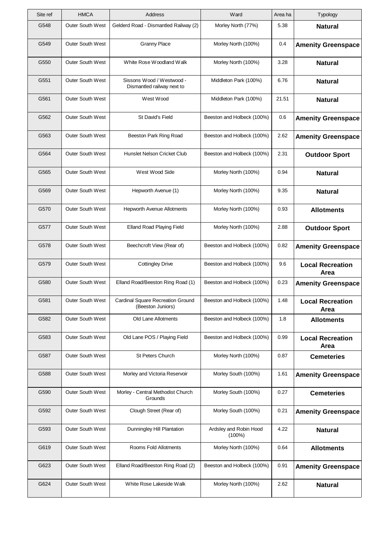| Site ref | <b>HMCA</b>             | Address                                                 | Ward                                | Area ha | Typology                        |
|----------|-------------------------|---------------------------------------------------------|-------------------------------------|---------|---------------------------------|
| G548     | <b>Outer South West</b> | Gelderd Road - Dismantled Railway (2)                   | Morley North (77%)                  | 5.38    | <b>Natural</b>                  |
| G549     | <b>Outer South West</b> | <b>Granny Place</b>                                     | Morley North (100%)                 | 0.4     | <b>Amenity Greenspace</b>       |
| G550     | Outer South West        | White Rose Woodland Walk                                | Morley North (100%)                 | 3.28    | <b>Natural</b>                  |
| G551     | <b>Outer South West</b> | Sissons Wood / Westwood -<br>Dismantled railway next to | Middleton Park (100%)               | 6.76    | <b>Natural</b>                  |
| G561     | <b>Outer South West</b> | West Wood                                               | Middleton Park (100%)               | 21.51   | <b>Natural</b>                  |
| G562     | <b>Outer South West</b> | St David's Field                                        | Beeston and Holbeck (100%)          | 0.6     | <b>Amenity Greenspace</b>       |
| G563     | <b>Outer South West</b> | Beeston Park Ring Road                                  | Beeston and Holbeck (100%)          | 2.62    | <b>Amenity Greenspace</b>       |
| G564     | <b>Outer South West</b> | Hunslet Nelson Cricket Club                             | Beeston and Holbeck (100%)          | 2.31    | <b>Outdoor Sport</b>            |
| G565     | <b>Outer South West</b> | West Wood Side                                          | Morley North (100%)                 | 0.94    | <b>Natural</b>                  |
| G569     | <b>Outer South West</b> | Hepworth Avenue (1)                                     | Morley North (100%)                 | 9.35    | <b>Natural</b>                  |
| G570     | <b>Outer South West</b> | <b>Hepworth Avenue Allotments</b>                       | Morley North (100%)                 | 0.93    | <b>Allotments</b>               |
| G577     | Outer South West        | Elland Road Playing Field                               | Morley North (100%)                 | 2.88    | <b>Outdoor Sport</b>            |
| G578     | Outer South West        | Beechcroft View (Rear of)                               | Beeston and Holbeck (100%)          | 0.82    | <b>Amenity Greenspace</b>       |
| G579     | <b>Outer South West</b> | <b>Cottingley Drive</b>                                 | Beeston and Holbeck (100%)          | 9.6     | <b>Local Recreation</b><br>Area |
| G580     | Outer South West        | Elland Road/Beeston Ring Road (1)                       | Beeston and Holbeck (100%)          | 0.23    | <b>Amenity Greenspace</b>       |
| G581     | Outer South West        | Cardinal Square Recreation Ground<br>(Beeston Juniors)  | Beeston and Holbeck (100%)          | 1.48    | <b>Local Recreation</b><br>Area |
| G582     | Outer South West        | Old Lane Allotments                                     | Beeston and Holbeck (100%)          | 1.8     | <b>Allotments</b>               |
| G583     | Outer South West        | Old Lane POS / Playing Field                            | Beeston and Holbeck (100%)          | 0.99    | <b>Local Recreation</b><br>Area |
| G587     | Outer South West        | <b>St Peters Church</b>                                 | Morley North (100%)                 | 0.87    | <b>Cemeteries</b>               |
| G588     | Outer South West        | Morley and Victoria Reservoir                           | Morley South (100%)                 | 1.61    | <b>Amenity Greenspace</b>       |
| G590     | Outer South West        | Morley - Central Methodist Church<br>Grounds            | Morley South (100%)                 | 0.27    | <b>Cemeteries</b>               |
| G592     | Outer South West        | Clough Street (Rear of)                                 | Morley South (100%)                 | 0.21    | <b>Amenity Greenspace</b>       |
| G593     | Outer South West        | Dunningley Hill Plantation                              | Ardsley and Robin Hood<br>$(100\%)$ | 4.22    | <b>Natural</b>                  |
| G619     | Outer South West        | Rooms Fold Allotments                                   | Morley North (100%)                 | 0.64    | <b>Allotments</b>               |
| G623     | Outer South West        | Elland Road/Beeston Ring Road (2)                       | Beeston and Holbeck (100%)          | 0.91    | <b>Amenity Greenspace</b>       |
| G624     | Outer South West        | White Rose Lakeside Walk                                | Morley North (100%)                 | 2.62    | <b>Natural</b>                  |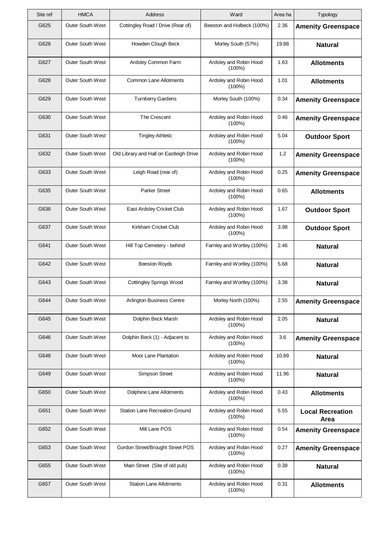| Site ref | <b>HMCA</b>             | Address                                 | Ward                                | Area ha | Typology                        |
|----------|-------------------------|-----------------------------------------|-------------------------------------|---------|---------------------------------|
| G625     | Outer South West        | Cottingley Road / Drive (Rear of)       | Beeston and Holbeck (100%)          | 2.36    | <b>Amenity Greenspace</b>       |
| G626     | Outer South West        | Howden Clough Beck                      | Morley South (57%)                  | 19.88   | <b>Natural</b>                  |
| G627     | <b>Outer South West</b> | Ardsley Common Farm                     | Ardsley and Robin Hood<br>$(100\%)$ | 1.63    | <b>Allotments</b>               |
| G628     | Outer South West        | <b>Common Lane Allotments</b>           | Ardsley and Robin Hood<br>(100%)    | 1.01    | <b>Allotments</b>               |
| G629     | <b>Outer South West</b> | <b>Turnberry Gardens</b>                | Morley South (100%)                 | 0.34    | <b>Amenity Greenspace</b>       |
| G630     | <b>Outer South West</b> | The Crescent                            | Ardsley and Robin Hood<br>$(100\%)$ | 0.46    | <b>Amenity Greenspace</b>       |
| G631     | <b>Outer South West</b> | <b>Tingley Athletic</b>                 | Ardsley and Robin Hood<br>$(100\%)$ | 5.04    | <b>Outdoor Sport</b>            |
| G632     | <b>Outer South West</b> | Old Library and Hall on Eastleigh Drive | Ardsley and Robin Hood<br>$(100\%)$ | 1.2     | <b>Amenity Greenspace</b>       |
| G633     | <b>Outer South West</b> | Leigh Road (rear of)                    | Ardsley and Robin Hood<br>$(100\%)$ | 0.25    | <b>Amenity Greenspace</b>       |
| G635     | Outer South West        | <b>Parker Street</b>                    | Ardsley and Robin Hood<br>$(100\%)$ | 0.65    | <b>Allotments</b>               |
| G636     | <b>Outer South West</b> | East Ardsley Cricket Club               | Ardsley and Robin Hood<br>$(100\%)$ | 1.67    | <b>Outdoor Sport</b>            |
| G637     | Outer South West        | Kirkham Cricket Club                    | Ardsley and Robin Hood<br>(100%)    | 3.98    | <b>Outdoor Sport</b>            |
| G641     | <b>Outer South West</b> | Hill Top Cemetery - behind              | Farnley and Wortley (100%)          | 2.46    | <b>Natural</b>                  |
| G642     | Outer South West        | <b>Beeston Royds</b>                    | Farnley and Wortley (100%)          | 5.68    | <b>Natural</b>                  |
| G643     | Outer South West        | <b>Cottingley Springs Wood</b>          | Farnley and Wortley (100%)          | 3.38    | <b>Natural</b>                  |
| G644     | Outer South West        | Arlington Business Centre               | Morley North (100%)                 | 2.55    | <b>Amenity Greenspace</b>       |
| G645     | <b>Outer South West</b> | Dolphin Beck Marsh                      | Ardsley and Robin Hood<br>$(100\%)$ | 2.05    | <b>Natural</b>                  |
| G646     | Outer South West        | Dolphin Beck (1) - Adjacent to          | Ardsley and Robin Hood<br>$(100\%)$ | 3.6     | <b>Amenity Greenspace</b>       |
| G648     | <b>Outer South West</b> | Moor Lane Plantation                    | Ardsley and Robin Hood<br>$(100\%)$ | 10.89   | <b>Natural</b>                  |
| G649     | Outer South West        | <b>Simpson Street</b>                   | Ardsley and Robin Hood<br>$(100\%)$ | 11.96   | <b>Natural</b>                  |
| G650     | Outer South West        | Dolphine Lane Allotments                | Ardsley and Robin Hood<br>$(100\%)$ | 0.43    | <b>Allotments</b>               |
| G651     | Outer South West        | <b>Station Lane Recreation Ground</b>   | Ardsley and Robin Hood<br>$(100\%)$ | 5.55    | <b>Local Recreation</b><br>Area |
| G652     | Outer South West        | Mill Lane POS                           | Ardsley and Robin Hood<br>$(100\%)$ | 0.54    | <b>Amenity Greenspace</b>       |
| G653     | Outer South West        | Gordon Street/Brought Street POS        | Ardsley and Robin Hood<br>(100%)    | 0.27    | <b>Amenity Greenspace</b>       |
| G655     | Outer South West        | Main Street (Site of old pub)           | Ardsley and Robin Hood<br>$(100\%)$ | 0.38    | <b>Natural</b>                  |
| G657     | Outer South West        | <b>Station Lane Allotments</b>          | Ardsley and Robin Hood<br>$(100\%)$ | 0.31    | <b>Allotments</b>               |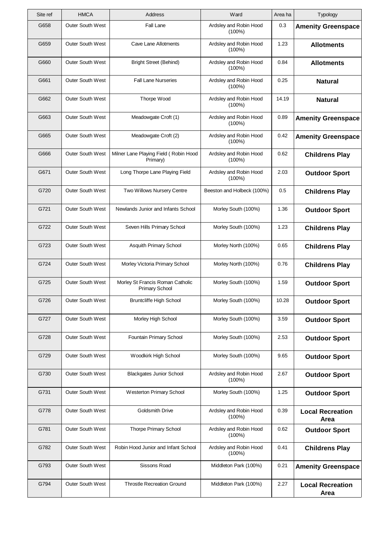| Site ref | <b>HMCA</b>             | Address                                                   | Ward                                | Area ha | Typology                        |
|----------|-------------------------|-----------------------------------------------------------|-------------------------------------|---------|---------------------------------|
| G658     | <b>Outer South West</b> | Fall Lane                                                 | Ardsley and Robin Hood<br>$(100\%)$ | 0.3     | <b>Amenity Greenspace</b>       |
| G659     | <b>Outer South West</b> | Cave Lane Allotments                                      | Ardsley and Robin Hood<br>$(100\%)$ | 1.23    | <b>Allotments</b>               |
| G660     | <b>Outer South West</b> | <b>Bright Street (Behind)</b>                             | Ardsley and Robin Hood<br>$(100\%)$ | 0.84    | <b>Allotments</b>               |
| G661     | <b>Outer South West</b> | <b>Fall Lane Nurseries</b>                                | Ardsley and Robin Hood<br>$(100\%)$ | 0.25    | <b>Natural</b>                  |
| G662     | <b>Outer South West</b> | Thorpe Wood                                               | Ardsley and Robin Hood<br>$(100\%)$ | 14.19   | <b>Natural</b>                  |
| G663     | <b>Outer South West</b> | Meadowgate Croft (1)                                      | Ardsley and Robin Hood<br>$(100\%)$ | 0.89    | <b>Amenity Greenspace</b>       |
| G665     | <b>Outer South West</b> | Meadowgate Croft (2)                                      | Ardsley and Robin Hood<br>$(100\%)$ | 0.42    | <b>Amenity Greenspace</b>       |
| G666     | <b>Outer South West</b> | Milner Lane Playing Field (Robin Hood<br>Primary)         | Ardsley and Robin Hood<br>$(100\%)$ | 0.62    | <b>Childrens Play</b>           |
| G671     | <b>Outer South West</b> | Long Thorpe Lane Playing Field                            | Ardsley and Robin Hood<br>$(100\%)$ | 2.03    | <b>Outdoor Sport</b>            |
| G720     | <b>Outer South West</b> | Two Willows Nursery Centre                                | Beeston and Holbeck (100%)          | 0.5     | <b>Childrens Play</b>           |
| G721     | <b>Outer South West</b> | Newlands Junior and Infants School                        | Morley South (100%)                 | 1.36    | <b>Outdoor Sport</b>            |
| G722     | <b>Outer South West</b> | Seven Hills Primary School                                | Morley South (100%)                 | 1.23    | <b>Childrens Play</b>           |
| G723     | <b>Outer South West</b> | Asquith Primary School                                    | Morley North (100%)                 | 0.65    | <b>Childrens Play</b>           |
| G724     | <b>Outer South West</b> | Morley Victoria Primary School                            | Morley North (100%)                 | 0.76    | <b>Childrens Play</b>           |
| G725     | Outer South West        | Morley St Francis Roman Catholic<br><b>Primary School</b> | Morley South (100%)                 | 1.59    | <b>Outdoor Sport</b>            |
| G726     | Outer South West        | <b>Bruntcliffe High School</b>                            | Morley South (100%)                 | 10.28   | <b>Outdoor Sport</b>            |
| G727     | Outer South West        | Morley High School                                        | Morley South (100%)                 | 3.59    | <b>Outdoor Sport</b>            |
| G728     | <b>Outer South West</b> | Fountain Primary School                                   | Morley South (100%)                 | 2.53    | <b>Outdoor Sport</b>            |
| G729     | Outer South West        | Woodkirk High School                                      | Morley South (100%)                 | 9.65    | <b>Outdoor Sport</b>            |
| G730     | Outer South West        | <b>Blackgates Junior School</b>                           | Ardsley and Robin Hood<br>$(100\%)$ | 2.67    | <b>Outdoor Sport</b>            |
| G731     | Outer South West        | <b>Westerton Primary School</b>                           | Morley South (100%)                 | 1.25    | <b>Outdoor Sport</b>            |
| G778     | Outer South West        | <b>Goldsmith Drive</b>                                    | Ardsley and Robin Hood<br>$(100\%)$ | 0.39    | <b>Local Recreation</b><br>Area |
| G781     | Outer South West        | <b>Thorpe Primary School</b>                              | Ardsley and Robin Hood<br>$(100\%)$ | 0.62    | <b>Outdoor Sport</b>            |
| G782     | Outer South West        | Robin Hood Junior and Infant School                       | Ardsley and Robin Hood<br>$(100\%)$ | 0.41    | <b>Childrens Play</b>           |
| G793     | Outer South West        | Sissons Road                                              | Middleton Park (100%)               | 0.21    | <b>Amenity Greenspace</b>       |
| G794     | Outer South West        | <b>Throstle Recreation Ground</b>                         | Middleton Park (100%)               | 2.27    | <b>Local Recreation</b><br>Area |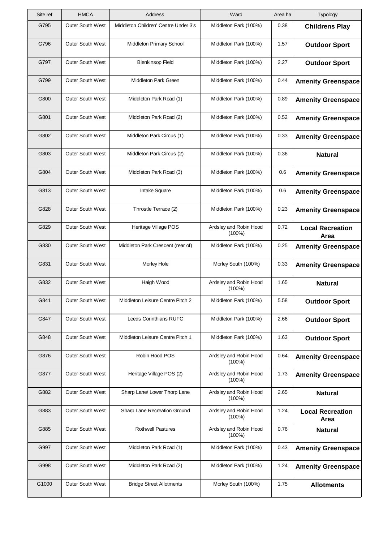| Site ref | <b>HMCA</b>             | <b>Address</b>                       | Ward                                | Area ha | Typology                        |
|----------|-------------------------|--------------------------------------|-------------------------------------|---------|---------------------------------|
| G795     | <b>Outer South West</b> | Middleton Children' Centre Under 3's | Middleton Park (100%)               | 0.38    | <b>Childrens Play</b>           |
| G796     | Outer South West        | Middleton Primary School             | Middleton Park (100%)               | 1.57    | <b>Outdoor Sport</b>            |
| G797     | Outer South West        | <b>Blenkinsop Field</b>              | Middleton Park (100%)               | 2.27    | <b>Outdoor Sport</b>            |
| G799     | <b>Outer South West</b> | Middleton Park Green                 | Middleton Park (100%)               | 0.44    | <b>Amenity Greenspace</b>       |
| G800     | Outer South West        | Middleton Park Road (1)              | Middleton Park (100%)               | 0.89    | <b>Amenity Greenspace</b>       |
| G801     | <b>Outer South West</b> | Middleton Park Road (2)              | Middleton Park (100%)               | 0.52    | <b>Amenity Greenspace</b>       |
| G802     | <b>Outer South West</b> | Middleton Park Circus (1)            | Middleton Park (100%)               | 0.33    | <b>Amenity Greenspace</b>       |
| G803     | Outer South West        | Middleton Park Circus (2)            | Middleton Park (100%)               | 0.36    | <b>Natural</b>                  |
| G804     | <b>Outer South West</b> | Middleton Park Road (3)              | Middleton Park (100%)               | 0.6     | <b>Amenity Greenspace</b>       |
| G813     | Outer South West        | Intake Square                        | Middleton Park (100%)               | 0.6     | <b>Amenity Greenspace</b>       |
| G828     | <b>Outer South West</b> | Throstle Terrace (2)                 | Middleton Park (100%)               | 0.23    | <b>Amenity Greenspace</b>       |
| G829     | Outer South West        | Heritage Village POS                 | Ardsley and Robin Hood<br>(100%)    | 0.72    | <b>Local Recreation</b><br>Area |
| G830     | <b>Outer South West</b> | Middleton Park Crescent (rear of)    | Middleton Park (100%)               | 0.25    | <b>Amenity Greenspace</b>       |
| G831     | Outer South West        | Morley Hole                          | Morley South (100%)                 | 0.33    | <b>Amenity Greenspace</b>       |
| G832     | Outer South West        | Haigh Wood                           | Ardsley and Robin Hood<br>$(100\%)$ | 1.65    | <b>Natural</b>                  |
| G841     | Outer South West        | Middleton Leisure Centre Pitch 2     | Middleton Park (100%)               | 5.58    | <b>Outdoor Sport</b>            |
| G847     | <b>Outer South West</b> | <b>Leeds Corinthians RUFC</b>        | Middleton Park (100%)               | 2.66    | <b>Outdoor Sport</b>            |
| G848     | Outer South West        | Middleton Leisure Centre Pitch 1     | Middleton Park (100%)               | 1.63    | <b>Outdoor Sport</b>            |
| G876     | Outer South West        | Robin Hood POS                       | Ardsley and Robin Hood<br>$(100\%)$ | 0.64    | <b>Amenity Greenspace</b>       |
| G877     | Outer South West        | Heritage Village POS (2)             | Ardsley and Robin Hood<br>$(100\%)$ | 1.73    | <b>Amenity Greenspace</b>       |
| G882     | Outer South West        | Sharp Lane/ Lower Thorp Lane         | Ardsley and Robin Hood<br>$(100\%)$ | 2.65    | <b>Natural</b>                  |
| G883     | Outer South West        | Sharp Lane Recreation Ground         | Ardsley and Robin Hood<br>$(100\%)$ | 1.24    | <b>Local Recreation</b><br>Area |
| G885     | Outer South West        | <b>Rothwell Pastures</b>             | Ardsley and Robin Hood<br>$(100\%)$ | 0.76    | <b>Natural</b>                  |
| G997     | Outer South West        | Middleton Park Road (1)              | Middleton Park (100%)               | 0.43    | <b>Amenity Greenspace</b>       |
| G998     | Outer South West        | Middleton Park Road (2)              | Middleton Park (100%)               | 1.24    | <b>Amenity Greenspace</b>       |
| G1000    | Outer South West        | <b>Bridge Street Allotments</b>      | Morley South (100%)                 | 1.75    | <b>Allotments</b>               |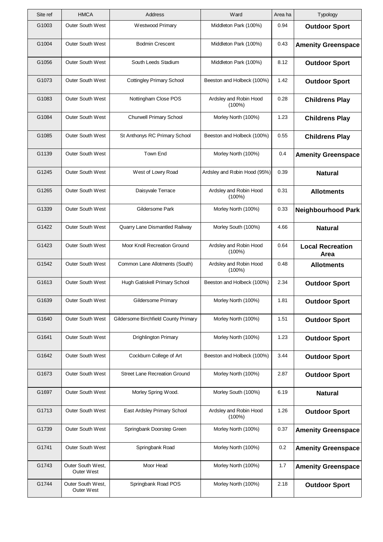| Site ref | <b>HMCA</b>                     | Address                              | Ward                                | Area ha | Typology                        |
|----------|---------------------------------|--------------------------------------|-------------------------------------|---------|---------------------------------|
| G1003    | <b>Outer South West</b>         | Westwood Primary                     | Middleton Park (100%)               | 0.94    | <b>Outdoor Sport</b>            |
| G1004    | <b>Outer South West</b>         | <b>Bodmin Crescent</b>               | Middleton Park (100%)               | 0.43    | <b>Amenity Greenspace</b>       |
| G1056    | <b>Outer South West</b>         | South Leeds Stadium                  | Middleton Park (100%)               | 8.12    | <b>Outdoor Sport</b>            |
| G1073    | <b>Outer South West</b>         | <b>Cottingley Primary School</b>     | Beeston and Holbeck (100%)          | 1.42    | <b>Outdoor Sport</b>            |
| G1083    | <b>Outer South West</b>         | Nottingham Close POS                 | Ardsley and Robin Hood<br>$(100\%)$ | 0.28    | <b>Childrens Play</b>           |
| G1084    | <b>Outer South West</b>         | <b>Churwell Primary School</b>       | Morley North (100%)                 | 1.23    | <b>Childrens Play</b>           |
| G1085    | <b>Outer South West</b>         | St Anthonys RC Primary School        | Beeston and Holbeck (100%)          | 0.55    | <b>Childrens Play</b>           |
| G1139    | <b>Outer South West</b>         | <b>Town End</b>                      | Morley North (100%)                 | 0.4     | <b>Amenity Greenspace</b>       |
| G1245    | <b>Outer South West</b>         | West of Lowry Road                   | Ardsley and Robin Hood (95%)        | 0.39    | <b>Natural</b>                  |
| G1265    | <b>Outer South West</b>         | Daisyvale Terrace                    | Ardsley and Robin Hood<br>$(100\%)$ | 0.31    | <b>Allotments</b>               |
| G1339    | <b>Outer South West</b>         | Gildersome Park                      | Morley North (100%)                 | 0.33    | <b>Neighbourhood Park</b>       |
| G1422    | <b>Outer South West</b>         | Quarry Lane Dismantled Railway       | Morley South (100%)                 | 4.66    | <b>Natural</b>                  |
| G1423    | Outer South West                | Moor Knoll Recreation Ground         | Ardsley and Robin Hood<br>$(100\%)$ | 0.64    | <b>Local Recreation</b><br>Area |
| G1542    | <b>Outer South West</b>         | Common Lane Allotments (South)       | Ardsley and Robin Hood<br>$(100\%)$ | 0.48    | <b>Allotments</b>               |
| G1613    | Outer South West                | Hugh Gatiskell Primary School        | Beeston and Holbeck (100%)          | 2.34    | <b>Outdoor Sport</b>            |
| G1639    | Outer South West                | Gildersome Primary                   | Morley North (100%)                 | 1.81    | <b>Outdoor Sport</b>            |
| G1640    | <b>Outer South West</b>         | Gildersome Birchfield County Primary | Morley North (100%)                 | 1.51    | <b>Outdoor Sport</b>            |
| G1641    | <b>Outer South West</b>         | Drighlington Primary                 | Morley North (100%)                 | 1.23    | <b>Outdoor Sport</b>            |
| G1642    | <b>Outer South West</b>         | Cockburn College of Art              | Beeston and Holbeck (100%)          | 3.44    | <b>Outdoor Sport</b>            |
| G1673    | <b>Outer South West</b>         | <b>Street Lane Recreation Ground</b> | Morley North (100%)                 | 2.87    | <b>Outdoor Sport</b>            |
| G1697    | <b>Outer South West</b>         | Morley Spring Wood.                  | Morley South (100%)                 | 6.19    | <b>Natural</b>                  |
| G1713    | <b>Outer South West</b>         | East Ardsley Primary School          | Ardsley and Robin Hood<br>$(100\%)$ | 1.26    | <b>Outdoor Sport</b>            |
| G1739    | Outer South West                | Springbank Doorstep Green            | Morley North (100%)                 | 0.37    | <b>Amenity Greenspace</b>       |
| G1741    | <b>Outer South West</b>         | Springbank Road                      | Morley North (100%)                 | 0.2     | <b>Amenity Greenspace</b>       |
| G1743    | Outer South West,<br>Outer West | Moor Head                            | Morley North (100%)                 | 1.7     | <b>Amenity Greenspace</b>       |
| G1744    | Outer South West,<br>Outer West | Springbank Road POS                  | Morley North (100%)                 | 2.18    | <b>Outdoor Sport</b>            |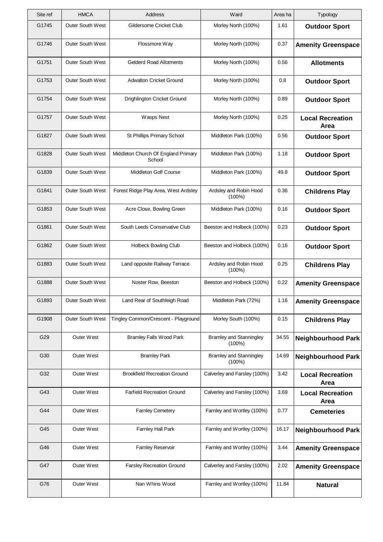| Site ref | <b>HMCA</b>             | Address                                       | Ward                                        | Area ha | Typology                        |
|----------|-------------------------|-----------------------------------------------|---------------------------------------------|---------|---------------------------------|
| G1745    | <b>Outer South West</b> | Gildersome Cricket Club                       | Morley North (100%)                         | 1.61    | <b>Outdoor Sport</b>            |
| G1746    | <b>Outer South West</b> | Flossmore Way                                 | Morley North (100%)                         | 0.37    | <b>Amenity Greenspace</b>       |
| G1751    | <b>Outer South West</b> | <b>Gelderd Road Allotments</b>                | Morley North (100%)                         | 0.56    | <b>Allotments</b>               |
| G1753    | <b>Outer South West</b> | <b>Adwalton Cricket Ground</b>                | Morley North (100%)                         | 0.8     | <b>Outdoor Sport</b>            |
| G1754    | <b>Outer South West</b> | Drighlington Cricket Ground                   | Morley North (100%)                         | 0.89    | <b>Outdoor Sport</b>            |
| G1757    | <b>Outer South West</b> | <b>Wasps Nest</b>                             | Morley North (100%)                         | 0.25    | <b>Local Recreation</b><br>Area |
| G1827    | <b>Outer South West</b> | St Phillips Primary School                    | Middleton Park (100%)                       | 0.56    | <b>Outdoor Sport</b>            |
| G1828    | <b>Outer South West</b> | Middleton Church Of England Primary<br>School | Middleton Park (100%)                       | 1.18    | <b>Outdoor Sport</b>            |
| G1839    | <b>Outer South West</b> | Middleton Golf Course                         | Middleton Park (100%)                       | 49.8    | <b>Outdoor Sport</b>            |
| G1841    | <b>Outer South West</b> | Forest Ridge Play Area, West Ardsley          | Ardsley and Robin Hood<br>$(100\%)$         | 0.36    | <b>Childrens Play</b>           |
| G1853    | <b>Outer South West</b> | Acre Close, Bowling Green                     | Middleton Park (100%)                       | 0.16    | <b>Outdoor Sport</b>            |
| G1861    | Outer South West        | South Leeds Conservative Club                 | Beeston and Holbeck (100%)                  | 0.23    | <b>Outdoor Sport</b>            |
| G1862    | <b>Outer South West</b> | <b>Holbeck Bowling Club</b>                   | Beeston and Holbeck (100%)                  | 0.16    | <b>Outdoor Sport</b>            |
| G1883    | <b>Outer South West</b> | Land opposite Railway Terrace                 | Ardsley and Robin Hood<br>$(100\%)$         | 0.25    | <b>Childrens Play</b>           |
| G1888    | Outer South West        | Noster Row, Beeston                           | Beeston and Holbeck (100%)                  | 0.22    | <b>Amenity Greenspace</b>       |
| G1893    | Outer South West        | Land Rear of Southleigh Road                  | Middleton Park (72%)                        | 1.16    | <b>Amenity Greenspace</b>       |
| G1908    | <b>Outer South West</b> | Tingley Common/Crescent - Playground          | Morley South (100%)                         | 0.15    | <b>Childrens Play</b>           |
| G29      | <b>Outer West</b>       | <b>Bramley Falls Wood Park</b>                | <b>Bramley and Stanningley</b><br>$(100\%)$ | 34.55   | <b>Neighbourhood Park</b>       |
| G30      | <b>Outer West</b>       | <b>Bramley Park</b>                           | <b>Bramley and Stanningley</b><br>(100%)    | 14.69   | <b>Neighbourhood Park</b>       |
| G32      | Outer West              | <b>Brookfield Recreation Ground</b>           | Calverley and Farsley (100%)                | 3.42    | <b>Local Recreation</b><br>Area |
| G43      | <b>Outer West</b>       | <b>Farfield Recreation Ground</b>             | Calverley and Farsley (100%)                | 3.69    | <b>Local Recreation</b><br>Area |
| G44      | <b>Outer West</b>       | <b>Farnley Cemetery</b>                       | Farnley and Wortley (100%)                  | 0.77    | <b>Cemeteries</b>               |
| G45      | Outer West              | Farnley Hall Park                             | Farnley and Wortley (100%)                  | 16.17   | <b>Neighbourhood Park</b>       |
| G46      | <b>Outer West</b>       | Farnley Reservoir                             | Farnley and Wortley (100%)                  | 3.44    | <b>Amenity Greenspace</b>       |
| G47      | <b>Outer West</b>       | <b>Farsley Recreation Ground</b>              | Calverley and Farsley (100%)                | 2.02    | <b>Amenity Greenspace</b>       |
| G76      | Outer West              | Nan Whins Wood                                | Farnley and Wortley (100%)                  | 11.84   | <b>Natural</b>                  |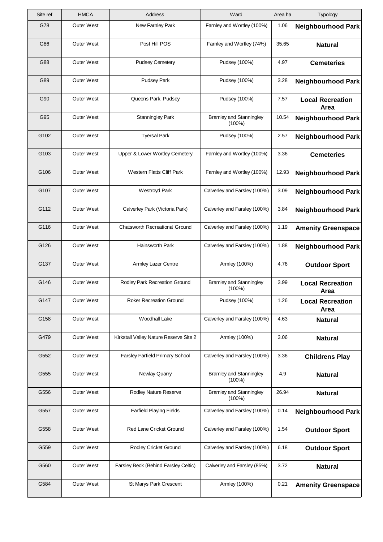| Site ref | <b>HMCA</b>       | Address                                | Ward                                        | Area ha | Typology                        |
|----------|-------------------|----------------------------------------|---------------------------------------------|---------|---------------------------------|
| G78      | Outer West        | New Farnley Park                       | Farnley and Wortley (100%)                  | 1.06    | <b>Neighbourhood Park</b>       |
| G86      | <b>Outer West</b> | Post Hill POS                          | Farnley and Wortley (74%)                   | 35.65   | <b>Natural</b>                  |
| G88      | Outer West        | <b>Pudsey Cemetery</b>                 | Pudsey (100%)                               | 4.97    | <b>Cemeteries</b>               |
| G89      | Outer West        | <b>Pudsey Park</b>                     | Pudsey (100%)                               | 3.28    | <b>Neighbourhood Park</b>       |
| G90      | <b>Outer West</b> | Queens Park, Pudsey                    | Pudsey (100%)                               | 7.57    | <b>Local Recreation</b><br>Area |
| G95      | Outer West        | Stanningley Park                       | <b>Bramley and Stanningley</b><br>$(100\%)$ | 10.54   | <b>Neighbourhood Park</b>       |
| G102     | <b>Outer West</b> | <b>Tyersal Park</b>                    | Pudsey (100%)                               | 2.57    | <b>Neighbourhood Park</b>       |
| G103     | Outer West        | Upper & Lower Wortley Cemetery         | Farnley and Wortley (100%)                  | 3.36    | <b>Cemeteries</b>               |
| G106     | <b>Outer West</b> | <b>Western Flatts Cliff Park</b>       | Farnley and Wortley (100%)                  | 12.93   | <b>Neighbourhood Park</b>       |
| G107     | Outer West        | <b>Westroyd Park</b>                   | Calverley and Farsley (100%)                | 3.09    | <b>Neighbourhood Park</b>       |
| G112     | Outer West        | Calverley Park (Victoria Park)         | Calverley and Farsley (100%)                | 3.84    | <b>Neighbourhood Park</b>       |
| G116     | Outer West        | <b>Chatsworth Recreational Ground</b>  | Calverley and Farsley (100%)                | 1.19    | <b>Amenity Greenspace</b>       |
| G126     | Outer West        | Hainsworth Park                        | Calverley and Farsley (100%)                | 1.88    | <b>Neighbourhood Park</b>       |
| G137     | <b>Outer West</b> | Armley Lazer Centre                    | Armley (100%)                               | 4.76    | <b>Outdoor Sport</b>            |
| G146     | <b>Outer West</b> | Rodley Park Recreation Ground          | <b>Bramley and Stanningley</b><br>$(100\%)$ | 3.99    | <b>Local Recreation</b><br>Area |
| G147     | Outer West        | Roker Recreation Ground                | Pudsey (100%)                               | 1.26    | <b>Local Recreation</b><br>Area |
| G158     | Outer West        | Woodhall Lake                          | Calverley and Farsley (100%)                | 4.63    | <b>Natural</b>                  |
| G479     | <b>Outer West</b> | Kirkstall Valley Nature Reserve Site 2 | Armley (100%)                               | 3.06    | <b>Natural</b>                  |
| G552     | <b>Outer West</b> | <b>Farsley Farfield Primary School</b> | Calverley and Farsley (100%)                | 3.36    | <b>Childrens Play</b>           |
| G555     | Outer West        | Newlay Quarry                          | <b>Bramley and Stanningley</b><br>$(100\%)$ | 4.9     | <b>Natural</b>                  |
| G556     | Outer West        | Rodley Nature Reserve                  | <b>Bramley and Stanningley</b><br>$(100\%)$ | 26.94   | <b>Natural</b>                  |
| G557     | <b>Outer West</b> | Farfield Playing Fields                | Calverley and Farsley (100%)                | 0.14    | <b>Neighbourhood Park</b>       |
| G558     | <b>Outer West</b> | Red Lane Cricket Ground                | Calverley and Farsley (100%)                | 1.54    | <b>Outdoor Sport</b>            |
| G559     | Outer West        | Rodley Cricket Ground                  | Calverley and Farsley (100%)                | 6.18    | <b>Outdoor Sport</b>            |
| G560     | Outer West        | Farsley Beck (Behind Farsley Celtic)   | Calverley and Farsley (85%)                 | 3.72    | <b>Natural</b>                  |
| G584     | Outer West        | St Marys Park Crescent                 | Armley (100%)                               | 0.21    | <b>Amenity Greenspace</b>       |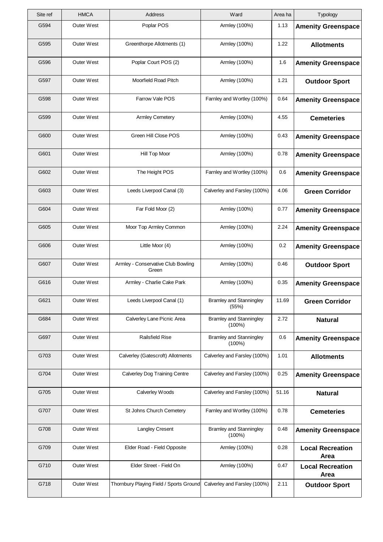| Site ref | <b>HMCA</b>       | Address                                     | Ward                                        | Area ha | Typology                        |
|----------|-------------------|---------------------------------------------|---------------------------------------------|---------|---------------------------------|
| G594     | Outer West        | Poplar POS                                  | Armley (100%)                               | 1.13    | <b>Amenity Greenspace</b>       |
| G595     | <b>Outer West</b> | Greenthorpe Allotments (1)                  | Armley (100%)                               | 1.22    | <b>Allotments</b>               |
| G596     | Outer West        | Poplar Court POS (2)                        | Armley (100%)                               | 1.6     | <b>Amenity Greenspace</b>       |
| G597     | Outer West        | Moorfield Road Pitch                        | Armley (100%)                               | 1.21    | <b>Outdoor Sport</b>            |
| G598     | <b>Outer West</b> | Farrow Vale POS                             | Farnley and Wortley (100%)                  | 0.64    | <b>Amenity Greenspace</b>       |
| G599     | Outer West        | <b>Armley Cemetery</b>                      | Armley (100%)                               | 4.55    | <b>Cemeteries</b>               |
| G600     | <b>Outer West</b> | Green Hill Close POS                        | Armley (100%)                               | 0.43    | <b>Amenity Greenspace</b>       |
| G601     | Outer West        | Hill Top Moor                               | Armley (100%)                               | 0.78    | <b>Amenity Greenspace</b>       |
| G602     | <b>Outer West</b> | The Height POS                              | Farnley and Wortley (100%)                  | 0.6     | <b>Amenity Greenspace</b>       |
| G603     | <b>Outer West</b> | Leeds Liverpool Canal (3)                   | Calverley and Farsley (100%)                | 4.06    | <b>Green Corridor</b>           |
| G604     | Outer West        | Far Fold Moor (2)                           | Armley (100%)                               | 0.77    | <b>Amenity Greenspace</b>       |
| G605     | Outer West        | Moor Top Armley Common                      | Armley (100%)                               | 2.24    | <b>Amenity Greenspace</b>       |
| G606     | <b>Outer West</b> | Little Moor (4)                             | Armley (100%)                               | 0.2     | <b>Amenity Greenspace</b>       |
| G607     | <b>Outer West</b> | Armley - Conservative Club Bowling<br>Green | Armley (100%)                               | 0.46    | <b>Outdoor Sport</b>            |
| G616     | Outer West        | Armley - Charlie Cake Park                  | Armley (100%)                               | 0.35    | <b>Amenity Greenspace</b>       |
| G621     | Outer West        | Leeds Liverpool Canal (1)                   | <b>Bramley and Stanningley</b><br>(55%)     | 11.69   | <b>Green Corridor</b>           |
| G684     | <b>Outer West</b> | Calverley Lane Picnic Area                  | <b>Bramley and Stanningley</b><br>$(100\%)$ | 2.72    | <b>Natural</b>                  |
| G697     | Outer West        | <b>Railsfield Rise</b>                      | <b>Bramley and Stanningley</b><br>$(100\%)$ | 0.6     | <b>Amenity Greenspace</b>       |
| G703     | <b>Outer West</b> | Calverley (Gatescroft) Allotments           | Calverley and Farsley (100%)                | 1.01    | <b>Allotments</b>               |
| G704     | Outer West        | <b>Calverley Dog Training Centre</b>        | Calverley and Farsley (100%)                | 0.25    | <b>Amenity Greenspace</b>       |
| G705     | Outer West        | Calverley Woods                             | Calverley and Farsley (100%)                | 51.16   | <b>Natural</b>                  |
| G707     | <b>Outer West</b> | St Johns Church Cemetery                    | Farnley and Wortley (100%)                  | 0.78    | <b>Cemeteries</b>               |
| G708     | Outer West        | Langley Cresent                             | <b>Bramley and Stanningley</b><br>$(100\%)$ | 0.48    | <b>Amenity Greenspace</b>       |
| G709     | Outer West        | Elder Road - Field Opposite                 | Armley (100%)                               | 0.28    | <b>Local Recreation</b><br>Area |
| G710     | <b>Outer West</b> | Elder Street - Field On                     | Armley (100%)                               | 0.47    | <b>Local Recreation</b><br>Area |
| G718     | Outer West        | Thornbury Playing Field / Sports Ground     | Calverley and Farsley (100%)                | 2.11    | <b>Outdoor Sport</b>            |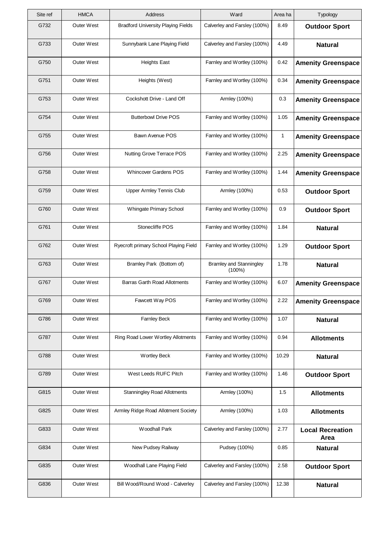| Site ref | <b>HMCA</b>       | Address                                   | Ward                                        | Area ha | Typology                        |
|----------|-------------------|-------------------------------------------|---------------------------------------------|---------|---------------------------------|
| G732     | <b>Outer West</b> | <b>Bradford University Playing Fields</b> | Calverley and Farsley (100%)                | 8.49    | <b>Outdoor Sport</b>            |
| G733     | <b>Outer West</b> | Sunnybank Lane Playing Field              | Calverley and Farsley (100%)                | 4.49    | <b>Natural</b>                  |
| G750     | <b>Outer West</b> | <b>Heights East</b>                       | Farnley and Wortley (100%)                  | 0.42    | <b>Amenity Greenspace</b>       |
| G751     | <b>Outer West</b> | Heights (West)                            | Farnley and Wortley (100%)                  | 0.34    | <b>Amenity Greenspace</b>       |
| G753     | <b>Outer West</b> | Cockshott Drive - Land Off                | Armley (100%)                               | 0.3     | <b>Amenity Greenspace</b>       |
| G754     | <b>Outer West</b> | <b>Butterbowl Drive POS</b>               | Farnley and Wortley (100%)                  | 1.05    | <b>Amenity Greenspace</b>       |
| G755     | <b>Outer West</b> | Bawn Avenue POS                           | Farnley and Wortley (100%)                  | 1       | <b>Amenity Greenspace</b>       |
| G756     | Outer West        | Nutting Grove Terrace POS                 | Farnley and Wortley (100%)                  | 2.25    | <b>Amenity Greenspace</b>       |
| G758     | <b>Outer West</b> | <b>Whincover Gardens POS</b>              | Farnley and Wortley (100%)                  | 1.44    | <b>Amenity Greenspace</b>       |
| G759     | <b>Outer West</b> | Upper Armley Tennis Club                  | Armley (100%)                               | 0.53    | <b>Outdoor Sport</b>            |
| G760     | <b>Outer West</b> | Whingate Primary School                   | Farnley and Wortley (100%)                  | 0.9     | <b>Outdoor Sport</b>            |
| G761     | Outer West        | Stonecliffe POS                           | Farnley and Wortley (100%)                  | 1.84    | <b>Natural</b>                  |
| G762     | <b>Outer West</b> | Ryecroft primary School Playing Field     | Farnley and Wortley (100%)                  | 1.29    | <b>Outdoor Sport</b>            |
| G763     | <b>Outer West</b> | Bramley Park (Bottom of)                  | <b>Bramley and Stanningley</b><br>$(100\%)$ | 1.78    | <b>Natural</b>                  |
| G767     | Outer West        | <b>Barras Garth Road Allotments</b>       | Farnley and Wortley (100%)                  | 6.07    | <b>Amenity Greenspace</b>       |
| G769     | Outer West        | Fawcett Way POS                           | Farnley and Wortley (100%)                  | 2.22    | <b>Amenity Greenspace</b>       |
| G786     | Outer West        | <b>Farnley Beck</b>                       | Farnley and Wortley (100%)                  | 1.07    | <b>Natural</b>                  |
| G787     | Outer West        | Ring Road Lower Wortley Allotments        | Farnley and Wortley (100%)                  | 0.94    | <b>Allotments</b>               |
| G788     | <b>Outer West</b> | <b>Wortley Beck</b>                       | Farnley and Wortley (100%)                  | 10.29   | <b>Natural</b>                  |
| G789     | Outer West        | West Leeds RUFC Pitch                     | Farnley and Wortley (100%)                  | 1.46    | <b>Outdoor Sport</b>            |
| G815     | <b>Outer West</b> | <b>Stanningley Road Allotments</b>        | Armley (100%)                               | 1.5     | <b>Allotments</b>               |
| G825     | Outer West        | Armley Ridge Road Allotment Society       | Armley (100%)                               | 1.03    | <b>Allotments</b>               |
| G833     | Outer West        | <b>Woodhall Park</b>                      | Calverley and Farsley (100%)                | 2.77    | <b>Local Recreation</b><br>Area |
| G834     | Outer West        | New Pudsey Railway                        | Pudsey (100%)                               | 0.85    | <b>Natural</b>                  |
| G835     | <b>Outer West</b> | Woodhall Lane Playing Field               | Calverley and Farsley (100%)                | 2.58    | <b>Outdoor Sport</b>            |
| G836     | Outer West        | Bill Wood/Round Wood - Calverley          | Calverley and Farsley (100%)                | 12.38   | <b>Natural</b>                  |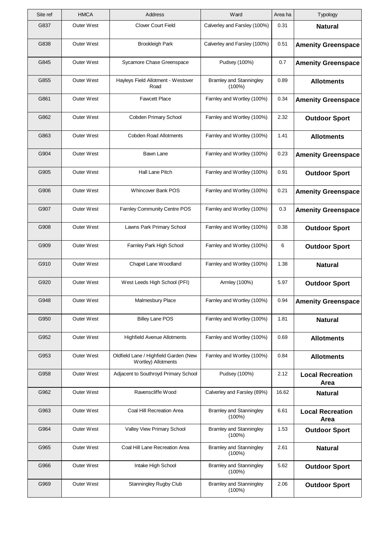| Site ref | <b>HMCA</b>       | <b>Address</b>                                               | Ward                                        | Area ha | Typology                        |
|----------|-------------------|--------------------------------------------------------------|---------------------------------------------|---------|---------------------------------|
| G837     | <b>Outer West</b> | <b>Clover Court Field</b>                                    | Calverley and Farsley (100%)                | 0.31    | <b>Natural</b>                  |
| G838     | <b>Outer West</b> | <b>Brookleigh Park</b>                                       | Calverley and Farsley (100%)                | 0.51    | <b>Amenity Greenspace</b>       |
| G845     | <b>Outer West</b> | Sycamore Chase Greenspace                                    | Pudsey (100%)                               | 0.7     | <b>Amenity Greenspace</b>       |
| G855     | <b>Outer West</b> | Hayleys Field Allotment - Westover<br>Road                   | <b>Bramley and Stanningley</b><br>$(100\%)$ | 0.89    | <b>Allotments</b>               |
| G861     | <b>Outer West</b> | <b>Fawcett Place</b>                                         | Farnley and Wortley (100%)                  | 0.34    | <b>Amenity Greenspace</b>       |
| G862     | Outer West        | Cobden Primary School                                        | Farnley and Wortley (100%)                  | 2.32    | <b>Outdoor Sport</b>            |
| G863     | <b>Outer West</b> | <b>Cobden Road Allotments</b>                                | Farnley and Wortley (100%)                  | 1.41    | <b>Allotments</b>               |
| G904     | Outer West        | Bawn Lane                                                    | Farnley and Wortley (100%)                  | 0.23    | <b>Amenity Greenspace</b>       |
| G905     | <b>Outer West</b> | Hall Lane Pitch                                              | Farnley and Wortley (100%)                  | 0.91    | <b>Outdoor Sport</b>            |
| G906     | Outer West        | <b>Whincover Bank POS</b>                                    | Farnley and Wortley (100%)                  | 0.21    | <b>Amenity Greenspace</b>       |
| G907     | <b>Outer West</b> | Farnley Community Centre POS                                 | Farnley and Wortley (100%)                  | 0.3     | <b>Amenity Greenspace</b>       |
| G908     | Outer West        | Lawns Park Primary School                                    | Farnley and Wortley (100%)                  | 0.38    | <b>Outdoor Sport</b>            |
| G909     | <b>Outer West</b> | Farnley Park High School                                     | Farnley and Wortley (100%)                  | 6       | <b>Outdoor Sport</b>            |
| G910     | Outer West        | Chapel Lane Woodland                                         | Farnley and Wortley (100%)                  | 1.38    | <b>Natural</b>                  |
| G920     | Outer West        | West Leeds High School (PFI)                                 | Armley (100%)                               | 5.97    | <b>Outdoor Sport</b>            |
| G948     | Outer West        | Malmesbury Place                                             | Farnley and Wortley (100%)                  | 0.94    | <b>Amenity Greenspace</b>       |
| G950     | Outer West        | <b>Billey Lane POS</b>                                       | Farnley and Wortley (100%)                  | 1.81    | <b>Natural</b>                  |
| G952     | Outer West        | <b>Highfield Avenue Allotments</b>                           | Farnley and Wortley (100%)                  | 0.69    | <b>Allotments</b>               |
| G953     | <b>Outer West</b> | Oldfield Lane / Highfield Garden (New<br>Wortley) Allotments | Farnley and Wortley (100%)                  | 0.84    | <b>Allotments</b>               |
| G958     | Outer West        | Adjacent to Southroyd Primary School                         | Pudsey (100%)                               | 2.12    | <b>Local Recreation</b><br>Area |
| G962     | <b>Outer West</b> | Ravenscliffe Wood                                            | Calverley and Farsley (89%)                 | 16.62   | <b>Natural</b>                  |
| G963     | Outer West        | Coal Hill Recreation Area                                    | <b>Bramley and Stanningley</b><br>$(100\%)$ | 6.61    | <b>Local Recreation</b><br>Area |
| G964     | Outer West        | Valley View Primary School                                   | <b>Bramley and Stanningley</b><br>$(100\%)$ | 1.53    | <b>Outdoor Sport</b>            |
| G965     | Outer West        | Coal Hill Lane Recreation Area                               | <b>Bramley and Stanningley</b><br>$(100\%)$ | 2.61    | <b>Natural</b>                  |
| G966     | <b>Outer West</b> | Intake High School                                           | <b>Bramley and Stanningley</b><br>$(100\%)$ | 5.62    | <b>Outdoor Sport</b>            |
| G969     | Outer West        | <b>Stanningley Rugby Club</b>                                | <b>Bramley and Stanningley</b><br>$(100\%)$ | 2.06    | <b>Outdoor Sport</b>            |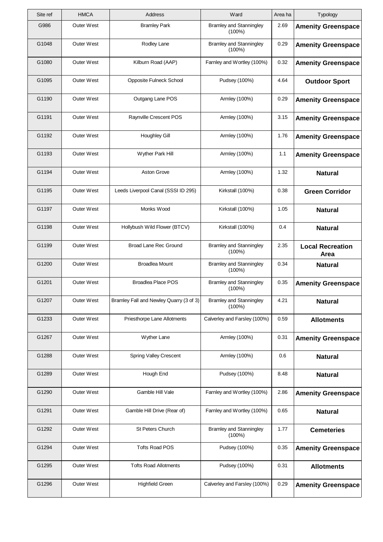| Site ref | <b>HMCA</b>       | Address                                 | Ward                                        | Area ha | Typology                        |
|----------|-------------------|-----------------------------------------|---------------------------------------------|---------|---------------------------------|
| G986     | Outer West        | <b>Bramley Park</b>                     | <b>Bramley and Stanningley</b><br>$(100\%)$ | 2.69    | <b>Amenity Greenspace</b>       |
| G1048    | <b>Outer West</b> | Rodley Lane                             | <b>Bramley and Stanningley</b><br>(100%)    | 0.29    | <b>Amenity Greenspace</b>       |
| G1080    | Outer West        | Kilburn Road (AAP)                      | Farnley and Wortley (100%)                  | 0.32    | <b>Amenity Greenspace</b>       |
| G1095    | Outer West        | Opposite Fulneck School                 | Pudsey (100%)                               | 4.64    | <b>Outdoor Sport</b>            |
| G1190    | <b>Outer West</b> | Outgang Lane POS                        | Armley (100%)                               | 0.29    | <b>Amenity Greenspace</b>       |
| G1191    | <b>Outer West</b> | Raynville Crescent POS                  | Armley (100%)                               | 3.15    | <b>Amenity Greenspace</b>       |
| G1192    | <b>Outer West</b> | <b>Houghley Gill</b>                    | Armley (100%)                               | 1.76    | <b>Amenity Greenspace</b>       |
| G1193    | <b>Outer West</b> | Wyther Park Hill                        | Armley (100%)                               | 1.1     | <b>Amenity Greenspace</b>       |
| G1194    | <b>Outer West</b> | <b>Aston Grove</b>                      | Armley (100%)                               | 1.32    | <b>Natural</b>                  |
| G1195    | <b>Outer West</b> | Leeds Liverpool Canal (SSSI ID 295)     | Kirkstall (100%)                            | 0.38    | <b>Green Corridor</b>           |
| G1197    | Outer West        | Monks Wood                              | Kirkstall (100%)                            | 1.05    | <b>Natural</b>                  |
| G1198    | <b>Outer West</b> | Hollybush Wild Flower (BTCV)            | Kirkstall (100%)                            | 0.4     | <b>Natural</b>                  |
| G1199    | <b>Outer West</b> | <b>Broad Lane Rec Ground</b>            | <b>Bramley and Stanningley</b><br>$(100\%)$ | 2.35    | <b>Local Recreation</b><br>Area |
| G1200    | Outer West        | <b>Broadlea Mount</b>                   | <b>Bramley and Stanningley</b><br>(100%)    | 0.34    | <b>Natural</b>                  |
| G1201    | Outer West        | <b>Broadlea Place POS</b>               | <b>Bramley and Stanningley</b><br>$(100\%)$ | 0.35    | <b>Amenity Greenspace</b>       |
| G1207    | Outer West        | Bramley Fall and Newley Quarry (3 of 3) | <b>Bramley and Stanningley</b><br>$(100\%)$ | 4.21    | <b>Natural</b>                  |
| G1233    | <b>Outer West</b> | Priesthorpe Lane Allotments             | Calverley and Farsley (100%)                | 0.59    | <b>Allotments</b>               |
| G1267    | Outer West        | Wyther Lane                             | Armley (100%)                               | 0.31    | <b>Amenity Greenspace</b>       |
| G1288    | <b>Outer West</b> | Spring Valley Crescent                  | Armley (100%)                               | 0.6     | <b>Natural</b>                  |
| G1289    | Outer West        | Hough End                               | Pudsey (100%)                               | 8.48    | <b>Natural</b>                  |
| G1290    | Outer West        | Gamble Hill Vale                        | Farnley and Wortley (100%)                  | 2.86    | <b>Amenity Greenspace</b>       |
| G1291    | <b>Outer West</b> | Gamble Hill Drive (Rear of)             | Farnley and Wortley (100%)                  | 0.65    | <b>Natural</b>                  |
| G1292    | Outer West        | St Peters Church                        | <b>Bramley and Stanningley</b><br>$(100\%)$ | 1.77    | <b>Cemeteries</b>               |
| G1294    | Outer West        | <b>Tofts Road POS</b>                   | Pudsey (100%)                               | 0.35    | <b>Amenity Greenspace</b>       |
| G1295    | <b>Outer West</b> | <b>Tofts Road Allotments</b>            | Pudsey (100%)                               | 0.31    | <b>Allotments</b>               |
| G1296    | Outer West        | <b>Highfield Green</b>                  | Calverley and Farsley (100%)                | 0.29    | <b>Amenity Greenspace</b>       |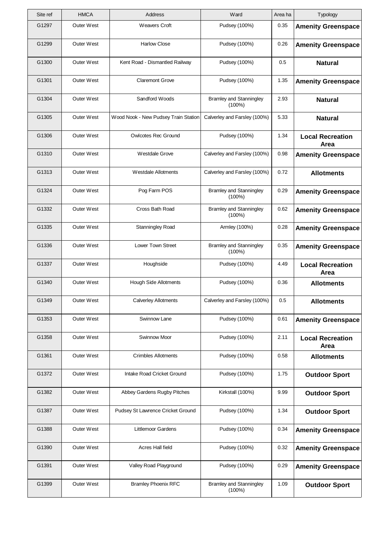| Site ref | <b>HMCA</b>       | Address                              | Ward                                        | Area ha | Typology                        |
|----------|-------------------|--------------------------------------|---------------------------------------------|---------|---------------------------------|
| G1297    | Outer West        | <b>Weavers Croft</b>                 | Pudsey (100%)                               | 0.35    | <b>Amenity Greenspace</b>       |
| G1299    | <b>Outer West</b> | <b>Harlow Close</b>                  | Pudsey (100%)                               | 0.26    | <b>Amenity Greenspace</b>       |
| G1300    | Outer West        | Kent Road - Dismantled Railway       | Pudsey (100%)                               | 0.5     | <b>Natural</b>                  |
| G1301    | Outer West        | <b>Claremont Grove</b>               | Pudsey (100%)                               | 1.35    | <b>Amenity Greenspace</b>       |
| G1304    | <b>Outer West</b> | Sandford Woods                       | <b>Bramley and Stanningley</b><br>$(100\%)$ | 2.93    | <b>Natural</b>                  |
| G1305    | <b>Outer West</b> | Wood Nook - New Pudsey Train Station | Calverley and Farsley (100%)                | 5.33    | <b>Natural</b>                  |
| G1306    | <b>Outer West</b> | <b>Owlcotes Rec Ground</b>           | Pudsey (100%)                               | 1.34    | <b>Local Recreation</b><br>Area |
| G1310    | <b>Outer West</b> | <b>Westdale Grove</b>                | Calverley and Farsley (100%)                | 0.98    | <b>Amenity Greenspace</b>       |
| G1313    | <b>Outer West</b> | Westdale Allotments                  | Calverley and Farsley (100%)                | 0.72    | <b>Allotments</b>               |
| G1324    | <b>Outer West</b> | Pog Farm POS                         | <b>Bramley and Stanningley</b><br>$(100\%)$ | 0.29    | <b>Amenity Greenspace</b>       |
| G1332    | Outer West        | Cross Bath Road                      | <b>Bramley and Stanningley</b><br>$(100\%)$ | 0.62    | <b>Amenity Greenspace</b>       |
| G1335    | <b>Outer West</b> | Stanningley Road                     | Armley (100%)                               | 0.28    | <b>Amenity Greenspace</b>       |
| G1336    | <b>Outer West</b> | Lower Town Street                    | <b>Bramley and Stanningley</b><br>$(100\%)$ | 0.35    | <b>Amenity Greenspace</b>       |
| G1337    | Outer West        | Houghside                            | Pudsey (100%)                               | 4.49    | <b>Local Recreation</b><br>Area |
| G1340    | Outer West        | Hough Side Allotments                | Pudsey (100%)                               | 0.36    | <b>Allotments</b>               |
| G1349    | Outer West        | <b>Calverley Allotments</b>          | Calverley and Farsley (100%)                | 0.5     | <b>Allotments</b>               |
| G1353    | Outer West        | Swinnow Lane                         | Pudsey (100%)                               | 0.61    | <b>Amenity Greenspace</b>       |
| G1358    | Outer West        | Swinnow Moor                         | Pudsey (100%)                               | 2.11    | <b>Local Recreation</b><br>Area |
| G1361    | Outer West        | <b>Crimbles Allotments</b>           | Pudsey (100%)                               | 0.58    | <b>Allotments</b>               |
| G1372    | Outer West        | Intake Road Cricket Ground           | Pudsey (100%)                               | 1.75    | <b>Outdoor Sport</b>            |
| G1382    | Outer West        | Abbey Gardens Rugby Pitches          | Kirkstall (100%)                            | 9.99    | <b>Outdoor Sport</b>            |
| G1387    | <b>Outer West</b> | Pudsey St Lawrence Cricket Ground    | Pudsey (100%)                               | 1.34    | <b>Outdoor Sport</b>            |
| G1388    | Outer West        | Littlemoor Gardens                   | Pudsey (100%)                               | 0.34    | <b>Amenity Greenspace</b>       |
| G1390    | Outer West        | Acres Hall field                     | Pudsey (100%)                               | 0.32    | <b>Amenity Greenspace</b>       |
| G1391    | <b>Outer West</b> | Valley Road Playground               | Pudsey (100%)                               | 0.29    | <b>Amenity Greenspace</b>       |
| G1399    | Outer West        | <b>Bramley Phoenix RFC</b>           | <b>Bramley and Stanningley</b><br>$(100\%)$ | 1.09    | <b>Outdoor Sport</b>            |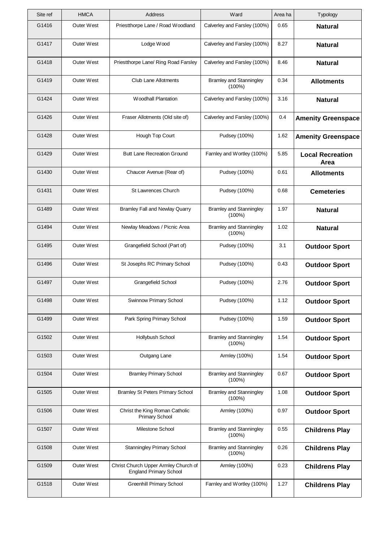| Site ref | <b>HMCA</b>       | Address                                                               | Ward                                        | Area ha | Typology                        |
|----------|-------------------|-----------------------------------------------------------------------|---------------------------------------------|---------|---------------------------------|
| G1416    | <b>Outer West</b> | Priestthorpe Lane / Road Woodland                                     | Calverley and Farsley (100%)                | 0.65    | <b>Natural</b>                  |
| G1417    | Outer West        | Lodge Wood                                                            | Calverley and Farsley (100%)                | 8.27    | <b>Natural</b>                  |
| G1418    | <b>Outer West</b> | Priestthorpe Lane/ Ring Road Farsley                                  | Calverley and Farsley (100%)                | 8.46    | <b>Natural</b>                  |
| G1419    | <b>Outer West</b> | <b>Club Lane Allotments</b>                                           | <b>Bramley and Stanningley</b><br>(100%)    | 0.34    | <b>Allotments</b>               |
| G1424    | Outer West        | <b>Woodhall Plantation</b>                                            | Calverley and Farsley (100%)                | 3.16    | <b>Natural</b>                  |
| G1426    | <b>Outer West</b> | Fraser Allotments (Old site of)                                       | Calverley and Farsley (100%)                | 0.4     | <b>Amenity Greenspace</b>       |
| G1428    | <b>Outer West</b> | Hough Top Court                                                       | Pudsey (100%)                               | 1.62    | <b>Amenity Greenspace</b>       |
| G1429    | Outer West        | <b>Butt Lane Recreation Ground</b>                                    | Farnley and Wortley (100%)                  | 5.85    | <b>Local Recreation</b><br>Area |
| G1430    | <b>Outer West</b> | Chaucer Avenue (Rear of)                                              | Pudsey (100%)                               | 0.61    | <b>Allotments</b>               |
| G1431    | Outer West        | St Lawrences Church                                                   | Pudsey (100%)                               | 0.68    | <b>Cemeteries</b>               |
| G1489    | <b>Outer West</b> | <b>Bramley Fall and Newlay Quarry</b>                                 | <b>Bramley and Stanningley</b><br>$(100\%)$ | 1.97    | <b>Natural</b>                  |
| G1494    | Outer West        | Newlay Meadows / Picnic Area                                          | <b>Bramley and Stanningley</b><br>(100%)    | 1.02    | <b>Natural</b>                  |
| G1495    | Outer West        | Grangefield School (Part of)                                          | Pudsey (100%)                               | 3.1     | <b>Outdoor Sport</b>            |
| G1496    | <b>Outer West</b> | St Josephs RC Primary School                                          | Pudsey (100%)                               | 0.43    | <b>Outdoor Sport</b>            |
| G1497    | Outer West        | Grangefield School                                                    | Pudsey (100%)                               | 2.76    | <b>Outdoor Sport</b>            |
| G1498    | Outer West        | Swinnow Primary School                                                | Pudsey (100%)                               | 1.12    | <b>Outdoor Sport</b>            |
| G1499    | <b>Outer West</b> | Park Spring Primary School                                            | Pudsey (100%)                               | 1.59    | <b>Outdoor Sport</b>            |
| G1502    | Outer West        | Hollybush School                                                      | <b>Bramley and Stanningley</b><br>$(100\%)$ | 1.54    | <b>Outdoor Sport</b>            |
| G1503    | <b>Outer West</b> | Outgang Lane                                                          | Armley (100%)                               | 1.54    | <b>Outdoor Sport</b>            |
| G1504    | Outer West        | <b>Bramley Primary School</b>                                         | <b>Bramley and Stanningley</b><br>$(100\%)$ | 0.67    | <b>Outdoor Sport</b>            |
| G1505    | Outer West        | <b>Bramley St Peters Primary School</b>                               | <b>Bramley and Stanningley</b><br>(100%)    | 1.08    | <b>Outdoor Sport</b>            |
| G1506    | <b>Outer West</b> | Christ the King Roman Catholic<br><b>Primary School</b>               | Armley (100%)                               | 0.97    | <b>Outdoor Sport</b>            |
| G1507    | Outer West        | Milestone School                                                      | <b>Bramley and Stanningley</b><br>$(100\%)$ | 0.55    | <b>Childrens Play</b>           |
| G1508    | Outer West        | Stanningley Primary School                                            | <b>Bramley and Stanningley</b><br>(100%)    | 0.26    | <b>Childrens Play</b>           |
| G1509    | <b>Outer West</b> | Christ Church Upper Armley Church of<br><b>England Primary School</b> | Armley (100%)                               | 0.23    | <b>Childrens Play</b>           |
| G1518    | Outer West        | Greenhill Primary School                                              | Farnley and Wortley (100%)                  | 1.27    | <b>Childrens Play</b>           |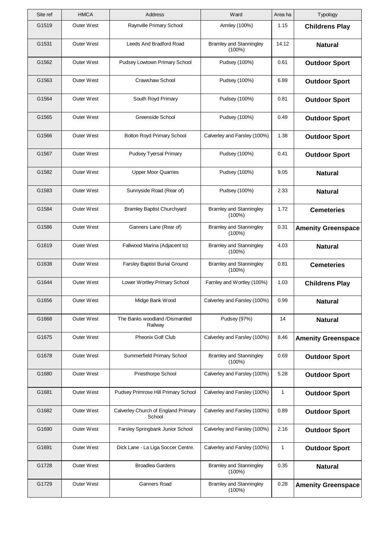| Site ref | <b>HMCA</b>       | Address                                       | Ward                                        | Area ha | Typology                  |
|----------|-------------------|-----------------------------------------------|---------------------------------------------|---------|---------------------------|
| G1519    | <b>Outer West</b> | Raynville Primary School                      | Armley (100%)                               | 1.15    | <b>Childrens Play</b>     |
| G1531    | <b>Outer West</b> | Leeds And Bradford Road                       | <b>Bramley and Stanningley</b><br>$(100\%)$ | 14.12   | <b>Natural</b>            |
| G1562    | <b>Outer West</b> | Pudsey Lowtown Primary School                 | Pudsey (100%)                               | 0.61    | <b>Outdoor Sport</b>      |
| G1563    | <b>Outer West</b> | Crawshaw School                               | Pudsey (100%)                               | 6.89    | <b>Outdoor Sport</b>      |
| G1564    | Outer West        | South Royd Primary                            | Pudsey (100%)                               | 0.81    | <b>Outdoor Sport</b>      |
| G1565    | Outer West        | Greenside School                              | Pudsey (100%)                               | 0.49    | <b>Outdoor Sport</b>      |
| G1566    | <b>Outer West</b> | Bolton Royd Primary School                    | Calverley and Farsley (100%)                | 1.38    | <b>Outdoor Sport</b>      |
| G1567    | Outer West        | <b>Pudsey Tyersal Primary</b>                 | Pudsey (100%)                               | 0.41    | <b>Outdoor Sport</b>      |
| G1582    | <b>Outer West</b> | <b>Upper Moor Quarries</b>                    | Pudsey (100%)                               | 9.05    | <b>Natural</b>            |
| G1583    | <b>Outer West</b> | Sunnyside Road (Rear of)                      | Pudsey (100%)                               | 2.33    | <b>Natural</b>            |
| G1584    | <b>Outer West</b> | <b>Bramley Baptist Churchyard</b>             | <b>Bramley and Stanningley</b><br>$(100\%)$ | 1.72    | <b>Cemeteries</b>         |
| G1586    | Outer West        | Ganners Lane (Rear of)                        | <b>Bramley and Stanningley</b><br>(100%)    | 0.31    | <b>Amenity Greenspace</b> |
| G1619    | <b>Outer West</b> | Fallwood Marina (Adjacent to)                 | <b>Bramley and Stanningley</b><br>$(100\%)$ | 4.03    | <b>Natural</b>            |
| G1638    | Outer West        | Farsley Baptist Burial Ground                 | <b>Bramley and Stanningley</b><br>$(100\%)$ | 0.81    | <b>Cemeteries</b>         |
| G1644    | Outer West        | Lower Wortley Primary School                  | Farnley and Wortley (100%)                  | 1.03    | <b>Childrens Play</b>     |
| G1656    | Outer West        | Midge Bank Wood                               | Calverley and Farsley (100%)                | 0.99    | <b>Natural</b>            |
| G1668    | <b>Outer West</b> | The Banks woodland /Dismantled<br>Railway     | Pudsey (97%)                                | 14      | <b>Natural</b>            |
| G1675    | Outer West        | Pheonix Golf Club                             | Calverley and Farsley (100%)                | 8.46    | <b>Amenity Greenspace</b> |
| G1678    | <b>Outer West</b> | Summerfield Primary School                    | <b>Bramley and Stanningley</b><br>(100%)    | 0.69    | <b>Outdoor Sport</b>      |
| G1680    | Outer West        | Priesthorpe School                            | Calverley and Farsley (100%)                | 5.28    | <b>Outdoor Sport</b>      |
| G1681    | <b>Outer West</b> | Pudsey Primrose Hill Primary School           | Calverley and Farsley (100%)                | 1       | <b>Outdoor Sport</b>      |
| G1682    | <b>Outer West</b> | Calverley Church of England Primary<br>School | Calverley and Farsley (100%)                | 0.89    | <b>Outdoor Sport</b>      |
| G1690    | <b>Outer West</b> | Farsley Springbank Junior School              | Calverley and Farsley (100%)                | 2.16    | <b>Outdoor Sport</b>      |
| G1691    | Outer West        | Dick Lane - La Liga Soccer Centre.            | Calverley and Farsley (100%)                | 1       | <b>Outdoor Sport</b>      |
| G1728    | <b>Outer West</b> | <b>Broadlea Gardens</b>                       | <b>Bramley and Stanningley</b><br>$(100\%)$ | 0.35    | <b>Natural</b>            |
| G1729    | Outer West        | <b>Ganners Road</b>                           | <b>Bramley and Stanningley</b><br>$(100\%)$ | 0.28    | <b>Amenity Greenspace</b> |